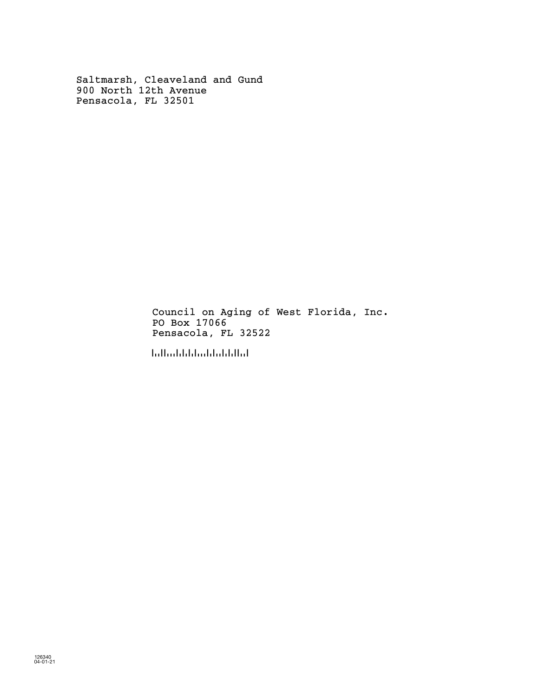Saltmarsh, Cleaveland and Gund 900 North 12th Avenue Pensacola, FL 32501

> Council on Aging of West Florida, Inc. PO Box 17066 Pensacola, FL 32522

!325226!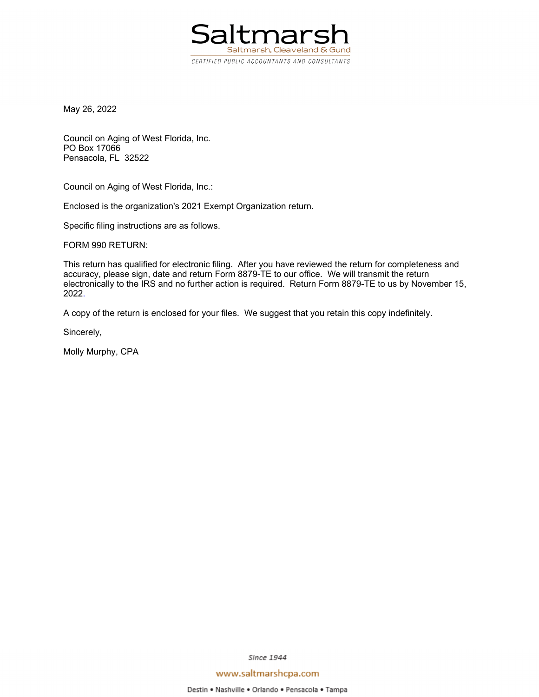

May 26, 2022

Council on Aging of West Florida, Inc. PO Box 17066 Pensacola, FL 32522

Council on Aging of West Florida, Inc.:

Enclosed is the organization's 2021 Exempt Organization return.

Specific filing instructions are as follows.

FORM 990 RETURN:

This return has qualified for electronic filing. After you have reviewed the return for completeness and accuracy, please sign, date and return Form 8879-TE to our office. We will transmit the return electronically to the IRS and no further action is required. Return Form 8879-TE to us by November 15, 2022.

A copy of the return is enclosed for your files. We suggest that you retain this copy indefinitely.

Sincerely,

Molly Murphy, CPA

Since 1944

www.saltmarshcpa.com

Destin . Nashville . Orlando . Pensacola . Tampa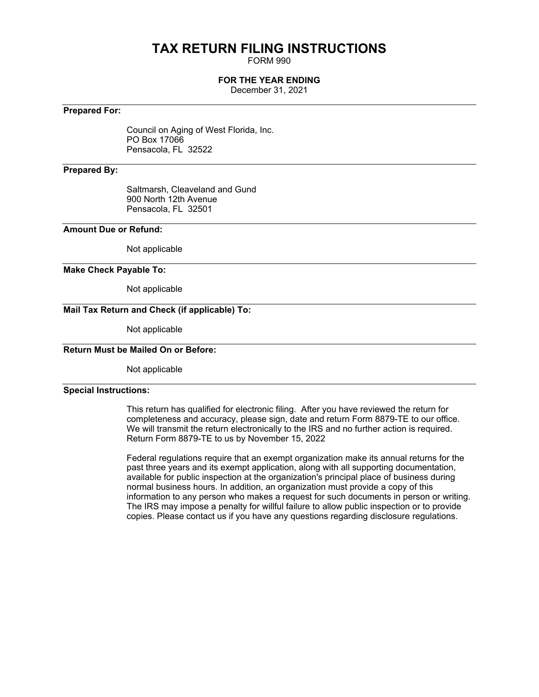# **TAX RETURN FILING INSTRUCTIONS**

FORM 990

### **FOR THE YEAR ENDING**

December 31, 2021

### **Prepared For:**

Council on Aging of West Florida, Inc. PO Box 17066 Pensacola, FL 32522

### **Prepared By:**

Saltmarsh, Cleaveland and Gund 900 North 12th Avenue Pensacola, FL 32501

### **Amount Due or Refund:**

Not applicable

### **Make Check Payable To:**

Not applicable

### **Mail Tax Return and Check (if applicable) To:**

Not applicable

### **Return Must be Mailed On or Before:**

Not applicable

### **Special Instructions:**

This return has qualified for electronic filing. After you have reviewed the return for completeness and accuracy, please sign, date and return Form 8879-TE to our office. We will transmit the return electronically to the IRS and no further action is required. Return Form 8879-TE to us by November 15, 2022

Federal regulations require that an exempt organization make its annual returns for the past three years and its exempt application, along with all supporting documentation, available for public inspection at the organization's principal place of business during normal business hours. In addition, an organization must provide a copy of this information to any person who makes a request for such documents in person or writing. The IRS may impose a penalty for willful failure to allow public inspection or to provide copies. Please contact us if you have any questions regarding disclosure regulations.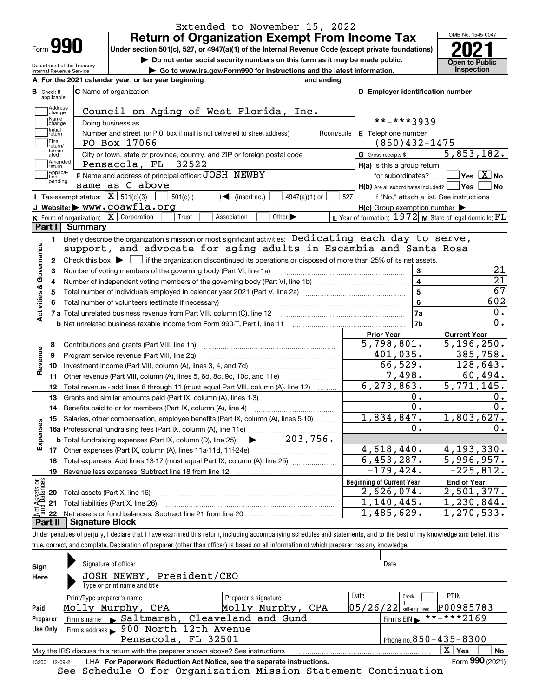| Form |  |
|------|--|

Department of the Treasury Internal Revenue Service

### **Return of Organization Exempt From Income Tax** Extended to November 15, 2022

Under section 501(c), 527, or 4947(a)(1) of the Internal Revenue Code (except private foundations) **2021** 

**| Do not enter social security numbers on this form as it may be made public.**

**| Go to www.irs.gov/Form990 for instructions and the latest information. Inspection**

OMB No. 1545-0047 **Open to Public** 

|                              | A For the 2021 calendar year, or tax year beginning                                                                                                                                                                            | and ending |                                                     |                                                             |
|------------------------------|--------------------------------------------------------------------------------------------------------------------------------------------------------------------------------------------------------------------------------|------------|-----------------------------------------------------|-------------------------------------------------------------|
| В<br>Check if<br>applicable: | C Name of organization                                                                                                                                                                                                         |            | D Employer identification number                    |                                                             |
| Address<br>change            | Council on Aging of West Florida, Inc.                                                                                                                                                                                         |            |                                                     |                                                             |
| Name<br>change               | Doing business as                                                                                                                                                                                                              |            | **-***3939                                          |                                                             |
| Initial<br>return            | Number and street (or P.O. box if mail is not delivered to street address)                                                                                                                                                     | Room/suite | E Telephone number                                  |                                                             |
| Final<br>return/             | PO Box 17066                                                                                                                                                                                                                   |            | $(850)$ 432-1475                                    |                                                             |
| termin-<br>ated              | City or town, state or province, country, and ZIP or foreign postal code                                                                                                                                                       |            | <b>G</b> Gross receipts \$                          | 5,853,182.                                                  |
| Amended<br>return            | 32522<br>Pensacola, FL                                                                                                                                                                                                         |            | $H(a)$ is this a group return                       |                                                             |
| Applica-<br>tion             | F Name and address of principal officer: JOSH NEWBY                                                                                                                                                                            |            | for subordinates?                                   | $\blacksquare$ Yes $\boxed{\text{X}}$ No                    |
| pending                      | same as C above                                                                                                                                                                                                                |            | $H(b)$ Are all subordinates included? $\Box$ Yes    | ∣No                                                         |
|                              | <b>I</b> Tax-exempt status: $\boxed{\mathbf{X}}$ 501(c)(3)<br>$\sqrt{\bullet}$ (insert no.)<br>$501(c)$ (<br>$4947(a)(1)$ or                                                                                                   | 527        |                                                     | If "No," attach a list. See instructions                    |
|                              | J Website: > WWW. COAWfla.org                                                                                                                                                                                                  |            | $H(c)$ Group exemption number $\blacktriangleright$ |                                                             |
|                              | K Form of organization: X Corporation<br>Trust<br>Other $\blacktriangleright$<br>Association                                                                                                                                   |            |                                                     | L Year of formation: $1972$ M State of legal domicile: $FL$ |
| Part I                       | Summary                                                                                                                                                                                                                        |            |                                                     |                                                             |
| 1.                           | Briefly describe the organization's mission or most significant activities: Dedicating each day to serve,                                                                                                                      |            |                                                     |                                                             |
|                              | support, and advocate for aging adults in Escambia and Santa Rosa                                                                                                                                                              |            |                                                     |                                                             |
| 2                            | Check this box $\blacktriangleright$ $\Box$ if the organization discontinued its operations or disposed of more than 25% of its net assets.                                                                                    |            |                                                     |                                                             |
| Activities & Governance<br>3 | Number of voting members of the governing body (Part VI, line 1a)                                                                                                                                                              |            | 3                                                   | 21                                                          |
| 4                            |                                                                                                                                                                                                                                |            | 4                                                   | 21                                                          |
| 5                            |                                                                                                                                                                                                                                | 5          | 67                                                  |                                                             |
|                              | Total number of volunteers (estimate if necessary) manufactured content to the content of volunteers (estimate if necessary) manufactured content to the content of the content of the content of the content of the content o | 6          | 602                                                 |                                                             |
|                              |                                                                                                                                                                                                                                |            | 7a                                                  | 0.                                                          |
|                              | <b>b</b> Net unrelated business taxable income from Form 990-T, Part I, line 11                                                                                                                                                |            | 7b                                                  | 0.                                                          |
|                              |                                                                                                                                                                                                                                |            | <b>Prior Year</b>                                   | <b>Current Year</b>                                         |
| 8                            | Contributions and grants (Part VIII, line 1h)                                                                                                                                                                                  |            | 5,798,801.                                          | 5, 196, 250.                                                |
| 9                            | Program service revenue (Part VIII, line 2g)                                                                                                                                                                                   |            | 401,035.                                            | 385,758.                                                    |
| Revenue<br>10                |                                                                                                                                                                                                                                |            | 66,529.                                             | 128,643.                                                    |
| 11                           | Other revenue (Part VIII, column (A), lines 5, 6d, 8c, 9c, 10c, and 11e)                                                                                                                                                       |            | 7,498.                                              | 60,494.                                                     |
| 12                           | Total revenue - add lines 8 through 11 (must equal Part VIII, column (A), line 12)                                                                                                                                             |            | 6, 273, 863.                                        | 5,771,145.                                                  |
| 13                           | Grants and similar amounts paid (Part IX, column (A), lines 1-3)                                                                                                                                                               |            | 0.                                                  | 0.                                                          |
| 14                           | Benefits paid to or for members (Part IX, column (A), line 4)                                                                                                                                                                  |            | $0$ .                                               | Ο.                                                          |
| 15                           | Salaries, other compensation, employee benefits (Part IX, column (A), lines 5-10)                                                                                                                                              |            | 1,834,847.                                          | 1,803,627.                                                  |
|                              |                                                                                                                                                                                                                                |            | $\overline{0}$ .                                    | $0$ .                                                       |
| Expenses                     | $\blacktriangleright$ 203,756.<br><b>b</b> Total fundraising expenses (Part IX, column (D), line 25)                                                                                                                           |            |                                                     |                                                             |
|                              |                                                                                                                                                                                                                                |            | 4,618,440.                                          | 4,193,330.                                                  |
| 18                           | Total expenses. Add lines 13-17 (must equal Part IX, column (A), line 25)                                                                                                                                                      |            | 6,453,287.                                          | 5,996,957.                                                  |
| 19                           |                                                                                                                                                                                                                                |            | $-179, 424.$                                        | $-225,812.$                                                 |
| កម្ព                         |                                                                                                                                                                                                                                |            | <b>Beginning of Current Year</b>                    | <b>End of Year</b>                                          |
| <b>Assets</b><br>20          | Total assets (Part X, line 16)                                                                                                                                                                                                 |            | 2,626,074.                                          | 2,501,377.                                                  |
|                              | 21 Total liabilities (Part X, line 26)                                                                                                                                                                                         |            | 1,140,445.                                          | 1,230,844.                                                  |
| 22                           |                                                                                                                                                                                                                                |            | 1,485,629.                                          | 1,270,533.                                                  |
|                              | Part II   Signature Block                                                                                                                                                                                                      |            |                                                     |                                                             |
|                              | Under negative of perium. I dealers that I have eveningd this rature, including accompanying schedules and atatoments, and to the best of my knowledge and belief, it is                                                       |            |                                                     |                                                             |

Under penalties of perjury, I declare that I have examined this return, including accompanying schedules and statements, and to the best of my knowledge and belief, it is true, correct, and complete. Declaration of preparer (other than officer) is based on all information of which preparer has any knowledge.

| Sign            | Signature of officer                                                            |                   | Date                                  |                                  |           |  |  |  |  |  |  |
|-----------------|---------------------------------------------------------------------------------|-------------------|---------------------------------------|----------------------------------|-----------|--|--|--|--|--|--|
| Here            | JOSH NEWBY, President/CEO                                                       |                   |                                       |                                  |           |  |  |  |  |  |  |
|                 | Type or print name and title                                                    |                   |                                       |                                  |           |  |  |  |  |  |  |
|                 | Print/Type preparer's name                                                      | Date              | <b>PTIN</b><br>Check                  |                                  |           |  |  |  |  |  |  |
| Paid            | Molly Murphy,<br>CPA                                                            | Molly Murphy, CPA | P00985783<br>$05/26/22$ self-employed |                                  |           |  |  |  |  |  |  |
| Preparer        | Firm's name Saltmarsh, Cleaveland and Gund                                      |                   |                                       | $***$ + * * 2169<br>Firm's $EIN$ |           |  |  |  |  |  |  |
| Use Only        | Firm's address > 900 North 12th Avenue                                          |                   |                                       |                                  |           |  |  |  |  |  |  |
|                 | Phone no. $850 - 435 - 8300$<br>Pensacola, FL 32501                             |                   |                                       |                                  |           |  |  |  |  |  |  |
|                 | May the IRS discuss this return with the preparer shown above? See instructions |                   |                                       | X.<br>Yes                        | <b>No</b> |  |  |  |  |  |  |
| 132001 12-09-21 | LHA For Paperwork Reduction Act Notice, see the separate instructions.          |                   |                                       | Form 990 (2021)                  |           |  |  |  |  |  |  |

See Schedule O for Organization Mission Statement Continuation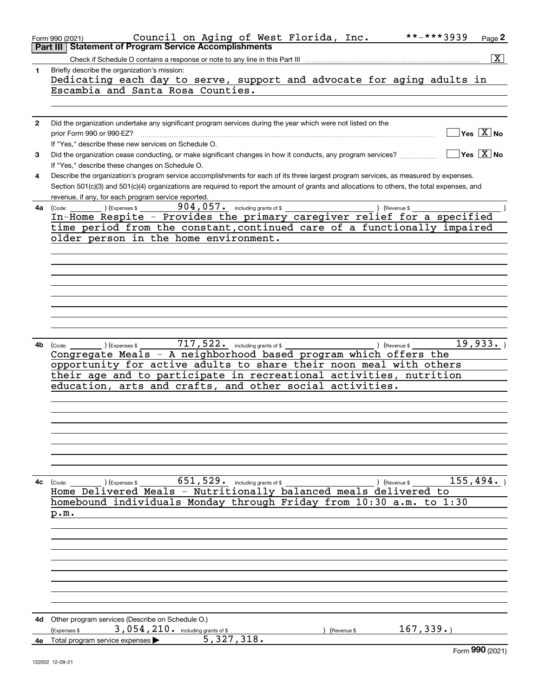|              | **-***3939<br>Council on Aging of West Florida, Inc.<br>Page 2<br>Form 990 (2021)                                                                                                                                                      |
|--------------|----------------------------------------------------------------------------------------------------------------------------------------------------------------------------------------------------------------------------------------|
|              | <b>Statement of Program Service Accomplishments</b><br>Part III                                                                                                                                                                        |
|              | $\overline{\text{X}}$                                                                                                                                                                                                                  |
| 1.           | Briefly describe the organization's mission:                                                                                                                                                                                           |
|              | Dedicating each day to serve, support and advocate for aging adults in<br>Escambia and Santa Rosa Counties.                                                                                                                            |
|              |                                                                                                                                                                                                                                        |
|              |                                                                                                                                                                                                                                        |
| $\mathbf{2}$ | Did the organization undertake any significant program services during the year which were not listed on the                                                                                                                           |
|              | $\overline{\mathsf{Yes} \ \mathbb{X}}$ No<br>prior Form 990 or 990-EZ?                                                                                                                                                                 |
|              | If "Yes," describe these new services on Schedule O.                                                                                                                                                                                   |
| З.           | $\overline{\mathsf{Yes} \mathrel{\hspace{0.5pt}\mathsf{X}}}$ No<br>Did the organization cease conducting, or make significant changes in how it conducts, any program services?                                                        |
|              | If "Yes," describe these changes on Schedule O.                                                                                                                                                                                        |
| 4            | Describe the organization's program service accomplishments for each of its three largest program services, as measured by expenses.                                                                                                   |
|              | Section 501(c)(3) and 501(c)(4) organizations are required to report the amount of grants and allocations to others, the total expenses, and                                                                                           |
|              | revenue, if any, for each program service reported.                                                                                                                                                                                    |
| 4a l         |                                                                                                                                                                                                                                        |
|              | (Code: ) (Expenses \$904,057. including grants of \$904,057. including grants of \$904,057. including grants of \$904,057. including grants of \$90. including grants of \$90. including grants of \$90. including grants of \$90. inc |
|              | time period from the constant, continued care of a functionally impaired                                                                                                                                                               |
|              | older person in the home environment.                                                                                                                                                                                                  |
|              |                                                                                                                                                                                                                                        |
|              |                                                                                                                                                                                                                                        |
|              |                                                                                                                                                                                                                                        |
|              |                                                                                                                                                                                                                                        |
|              |                                                                                                                                                                                                                                        |
|              |                                                                                                                                                                                                                                        |
|              |                                                                                                                                                                                                                                        |
|              |                                                                                                                                                                                                                                        |
|              |                                                                                                                                                                                                                                        |
| 4b           | 19,933.<br>$\left(\text{Code:}\right)$ $\left(\text{Expenses $}\right)$                                                                                                                                                                |
|              | Congregate Meals - A neighborhood based program which offers the                                                                                                                                                                       |
|              | opportunity for active adults to share their noon meal with others                                                                                                                                                                     |
|              | their age and to participate in recreational activities, nutrition                                                                                                                                                                     |
|              | education, arts and crafts, and other social activities.                                                                                                                                                                               |
|              |                                                                                                                                                                                                                                        |
|              |                                                                                                                                                                                                                                        |
|              |                                                                                                                                                                                                                                        |
|              |                                                                                                                                                                                                                                        |
|              |                                                                                                                                                                                                                                        |
|              |                                                                                                                                                                                                                                        |
|              |                                                                                                                                                                                                                                        |
| 4с           | 155, 494.<br>$651, 529$ . including grants of \$<br>$(Ex)$ (Expenses \$<br>) (Revenue \$                                                                                                                                               |
|              | (Code:<br>Home Delivered Meals - Nutritionally balanced meals delivered to                                                                                                                                                             |
|              | homebound individuals Monday through Friday from 10:30 a.m. to 1:30                                                                                                                                                                    |
|              | p.m.                                                                                                                                                                                                                                   |
|              |                                                                                                                                                                                                                                        |
|              |                                                                                                                                                                                                                                        |
|              |                                                                                                                                                                                                                                        |
|              |                                                                                                                                                                                                                                        |
|              |                                                                                                                                                                                                                                        |
|              |                                                                                                                                                                                                                                        |
|              |                                                                                                                                                                                                                                        |
|              |                                                                                                                                                                                                                                        |
|              |                                                                                                                                                                                                                                        |
|              | 4d Other program services (Describe on Schedule O.)                                                                                                                                                                                    |
|              | 3,054,210. including grants of \$<br>167, 339.<br>(Expenses \$<br>(Revenue \$                                                                                                                                                          |
|              | 5,327,318.<br>4e Total program service expenses                                                                                                                                                                                        |
|              | QQQ                                                                                                                                                                                                                                    |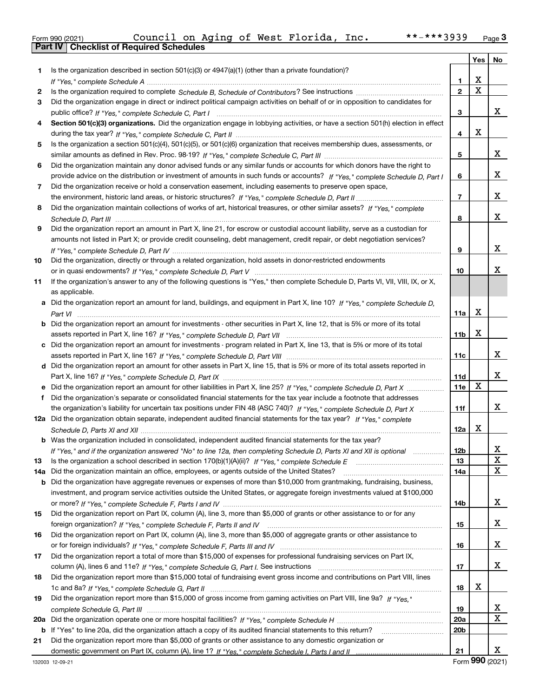|  | Form 990 (2021) |
|--|-----------------|
|  |                 |

|     |                                                                                                                                   |                          | Yes         | No          |
|-----|-----------------------------------------------------------------------------------------------------------------------------------|--------------------------|-------------|-------------|
| 1.  | Is the organization described in section $501(c)(3)$ or $4947(a)(1)$ (other than a private foundation)?                           |                          |             |             |
|     |                                                                                                                                   | 1                        | X           |             |
| 2   |                                                                                                                                   | $\mathbf{2}$             | $\mathbf X$ |             |
| 3   | Did the organization engage in direct or indirect political campaign activities on behalf of or in opposition to candidates for   |                          |             |             |
|     |                                                                                                                                   | 3                        |             | x           |
| 4   | Section 501(c)(3) organizations. Did the organization engage in lobbying activities, or have a section 501(h) election in effect  |                          |             |             |
|     |                                                                                                                                   | 4                        | x           |             |
| 5   | Is the organization a section 501(c)(4), 501(c)(5), or 501(c)(6) organization that receives membership dues, assessments, or      |                          |             |             |
|     |                                                                                                                                   | 5                        |             | x           |
| 6   | Did the organization maintain any donor advised funds or any similar funds or accounts for which donors have the right to         |                          |             |             |
|     | provide advice on the distribution or investment of amounts in such funds or accounts? If "Yes," complete Schedule D, Part I      | 6                        |             | х           |
| 7   | Did the organization receive or hold a conservation easement, including easements to preserve open space,                         |                          |             |             |
|     |                                                                                                                                   | $\overline{\phantom{a}}$ |             | x           |
| 8   | Did the organization maintain collections of works of art, historical treasures, or other similar assets? If "Yes," complete      |                          |             |             |
|     |                                                                                                                                   | 8                        |             | x           |
| 9   | Did the organization report an amount in Part X, line 21, for escrow or custodial account liability, serve as a custodian for     |                          |             |             |
|     | amounts not listed in Part X; or provide credit counseling, debt management, credit repair, or debt negotiation services?         |                          |             |             |
|     |                                                                                                                                   | 9                        |             | x           |
|     |                                                                                                                                   |                          |             |             |
| 10  | Did the organization, directly or through a related organization, hold assets in donor-restricted endowments                      |                          |             | х           |
|     |                                                                                                                                   | 10                       |             |             |
| 11  | If the organization's answer to any of the following questions is "Yes," then complete Schedule D, Parts VI, VII, VIII, IX, or X, |                          |             |             |
|     | as applicable.                                                                                                                    |                          |             |             |
|     | a Did the organization report an amount for land, buildings, and equipment in Part X, line 10? If "Yes," complete Schedule D,     |                          |             |             |
|     |                                                                                                                                   | 11a                      | X           |             |
| b   | Did the organization report an amount for investments - other securities in Part X, line 12, that is 5% or more of its total      |                          |             |             |
|     |                                                                                                                                   | 11b                      | X           |             |
| c   | Did the organization report an amount for investments - program related in Part X, line 13, that is 5% or more of its total       |                          |             |             |
|     |                                                                                                                                   | 11c                      |             | х           |
|     | d Did the organization report an amount for other assets in Part X, line 15, that is 5% or more of its total assets reported in   |                          |             |             |
|     |                                                                                                                                   | 11d                      |             | x           |
|     | Did the organization report an amount for other liabilities in Part X, line 25? If "Yes," complete Schedule D, Part X             | 11e                      | X           |             |
| f   | Did the organization's separate or consolidated financial statements for the tax year include a footnote that addresses           |                          |             |             |
|     | the organization's liability for uncertain tax positions under FIN 48 (ASC 740)? If "Yes," complete Schedule D, Part X            | 11f                      |             | x           |
|     | 12a Did the organization obtain separate, independent audited financial statements for the tax year? If "Yes," complete           |                          |             |             |
|     |                                                                                                                                   | 12a                      | X           |             |
|     | <b>b</b> Was the organization included in consolidated, independent audited financial statements for the tax year?                |                          |             |             |
|     | If "Yes," and if the organization answered "No" to line 12a, then completing Schedule D, Parts XI and XII is optional             | 12 <sub>b</sub>          |             | Χ           |
| 13  |                                                                                                                                   | 13                       |             | $\mathbf X$ |
| 14a | Did the organization maintain an office, employees, or agents outside of the United States?                                       | 14a                      |             | x           |
| b   | Did the organization have aggregate revenues or expenses of more than \$10,000 from grantmaking, fundraising, business,           |                          |             |             |
|     | investment, and program service activities outside the United States, or aggregate foreign investments valued at \$100,000        |                          |             |             |
|     |                                                                                                                                   | 14b                      |             | X.          |
| 15  | Did the organization report on Part IX, column (A), line 3, more than \$5,000 of grants or other assistance to or for any         |                          |             |             |
|     |                                                                                                                                   | 15                       |             | x           |
| 16  | Did the organization report on Part IX, column (A), line 3, more than \$5,000 of aggregate grants or other assistance to          |                          |             |             |
|     |                                                                                                                                   | 16                       |             | x           |
| 17  | Did the organization report a total of more than \$15,000 of expenses for professional fundraising services on Part IX,           |                          |             |             |
|     |                                                                                                                                   | 17                       |             | x           |
| 18  | Did the organization report more than \$15,000 total of fundraising event gross income and contributions on Part VIII, lines      |                          |             |             |
|     |                                                                                                                                   | 18                       | х           |             |
| 19  | Did the organization report more than \$15,000 of gross income from gaming activities on Part VIII, line 9a? If "Yes."            |                          |             |             |
|     |                                                                                                                                   | 19                       |             | x           |
| 20a |                                                                                                                                   | 20a                      |             | X           |
| b   | If "Yes" to line 20a, did the organization attach a copy of its audited financial statements to this return?                      | 20 <sub>b</sub>          |             |             |
| 21  | Did the organization report more than \$5,000 of grants or other assistance to any domestic organization or                       |                          |             |             |
|     |                                                                                                                                   | 21                       |             | x           |
|     |                                                                                                                                   |                          |             |             |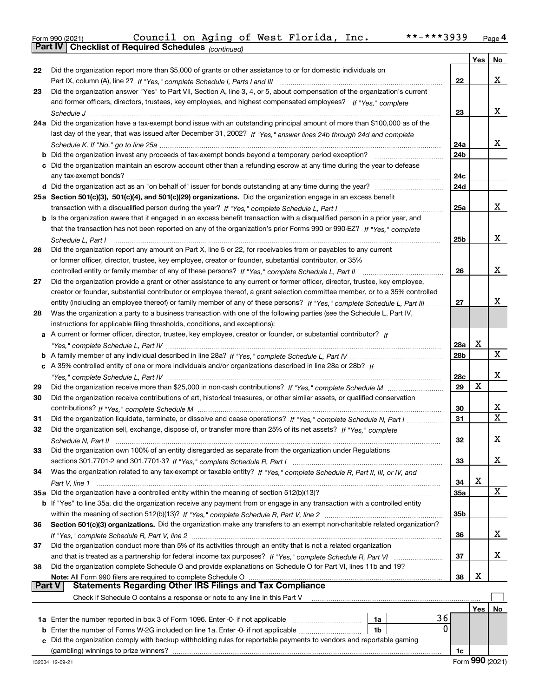|  | Form 990 (2021) |
|--|-----------------|
|  |                 |

*(continued)*

|        |                                                                                                                              |                        | Yes | No                      |
|--------|------------------------------------------------------------------------------------------------------------------------------|------------------------|-----|-------------------------|
| 22     | Did the organization report more than \$5,000 of grants or other assistance to or for domestic individuals on                |                        |     |                         |
|        |                                                                                                                              | 22                     |     | x                       |
| 23     | Did the organization answer "Yes" to Part VII, Section A, line 3, 4, or 5, about compensation of the organization's current  |                        |     |                         |
|        | and former officers, directors, trustees, key employees, and highest compensated employees? If "Yes," complete               |                        |     |                         |
|        |                                                                                                                              | 23                     |     | x                       |
|        | 24a Did the organization have a tax-exempt bond issue with an outstanding principal amount of more than \$100,000 as of the  |                        |     |                         |
|        | last day of the year, that was issued after December 31, 2002? If "Yes," answer lines 24b through 24d and complete           |                        |     |                         |
|        |                                                                                                                              | 24a                    |     | x                       |
|        | <b>b</b> Did the organization invest any proceeds of tax-exempt bonds beyond a temporary period exception?                   | 24 <sub>b</sub>        |     |                         |
|        | c Did the organization maintain an escrow account other than a refunding escrow at any time during the year to defease       |                        |     |                         |
|        |                                                                                                                              | 24c                    |     |                         |
|        |                                                                                                                              | 24d                    |     |                         |
|        | 25a Section 501(c)(3), 501(c)(4), and 501(c)(29) organizations. Did the organization engage in an excess benefit             |                        |     |                         |
|        |                                                                                                                              | 25a                    |     | x                       |
|        | b Is the organization aware that it engaged in an excess benefit transaction with a disqualified person in a prior year, and |                        |     |                         |
|        | that the transaction has not been reported on any of the organization's prior Forms 990 or 990-EZ? If "Yes," complete        |                        |     |                         |
|        | Schedule L, Part I                                                                                                           | 25b                    |     | x                       |
| 26     | Did the organization report any amount on Part X, line 5 or 22, for receivables from or payables to any current              |                        |     |                         |
|        | or former officer, director, trustee, key employee, creator or founder, substantial contributor, or 35%                      |                        |     |                         |
|        | controlled entity or family member of any of these persons? If "Yes," complete Schedule L, Part II                           | 26                     |     | x                       |
| 27     | Did the organization provide a grant or other assistance to any current or former officer, director, trustee, key employee,  |                        |     |                         |
|        | creator or founder, substantial contributor or employee thereof, a grant selection committee member, or to a 35% controlled  |                        |     | x                       |
|        | entity (including an employee thereof) or family member of any of these persons? If "Yes," complete Schedule L, Part III     | 27                     |     |                         |
| 28     | Was the organization a party to a business transaction with one of the following parties (see the Schedule L, Part IV,       |                        |     |                         |
|        | instructions for applicable filing thresholds, conditions, and exceptions):                                                  |                        |     |                         |
|        | a A current or former officer, director, trustee, key employee, creator or founder, or substantial contributor? If           |                        | х   |                         |
|        |                                                                                                                              | 28a<br>28 <sub>b</sub> |     | X                       |
|        | c A 35% controlled entity of one or more individuals and/or organizations described in line 28a or 28b? If                   |                        |     |                         |
|        |                                                                                                                              | 28c                    |     | х                       |
| 29     |                                                                                                                              | 29                     | X   |                         |
| 30     | Did the organization receive contributions of art, historical treasures, or other similar assets, or qualified conservation  |                        |     |                         |
|        |                                                                                                                              | 30                     |     | x                       |
| 31     | Did the organization liquidate, terminate, or dissolve and cease operations? If "Yes," complete Schedule N, Part I           | 31                     |     | $\overline{\mathbf{x}}$ |
| 32     | Did the organization sell, exchange, dispose of, or transfer more than 25% of its net assets? If "Yes," complete             |                        |     |                         |
|        |                                                                                                                              | 32                     |     | х                       |
| 33     | Did the organization own 100% of an entity disregarded as separate from the organization under Regulations                   |                        |     |                         |
|        |                                                                                                                              | 33                     |     | x                       |
| 34     | Was the organization related to any tax-exempt or taxable entity? If "Yes," complete Schedule R, Part II, III, or IV, and    |                        |     |                         |
|        |                                                                                                                              | 34                     | х   |                         |
|        | 35a Did the organization have a controlled entity within the meaning of section 512(b)(13)?                                  | <b>35a</b>             |     | X                       |
|        | b If "Yes" to line 35a, did the organization receive any payment from or engage in any transaction with a controlled entity  |                        |     |                         |
|        |                                                                                                                              | 35 <sub>b</sub>        |     |                         |
| 36     | Section 501(c)(3) organizations. Did the organization make any transfers to an exempt non-charitable related organization?   |                        |     |                         |
|        |                                                                                                                              | 36                     |     | x                       |
| 37     | Did the organization conduct more than 5% of its activities through an entity that is not a related organization             |                        |     |                         |
|        | and that is treated as a partnership for federal income tax purposes? If "Yes," complete Schedule R, Part VI                 | 37                     |     | x                       |
| 38     | Did the organization complete Schedule O and provide explanations on Schedule O for Part VI, lines 11b and 19?               |                        |     |                         |
|        | Note: All Form 990 filers are required to complete Schedule O                                                                | 38                     | х   |                         |
| Part V | <b>Statements Regarding Other IRS Filings and Tax Compliance</b>                                                             |                        |     |                         |
|        | Check if Schedule O contains a response or note to any line in this Part V                                                   |                        |     |                         |
|        |                                                                                                                              |                        | Yes | No                      |
|        | 36<br>1a Enter the number reported in box 3 of Form 1096. Enter -0- if not applicable<br>1a                                  |                        |     |                         |
| b      | 0<br>Enter the number of Forms W-2G included on line 1a. Enter -0- if not applicable<br>1b                                   |                        |     |                         |
| c      | Did the organization comply with backup withholding rules for reportable payments to vendors and reportable gaming           |                        |     |                         |
|        | (gambling) winnings to prize winners?                                                                                        | 1c                     |     |                         |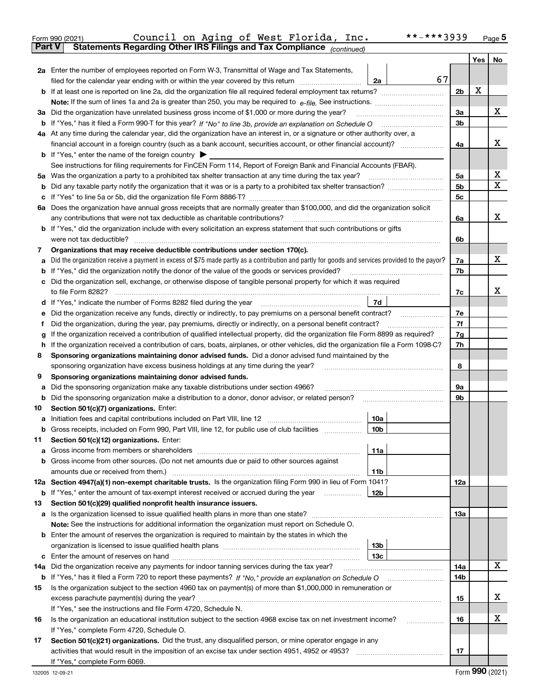|               | **-***3939<br>Council on Aging of West Florida, Inc.<br>Form 990 (2021)                                                                                                                                                               |                |     | <u>Page</u> 5 |
|---------------|---------------------------------------------------------------------------------------------------------------------------------------------------------------------------------------------------------------------------------------|----------------|-----|---------------|
| <b>Part V</b> | Statements Regarding Other IRS Filings and Tax Compliance (continued)                                                                                                                                                                 |                |     |               |
|               |                                                                                                                                                                                                                                       |                | Yes | No            |
|               | 2a Enter the number of employees reported on Form W-3, Transmittal of Wage and Tax Statements,                                                                                                                                        |                |     |               |
|               | 67<br>filed for the calendar year ending with or within the year covered by this return<br>2a                                                                                                                                         |                |     |               |
|               |                                                                                                                                                                                                                                       | 2 <sub>b</sub> | X   |               |
|               |                                                                                                                                                                                                                                       |                |     |               |
|               | 3a Did the organization have unrelated business gross income of \$1,000 or more during the year?                                                                                                                                      | 3a             |     | х             |
|               |                                                                                                                                                                                                                                       | 3 <sub>b</sub> |     |               |
|               | 4a At any time during the calendar year, did the organization have an interest in, or a signature or other authority over, a                                                                                                          |                |     |               |
|               |                                                                                                                                                                                                                                       | 4a             |     | x             |
|               | <b>b</b> If "Yes," enter the name of the foreign country $\blacktriangleright$                                                                                                                                                        |                |     |               |
|               | See instructions for filing requirements for FinCEN Form 114, Report of Foreign Bank and Financial Accounts (FBAR).                                                                                                                   |                |     |               |
| 5a            | Was the organization a party to a prohibited tax shelter transaction at any time during the tax year?                                                                                                                                 | 5a             |     | Х             |
| b             |                                                                                                                                                                                                                                       | 5 <sub>b</sub> |     | х             |
| с             |                                                                                                                                                                                                                                       | 5c             |     |               |
|               | 6a Does the organization have annual gross receipts that are normally greater than \$100,000, and did the organization solicit                                                                                                        |                |     |               |
|               |                                                                                                                                                                                                                                       | 6a             |     | x             |
|               | <b>b</b> If "Yes," did the organization include with every solicitation an express statement that such contributions or gifts                                                                                                         |                |     |               |
|               | were not tax deductible?                                                                                                                                                                                                              | 6b             |     |               |
| 7             | Organizations that may receive deductible contributions under section 170(c).                                                                                                                                                         |                |     |               |
| а             | Did the organization receive a payment in excess of \$75 made partly as a contribution and partly for goods and services provided to the payor?                                                                                       | 7a             |     | x             |
| b             | If "Yes," did the organization notify the donor of the value of the goods or services provided?                                                                                                                                       | 7b             |     |               |
| с             | Did the organization sell, exchange, or otherwise dispose of tangible personal property for which it was required                                                                                                                     |                |     | x             |
|               | 7d                                                                                                                                                                                                                                    | 7с             |     |               |
| d             |                                                                                                                                                                                                                                       | 7e             |     |               |
| е<br>f        | Did the organization receive any funds, directly or indirectly, to pay premiums on a personal benefit contract?<br>Did the organization, during the year, pay premiums, directly or indirectly, on a personal benefit contract?       | 7f             |     |               |
| g             | If the organization received a contribution of qualified intellectual property, did the organization file Form 8899 as required?                                                                                                      | 7g             |     |               |
| h             | If the organization received a contribution of cars, boats, airplanes, or other vehicles, did the organization file a Form 1098-C?                                                                                                    | 7h             |     |               |
| 8             | Sponsoring organizations maintaining donor advised funds. Did a donor advised fund maintained by the                                                                                                                                  |                |     |               |
|               | sponsoring organization have excess business holdings at any time during the year?                                                                                                                                                    | 8              |     |               |
| 9             | Sponsoring organizations maintaining donor advised funds.                                                                                                                                                                             |                |     |               |
| а             | Did the sponsoring organization make any taxable distributions under section 4966?                                                                                                                                                    | 9а             |     |               |
| b             | Did the sponsoring organization make a distribution to a donor, donor advisor, or related person?                                                                                                                                     | 9b             |     |               |
| 10            | Section 501(c)(7) organizations. Enter:                                                                                                                                                                                               |                |     |               |
|               | 10a<br>a Initiation fees and capital contributions included on Part VIII, line 12 [111] [11] [12] [11] [12] [11] [12] [11] [12] [11] [12] [11] [12] [11] [12] [11] [12] [11] [12] [11] [12] [11] [12] [11] [12] [11] [12] [11] [12] [ |                |     |               |
|               | 10 <sub>b</sub><br>Gross receipts, included on Form 990, Part VIII, line 12, for public use of club facilities                                                                                                                        |                |     |               |
| 11            | Section 501(c)(12) organizations. Enter:                                                                                                                                                                                              |                |     |               |
| a             | 11a                                                                                                                                                                                                                                   |                |     |               |
| b             | Gross income from other sources. (Do not net amounts due or paid to other sources against                                                                                                                                             |                |     |               |
|               | 11b                                                                                                                                                                                                                                   |                |     |               |
|               | 12a Section 4947(a)(1) non-exempt charitable trusts. Is the organization filing Form 990 in lieu of Form 1041?                                                                                                                        | 12a            |     |               |
|               | 12b<br><b>b</b> If "Yes," enter the amount of tax-exempt interest received or accrued during the year                                                                                                                                 |                |     |               |
| 13            | Section 501(c)(29) qualified nonprofit health insurance issuers.                                                                                                                                                                      |                |     |               |
| а             | Is the organization licensed to issue qualified health plans in more than one state?                                                                                                                                                  | 13a            |     |               |
|               | Note: See the instructions for additional information the organization must report on Schedule O.                                                                                                                                     |                |     |               |
|               | <b>b</b> Enter the amount of reserves the organization is required to maintain by the states in which the                                                                                                                             |                |     |               |
|               | 13b                                                                                                                                                                                                                                   |                |     |               |
|               | 13с                                                                                                                                                                                                                                   |                |     |               |
| 14a           | Did the organization receive any payments for indoor tanning services during the tax year?                                                                                                                                            | 14a            |     | x             |
|               | b If "Yes," has it filed a Form 720 to report these payments? If "No," provide an explanation on Schedule O                                                                                                                           | 14b            |     |               |
| 15            | Is the organization subject to the section 4960 tax on payment(s) of more than \$1,000,000 in remuneration or                                                                                                                         |                |     |               |
|               |                                                                                                                                                                                                                                       | 15             |     | х             |
|               | If "Yes," see the instructions and file Form 4720, Schedule N.                                                                                                                                                                        |                |     |               |
| 16            | Is the organization an educational institution subject to the section 4968 excise tax on net investment income?                                                                                                                       | 16             |     | х             |
|               | If "Yes," complete Form 4720, Schedule O.                                                                                                                                                                                             |                |     |               |
| 17            | Section 501(c)(21) organizations. Did the trust, any disqualified person, or mine operator engage in any                                                                                                                              |                |     |               |
|               | activities that would result in the imposition of an excise tax under section 4951, 4952 or 4953?                                                                                                                                     | 17             |     |               |
|               | If "Yes," complete Form 6069.                                                                                                                                                                                                         |                |     |               |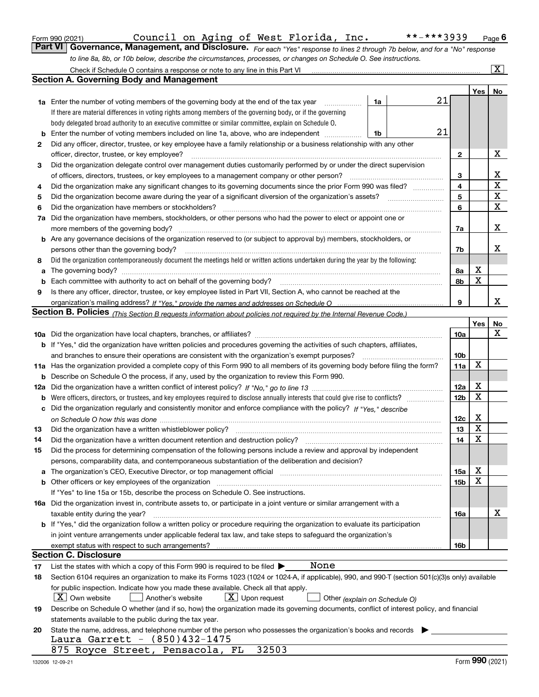|    | **-***3939<br>Council on Aging of West Florida, Inc.<br>Form 990 (2021)                                                                                               |                 |        | Page $6$           |  |  |  |  |  |  |  |  |
|----|-----------------------------------------------------------------------------------------------------------------------------------------------------------------------|-----------------|--------|--------------------|--|--|--|--|--|--|--|--|
|    | <b>Part VI</b><br>Governance, Management, and Disclosure. For each "Yes" response to lines 2 through 7b below, and for a "No" response                                |                 |        |                    |  |  |  |  |  |  |  |  |
|    | to line 8a, 8b, or 10b below, describe the circumstances, processes, or changes on Schedule O. See instructions.                                                      |                 |        |                    |  |  |  |  |  |  |  |  |
|    | Check if Schedule O contains a response or note to any line in this Part VI [11] [12] Check if Schedule O contains a response or note to any line in this Part VI     |                 |        | $\boxed{\text{X}}$ |  |  |  |  |  |  |  |  |
|    | <b>Section A. Governing Body and Management</b>                                                                                                                       |                 |        |                    |  |  |  |  |  |  |  |  |
|    |                                                                                                                                                                       |                 | Yes    | No                 |  |  |  |  |  |  |  |  |
|    | 21<br><b>1a</b> Enter the number of voting members of the governing body at the end of the tax year<br>1a                                                             |                 |        |                    |  |  |  |  |  |  |  |  |
|    | If there are material differences in voting rights among members of the governing body, or if the governing                                                           |                 |        |                    |  |  |  |  |  |  |  |  |
|    | body delegated broad authority to an executive committee or similar committee, explain on Schedule O.                                                                 |                 |        |                    |  |  |  |  |  |  |  |  |
| b  | 21<br>Enter the number of voting members included on line 1a, above, who are independent<br>1b                                                                        |                 |        |                    |  |  |  |  |  |  |  |  |
| 2  | Did any officer, director, trustee, or key employee have a family relationship or a business relationship with any other                                              |                 |        |                    |  |  |  |  |  |  |  |  |
|    | officer, director, trustee, or key employee?                                                                                                                          | $\mathbf{2}$    |        | X                  |  |  |  |  |  |  |  |  |
| 3  | Did the organization delegate control over management duties customarily performed by or under the direct supervision                                                 | 3               |        | X                  |  |  |  |  |  |  |  |  |
|    | of officers, directors, trustees, or key employees to a management company or other person?                                                                           |                 |        |                    |  |  |  |  |  |  |  |  |
| 4  | Did the organization make any significant changes to its governing documents since the prior Form 990 was filed?                                                      | 4               |        | $\mathbf X$        |  |  |  |  |  |  |  |  |
| 5  |                                                                                                                                                                       | 5               |        | $\mathbf X$        |  |  |  |  |  |  |  |  |
| 6  | Did the organization have members or stockholders?                                                                                                                    | 6               |        | X                  |  |  |  |  |  |  |  |  |
|    | 7a Did the organization have members, stockholders, or other persons who had the power to elect or appoint one or                                                     |                 |        |                    |  |  |  |  |  |  |  |  |
|    |                                                                                                                                                                       | 7a              |        | X                  |  |  |  |  |  |  |  |  |
|    | <b>b</b> Are any governance decisions of the organization reserved to (or subject to approval by) members, stockholders, or                                           |                 |        |                    |  |  |  |  |  |  |  |  |
|    | persons other than the governing body?                                                                                                                                | 7b              |        | X                  |  |  |  |  |  |  |  |  |
| 8  | Did the organization contemporaneously document the meetings held or written actions undertaken during the year by the following:                                     |                 |        |                    |  |  |  |  |  |  |  |  |
| a  |                                                                                                                                                                       | 8а              | X<br>X |                    |  |  |  |  |  |  |  |  |
| b  |                                                                                                                                                                       | 8b              |        |                    |  |  |  |  |  |  |  |  |
| 9  | Is there any officer, director, trustee, or key employee listed in Part VII, Section A, who cannot be reached at the                                                  |                 |        | x                  |  |  |  |  |  |  |  |  |
|    |                                                                                                                                                                       | 9               |        |                    |  |  |  |  |  |  |  |  |
|    | Section B. Policies (This Section B requests information about policies not required by the Internal Revenue Code.)                                                   |                 |        |                    |  |  |  |  |  |  |  |  |
|    |                                                                                                                                                                       | 10a             | Yes    | No<br>х            |  |  |  |  |  |  |  |  |
|    | <b>b</b> If "Yes," did the organization have written policies and procedures governing the activities of such chapters, affiliates,                                   |                 |        |                    |  |  |  |  |  |  |  |  |
|    | and branches to ensure their operations are consistent with the organization's exempt purposes?                                                                       | 10 <sub>b</sub> |        |                    |  |  |  |  |  |  |  |  |
|    | 11a Has the organization provided a complete copy of this Form 990 to all members of its governing body before filing the form?                                       | 11a             | X      |                    |  |  |  |  |  |  |  |  |
|    | <b>b</b> Describe on Schedule O the process, if any, used by the organization to review this Form 990.                                                                |                 |        |                    |  |  |  |  |  |  |  |  |
|    |                                                                                                                                                                       | 12a             | х      |                    |  |  |  |  |  |  |  |  |
|    |                                                                                                                                                                       | 12 <sub>b</sub> | X      |                    |  |  |  |  |  |  |  |  |
|    | c Did the organization regularly and consistently monitor and enforce compliance with the policy? If "Yes," describe                                                  |                 |        |                    |  |  |  |  |  |  |  |  |
|    |                                                                                                                                                                       | 12c             | х      |                    |  |  |  |  |  |  |  |  |
|    |                                                                                                                                                                       | 13              | X      |                    |  |  |  |  |  |  |  |  |
| 14 | Did the organization have a written document retention and destruction policy?<br>The organization have a written document retention and destruction policy?          | 14              | х      |                    |  |  |  |  |  |  |  |  |
| 15 | Did the process for determining compensation of the following persons include a review and approval by independent                                                    |                 |        |                    |  |  |  |  |  |  |  |  |
|    | persons, comparability data, and contemporaneous substantiation of the deliberation and decision?                                                                     |                 |        |                    |  |  |  |  |  |  |  |  |
| a  | The organization's CEO, Executive Director, or top management official manufactured content of the organization's CEO, Executive Director, or top management official | 15a             | X      |                    |  |  |  |  |  |  |  |  |
|    |                                                                                                                                                                       | 15 <sub>b</sub> | X      |                    |  |  |  |  |  |  |  |  |
|    | If "Yes" to line 15a or 15b, describe the process on Schedule O. See instructions.                                                                                    |                 |        |                    |  |  |  |  |  |  |  |  |
|    | 16a Did the organization invest in, contribute assets to, or participate in a joint venture or similar arrangement with a                                             |                 |        |                    |  |  |  |  |  |  |  |  |
|    | taxable entity during the year?                                                                                                                                       | 16a             |        | х                  |  |  |  |  |  |  |  |  |
|    | b If "Yes," did the organization follow a written policy or procedure requiring the organization to evaluate its participation                                        |                 |        |                    |  |  |  |  |  |  |  |  |
|    | in joint venture arrangements under applicable federal tax law, and take steps to safequard the organization's                                                        |                 |        |                    |  |  |  |  |  |  |  |  |
|    |                                                                                                                                                                       | 16b             |        |                    |  |  |  |  |  |  |  |  |
|    | <b>Section C. Disclosure</b>                                                                                                                                          |                 |        |                    |  |  |  |  |  |  |  |  |
| 17 | None<br>List the states with which a copy of this Form 990 is required to be filed $\blacktriangleright$                                                              |                 |        |                    |  |  |  |  |  |  |  |  |
| 18 | Section 6104 requires an organization to make its Forms 1023 (1024 or 1024-A, if applicable), 990, and 990-T (section 501(c)(3)s only) available                      |                 |        |                    |  |  |  |  |  |  |  |  |
|    | for public inspection. Indicate how you made these available. Check all that apply.                                                                                   |                 |        |                    |  |  |  |  |  |  |  |  |
|    | X   Own website<br>$X$ Upon request<br>Another's website<br>Other (explain on Schedule O)                                                                             |                 |        |                    |  |  |  |  |  |  |  |  |
| 19 | Describe on Schedule O whether (and if so, how) the organization made its governing documents, conflict of interest policy, and financial                             |                 |        |                    |  |  |  |  |  |  |  |  |
|    | statements available to the public during the tax year.                                                                                                               |                 |        |                    |  |  |  |  |  |  |  |  |
| 20 | State the name, address, and telephone number of the person who possesses the organization's books and records                                                        |                 |        |                    |  |  |  |  |  |  |  |  |
|    | Laura Garrett - (850)432-1475                                                                                                                                         |                 |        |                    |  |  |  |  |  |  |  |  |
|    | 32503<br>875 Royce Street, Pensacola, FL                                                                                                                              |                 |        |                    |  |  |  |  |  |  |  |  |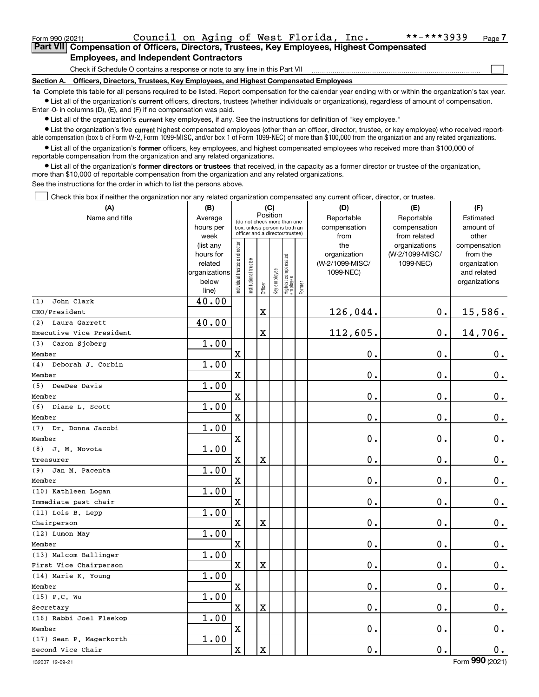Form 990 (2021) Council on Aging of West Florida, Inc. \*\*-\*\*\*3939 <sub>Page</sub>

 $\mathcal{L}^{\text{max}}$ 

# **7Part VII Compensation of Officers, Directors, Trustees, Key Employees, Highest Compensated Employees, and Independent Contractors**

Check if Schedule O contains a response or note to any line in this Part VII

**Section A. Officers, Directors, Trustees, Key Employees, and Highest Compensated Employees**

**1a**  Complete this table for all persons required to be listed. Report compensation for the calendar year ending with or within the organization's tax year. **•** List all of the organization's current officers, directors, trustees (whether individuals or organizations), regardless of amount of compensation.

Enter -0- in columns (D), (E), and (F) if no compensation was paid.

 $\bullet$  List all of the organization's  $\sf current$  key employees, if any. See the instructions for definition of "key employee."

**•** List the organization's five current highest compensated employees (other than an officer, director, trustee, or key employee) who received reportable compensation (box 5 of Form W-2, Form 1099-MISC, and/or box 1 of Form 1099-NEC) of more than \$100,000 from the organization and any related organizations.

**•** List all of the organization's former officers, key employees, and highest compensated employees who received more than \$100,000 of reportable compensation from the organization and any related organizations.

**former directors or trustees**  ¥ List all of the organization's that received, in the capacity as a former director or trustee of the organization, more than \$10,000 of reportable compensation from the organization and any related organizations.

See the instructions for the order in which to list the persons above.

Check this box if neither the organization nor any related organization compensated any current officer, director, or trustee.  $\mathcal{L}^{\text{max}}$ 

| (A)                      | (B)                                                                          | (C)                                                                                                         |                      |                         |              |                                   |        | (D)                                                         | (E)                                                           | (F)                                                                               |  |  |  |
|--------------------------|------------------------------------------------------------------------------|-------------------------------------------------------------------------------------------------------------|----------------------|-------------------------|--------------|-----------------------------------|--------|-------------------------------------------------------------|---------------------------------------------------------------|-----------------------------------------------------------------------------------|--|--|--|
| Name and title           | Average<br>hours per                                                         | Position<br>(do not check more than one<br>box, unless person is both an<br>officer and a director/trustee) |                      |                         |              |                                   |        | Reportable<br>compensation                                  | Reportable<br>compensation                                    | Estimated<br>amount of                                                            |  |  |  |
|                          | week<br>(list any<br>hours for<br>related<br>organizations<br>below<br>line) | ndividual trustee or director                                                                               | nstitutional trustee | Officer                 | Key employee | Highest compensated<br>  employee | Former | from<br>the<br>organization<br>(W-2/1099-MISC/<br>1099-NEC) | from related<br>organizations<br>(W-2/1099-MISC/<br>1099-NEC) | other<br>compensation<br>from the<br>organization<br>and related<br>organizations |  |  |  |
| John Clark<br>(1)        | 40.00                                                                        |                                                                                                             |                      |                         |              |                                   |        |                                                             |                                                               |                                                                                   |  |  |  |
| CEO/President            |                                                                              |                                                                                                             |                      | $\overline{\textbf{X}}$ |              |                                   |        | 126,044.                                                    | 0.                                                            | 15,586.                                                                           |  |  |  |
| Laura Garrett<br>(2)     | 40.00                                                                        |                                                                                                             |                      |                         |              |                                   |        |                                                             |                                                               |                                                                                   |  |  |  |
| Executive Vice President |                                                                              |                                                                                                             |                      | $\overline{\textbf{X}}$ |              |                                   |        | 112,605.                                                    | 0.                                                            | 14,706.                                                                           |  |  |  |
| Caron Sjoberg<br>(3)     | 1.00                                                                         |                                                                                                             |                      |                         |              |                                   |        |                                                             |                                                               |                                                                                   |  |  |  |
| Member                   |                                                                              | $\mathbf X$                                                                                                 |                      |                         |              |                                   |        | 0.                                                          | $\mathbf 0$ .                                                 | $0_{.}$                                                                           |  |  |  |
| Deborah J. Corbin<br>(4) | 1.00                                                                         |                                                                                                             |                      |                         |              |                                   |        |                                                             |                                                               |                                                                                   |  |  |  |
| Member                   |                                                                              | $\mathbf x$                                                                                                 |                      |                         |              |                                   |        | 0.                                                          | 0.                                                            | $\mathbf 0$ .                                                                     |  |  |  |
| (5)<br>DeeDee Davis      | 1.00                                                                         |                                                                                                             |                      |                         |              |                                   |        |                                                             |                                                               |                                                                                   |  |  |  |
| Member                   |                                                                              | $\mathbf X$                                                                                                 |                      |                         |              |                                   |        | 0.                                                          | 0.                                                            | $0_{.}$                                                                           |  |  |  |
| (6)<br>Diane L. Scott    | 1.00                                                                         |                                                                                                             |                      |                         |              |                                   |        |                                                             |                                                               |                                                                                   |  |  |  |
| Member                   |                                                                              | $\mathbf x$                                                                                                 |                      |                         |              |                                   |        | 0.                                                          | 0.                                                            | $0_{.}$                                                                           |  |  |  |
| (7)<br>Dr. Donna Jacobi  | 1.00                                                                         |                                                                                                             |                      |                         |              |                                   |        |                                                             |                                                               |                                                                                   |  |  |  |
| Member                   |                                                                              | $\mathbf X$                                                                                                 |                      |                         |              |                                   |        | 0.                                                          | 0.                                                            | $0_{.}$                                                                           |  |  |  |
| (8)<br>J. M. Novota      | 1.00                                                                         |                                                                                                             |                      |                         |              |                                   |        |                                                             |                                                               |                                                                                   |  |  |  |
| Treasurer                |                                                                              | $\rm X$                                                                                                     |                      | X                       |              |                                   |        | 0.                                                          | $\mathbf 0$ .                                                 | $\mathbf 0$ .                                                                     |  |  |  |
| (9)<br>Jan M. Pacenta    | 1.00                                                                         |                                                                                                             |                      |                         |              |                                   |        |                                                             |                                                               |                                                                                   |  |  |  |
| Member                   |                                                                              | $\mathbf X$                                                                                                 |                      |                         |              |                                   |        | 0.                                                          | 0.                                                            | $\mathbf 0$ .                                                                     |  |  |  |
| (10) Kathleen Logan      | 1.00                                                                         |                                                                                                             |                      |                         |              |                                   |        |                                                             |                                                               |                                                                                   |  |  |  |
| Immediate past chair     |                                                                              | $\mathbf X$                                                                                                 |                      |                         |              |                                   |        | 0.                                                          | $\mathbf 0$ .                                                 | $0_{.}$                                                                           |  |  |  |
| (11) Lois B. Lepp        | 1.00                                                                         |                                                                                                             |                      |                         |              |                                   |        |                                                             |                                                               |                                                                                   |  |  |  |
| Chairperson              |                                                                              | $\mathbf x$                                                                                                 |                      | X                       |              |                                   |        | 0.                                                          | $\mathbf 0$ .                                                 | $0_{.}$                                                                           |  |  |  |
| (12) Lumon May           | 1.00                                                                         |                                                                                                             |                      |                         |              |                                   |        |                                                             |                                                               |                                                                                   |  |  |  |
| Member                   |                                                                              | $\mathbf x$                                                                                                 |                      |                         |              |                                   |        | $0$ .                                                       | $\mathbf 0$ .                                                 | $0_{.}$                                                                           |  |  |  |
| (13) Malcom Ballinger    | 1.00                                                                         |                                                                                                             |                      |                         |              |                                   |        |                                                             |                                                               |                                                                                   |  |  |  |
| First Vice Chairperson   |                                                                              | $\mathbf X$                                                                                                 |                      | X                       |              |                                   |        | $0$ .                                                       | $\mathbf 0$ .                                                 | $0_{.}$                                                                           |  |  |  |
| (14) Marie K. Young      | 1.00                                                                         |                                                                                                             |                      |                         |              |                                   |        |                                                             |                                                               |                                                                                   |  |  |  |
| Member                   |                                                                              | X                                                                                                           |                      |                         |              |                                   |        | $\mathbf 0$ .                                               | 0.                                                            | $\mathbf 0$ .                                                                     |  |  |  |
| (15) P.C. Wu             | 1.00                                                                         |                                                                                                             |                      |                         |              |                                   |        |                                                             |                                                               |                                                                                   |  |  |  |
| Secretary                |                                                                              | $\mathbf X$                                                                                                 |                      | X                       |              |                                   |        | 0.                                                          | 0.                                                            | $0_{.}$                                                                           |  |  |  |
| (16) Rabbi Joel Fleekop  | 1.00                                                                         |                                                                                                             |                      |                         |              |                                   |        |                                                             |                                                               |                                                                                   |  |  |  |
| Member                   |                                                                              | X                                                                                                           |                      |                         |              |                                   |        | 0.                                                          | 0.                                                            | $\mathbf 0$ .                                                                     |  |  |  |
| (17) Sean P. Magerkorth  | 1.00                                                                         |                                                                                                             |                      |                         |              |                                   |        |                                                             |                                                               |                                                                                   |  |  |  |
| Second Vice Chair        |                                                                              | $\mathbf X$                                                                                                 |                      | X                       |              |                                   |        | $0$ .                                                       | 0.                                                            | $\mathbf 0$ .                                                                     |  |  |  |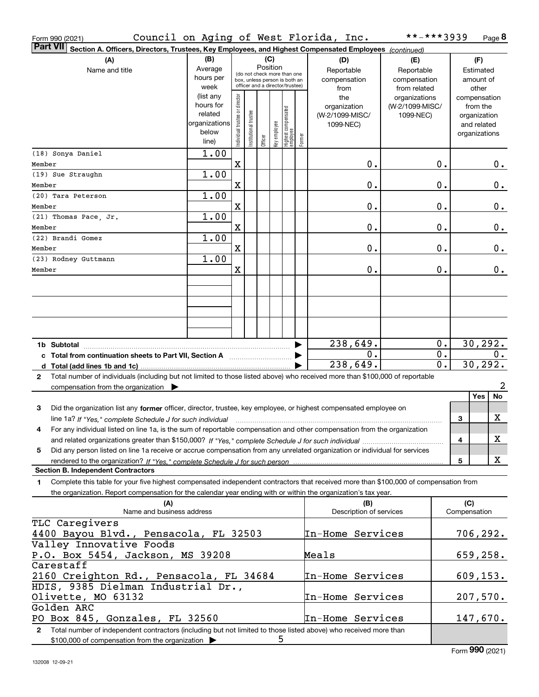| Form 990 (2021)                                                                                                                                 |               |                                |                                         |                                 |              |                                   |        | Council on Aging of West Florida, Inc. | **-***3939      |                             |              |               | Page 8    |
|-------------------------------------------------------------------------------------------------------------------------------------------------|---------------|--------------------------------|-----------------------------------------|---------------------------------|--------------|-----------------------------------|--------|----------------------------------------|-----------------|-----------------------------|--------------|---------------|-----------|
| Part VII<br>Section A. Officers, Directors, Trustees, Key Employees, and Highest Compensated Employees (continued)                              |               |                                |                                         |                                 |              |                                   |        |                                        |                 |                             |              |               |           |
| (B)<br>(A)                                                                                                                                      |               |                                |                                         |                                 | (C)          |                                   |        | (D)                                    | (E)             |                             |              | (F)           |           |
| Average<br>Name and title                                                                                                                       |               |                                | Position<br>(do not check more than one |                                 |              |                                   |        |                                        | Reportable      |                             |              | Estimated     |           |
|                                                                                                                                                 | hours per     |                                |                                         | box, unless person is both an   |              |                                   |        | compensation                           | compensation    |                             |              | amount of     |           |
|                                                                                                                                                 | week          |                                |                                         | officer and a director/trustee) |              |                                   |        | from                                   | from related    |                             |              | other         |           |
|                                                                                                                                                 | (list any     |                                |                                         |                                 |              |                                   |        | the                                    | organizations   |                             |              | compensation  |           |
|                                                                                                                                                 | hours for     |                                |                                         |                                 |              |                                   |        | organization                           | (W-2/1099-MISC/ |                             |              | from the      |           |
|                                                                                                                                                 | related       |                                |                                         |                                 |              |                                   |        | (W-2/1099-MISC/                        | 1099-NEC)       |                             |              | organization  |           |
|                                                                                                                                                 | organizations |                                |                                         |                                 |              |                                   |        | 1099-NEC)                              |                 |                             |              | and related   |           |
|                                                                                                                                                 | below         | Individual trustee or director | Institutional trustee                   | Officer                         | key employee | Highest compensated<br>  employee | Former |                                        |                 |                             |              | organizations |           |
|                                                                                                                                                 | line)         |                                |                                         |                                 |              |                                   |        |                                        |                 |                             |              |               |           |
| (18) Sonya Daniel                                                                                                                               | 1.00          |                                |                                         |                                 |              |                                   |        |                                        |                 |                             |              |               |           |
| Member                                                                                                                                          |               | Χ                              |                                         |                                 |              |                                   |        | 0.                                     |                 | 0.                          |              |               | $0$ .     |
| (19) Sue Straughn                                                                                                                               | 1.00          |                                |                                         |                                 |              |                                   |        |                                        |                 |                             |              |               |           |
| Member                                                                                                                                          |               | Χ                              |                                         |                                 |              |                                   |        | 0.                                     |                 | 0.                          |              |               | $0$ .     |
| (20) Tara Peterson                                                                                                                              | 1.00          |                                |                                         |                                 |              |                                   |        |                                        |                 |                             |              |               |           |
| Member                                                                                                                                          |               | Χ                              |                                         |                                 |              |                                   |        | 0.                                     |                 | 0.                          |              |               | 0.        |
| (21) Thomas Pace, Jr.                                                                                                                           | 1.00          |                                |                                         |                                 |              |                                   |        |                                        |                 |                             |              |               |           |
| Member                                                                                                                                          |               | $\mathbf X$                    |                                         |                                 |              |                                   |        | 0.                                     |                 | 0.                          |              |               | 0.        |
| (22) Brandi Gomez                                                                                                                               | 1.00          |                                |                                         |                                 |              |                                   |        |                                        |                 |                             |              |               |           |
| Member                                                                                                                                          |               | $\mathbf X$                    |                                         |                                 |              |                                   |        | 0.                                     |                 | 0.                          |              |               | $0\,.$    |
| (23) Rodney Guttmann                                                                                                                            | 1.00          |                                |                                         |                                 |              |                                   |        |                                        |                 |                             |              |               |           |
| Member                                                                                                                                          |               | X                              |                                         |                                 |              |                                   |        | 0.                                     |                 | 0.                          |              |               | 0.        |
|                                                                                                                                                 |               |                                |                                         |                                 |              |                                   |        |                                        |                 |                             |              |               |           |
|                                                                                                                                                 |               |                                |                                         |                                 |              |                                   |        |                                        |                 |                             |              |               |           |
|                                                                                                                                                 |               |                                |                                         |                                 |              |                                   |        |                                        |                 |                             |              |               |           |
|                                                                                                                                                 |               |                                |                                         |                                 |              |                                   |        |                                        |                 |                             |              |               |           |
|                                                                                                                                                 |               |                                |                                         |                                 |              |                                   |        |                                        |                 |                             |              |               |           |
|                                                                                                                                                 |               |                                |                                         |                                 |              |                                   |        |                                        |                 |                             |              |               |           |
| 1b Subtotal                                                                                                                                     |               |                                |                                         |                                 |              |                                   |        | 238,649.                               |                 | 0.                          |              |               | 30, 292.  |
| c Total from continuation sheets to Part VII, Section A                                                                                         |               |                                |                                         |                                 |              |                                   |        | $0$ .                                  |                 | $\overline{0}$ .            |              |               | 0.        |
|                                                                                                                                                 |               |                                |                                         |                                 |              |                                   |        | 238,649.                               |                 | $\overline{\mathfrak{o}}$ . |              |               | 30, 292.  |
| Total number of individuals (including but not limited to those listed above) who received more than \$100,000 of reportable                    |               |                                |                                         |                                 |              |                                   |        |                                        |                 |                             |              |               |           |
| 2                                                                                                                                               |               |                                |                                         |                                 |              |                                   |        |                                        |                 |                             |              |               | 2         |
| compensation from the organization $\blacktriangleright$                                                                                        |               |                                |                                         |                                 |              |                                   |        |                                        |                 |                             |              | Yes           | No        |
|                                                                                                                                                 |               |                                |                                         |                                 |              |                                   |        |                                        |                 |                             |              |               |           |
| 3<br>Did the organization list any former officer, director, trustee, key employee, or highest compensated employee on                          |               |                                |                                         |                                 |              |                                   |        |                                        |                 |                             |              |               |           |
| line 1a? If "Yes," complete Schedule J for such individual manufactured contained and the 1a? If "Yes," complete Schedule J for such individual |               |                                |                                         |                                 |              |                                   |        |                                        |                 |                             | 3            |               | х         |
| For any individual listed on line 1a, is the sum of reportable compensation and other compensation from the organization<br>4                   |               |                                |                                         |                                 |              |                                   |        |                                        |                 |                             |              |               |           |
|                                                                                                                                                 |               |                                |                                         |                                 |              |                                   |        |                                        |                 |                             | 4            |               | Х         |
| Did any person listed on line 1a receive or accrue compensation from any unrelated organization or individual for services<br>5                 |               |                                |                                         |                                 |              |                                   |        |                                        |                 |                             |              |               |           |
|                                                                                                                                                 |               |                                |                                         |                                 |              |                                   |        |                                        |                 |                             | 5            |               | X         |
| <b>Section B. Independent Contractors</b>                                                                                                       |               |                                |                                         |                                 |              |                                   |        |                                        |                 |                             |              |               |           |
| Complete this table for your five highest compensated independent contractors that received more than \$100,000 of compensation from<br>1       |               |                                |                                         |                                 |              |                                   |        |                                        |                 |                             |              |               |           |
| the organization. Report compensation for the calendar year ending with or within the organization's tax year.                                  |               |                                |                                         |                                 |              |                                   |        |                                        |                 |                             |              |               |           |
| (A)                                                                                                                                             |               |                                |                                         |                                 |              |                                   |        | (B)                                    |                 |                             | (C)          |               |           |
| Name and business address                                                                                                                       |               |                                |                                         |                                 |              |                                   |        | Description of services                |                 |                             | Compensation |               |           |
| TLC Caregivers                                                                                                                                  |               |                                |                                         |                                 |              |                                   |        |                                        |                 |                             |              |               |           |
| 4400 Bayou Blvd., Pensacola, FL 32503                                                                                                           |               |                                |                                         |                                 |              |                                   |        | In-Home Services                       |                 |                             |              |               | 706, 292. |
| Valley Innovative Foods                                                                                                                         |               |                                |                                         |                                 |              |                                   |        |                                        |                 |                             |              |               |           |
|                                                                                                                                                 |               |                                |                                         |                                 |              |                                   |        |                                        |                 |                             |              |               |           |
| P.O. Box 5454, Jackson, MS 39208                                                                                                                |               |                                |                                         |                                 |              |                                   |        | Meals                                  |                 |                             |              |               | 659, 258. |
| Carestaff                                                                                                                                       |               |                                |                                         |                                 |              |                                   |        |                                        |                 |                             |              |               |           |
| 2160 Creighton Rd., Pensacola, FL 34684                                                                                                         |               |                                |                                         |                                 |              |                                   |        | In-Home Services                       |                 |                             |              |               | 609, 153. |
| HDIS, 9385 Dielman Industrial Dr.,                                                                                                              |               |                                |                                         |                                 |              |                                   |        |                                        |                 |                             |              |               |           |
| Olivette, MO 63132                                                                                                                              |               |                                |                                         |                                 |              |                                   |        | In-Home Services                       |                 |                             |              |               | 207,570.  |
| Golden ARC                                                                                                                                      |               |                                |                                         |                                 |              |                                   |        |                                        |                 |                             |              |               |           |
| PO Box 845, Gonzales, FL 32560                                                                                                                  |               |                                |                                         |                                 |              |                                   |        | In-Home Services                       |                 |                             |              |               | 147,670.  |
| Total number of independent contractors (including but not limited to those listed above) who received more than<br>$\mathbf{2}$                |               |                                |                                         |                                 |              |                                   |        |                                        |                 |                             |              |               |           |
| \$100,000 of compensation from the organization                                                                                                 |               |                                |                                         |                                 | 5            |                                   |        |                                        |                 |                             |              |               |           |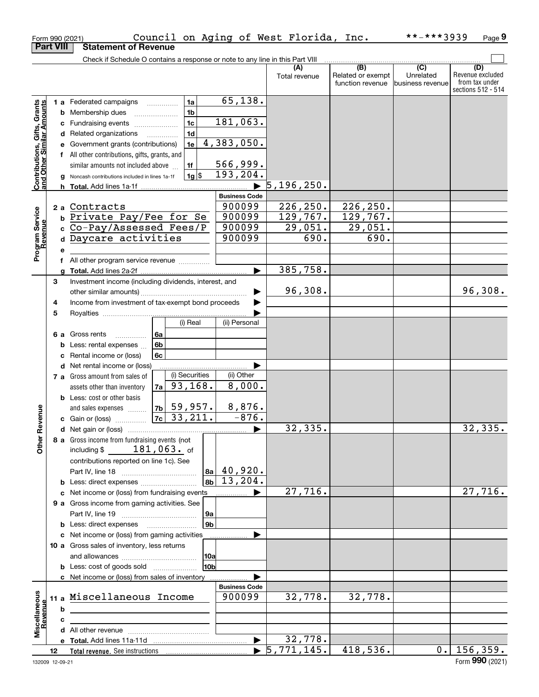|                                                           |    |   | Council on Aging of West Florida,<br>Form 990 (2021)                          |                       |                                  | Inc.                                         | **-***3939                                        | Page 9                                                          |  |
|-----------------------------------------------------------|----|---|-------------------------------------------------------------------------------|-----------------------|----------------------------------|----------------------------------------------|---------------------------------------------------|-----------------------------------------------------------------|--|
| <b>Part VIII</b><br><b>Statement of Revenue</b>           |    |   |                                                                               |                       |                                  |                                              |                                                   |                                                                 |  |
|                                                           |    |   | Check if Schedule O contains a response or note to any line in this Part VIII |                       |                                  |                                              |                                                   |                                                                 |  |
|                                                           |    |   |                                                                               |                       | (A)<br>Total revenue             | (B)<br>Related or exempt<br>function revenue | $\overline{(C)}$<br>Unrelated<br>business revenue | (D)<br>Revenue excluded<br>from tax under<br>sections 512 - 514 |  |
|                                                           |    |   | 1a<br>1 a Federated campaigns                                                 | 65, 138.              |                                  |                                              |                                                   |                                                                 |  |
|                                                           |    |   | 1 <sub>b</sub><br><b>b</b> Membership dues                                    |                       |                                  |                                              |                                                   |                                                                 |  |
|                                                           |    |   | $\ldots \ldots \ldots \ldots \ldots$<br>1 <sub>c</sub>                        | 181,063.              |                                  |                                              |                                                   |                                                                 |  |
|                                                           |    |   | c Fundraising events<br>1 <sub>d</sub>                                        |                       |                                  |                                              |                                                   |                                                                 |  |
|                                                           |    |   | d Related organizations                                                       | 4,383,050.            |                                  |                                              |                                                   |                                                                 |  |
|                                                           |    |   | 1e<br>e Government grants (contributions)                                     |                       |                                  |                                              |                                                   |                                                                 |  |
|                                                           |    |   | f All other contributions, gifts, grants, and                                 |                       |                                  |                                              |                                                   |                                                                 |  |
| Contributions, Gifts, Grants<br>and Other Similar Amounts |    |   | 1f<br>similar amounts not included above                                      | 566,999.              |                                  |                                              |                                                   |                                                                 |  |
|                                                           |    | g | $1g$ \$<br>Noncash contributions included in lines 1a-1f                      | 193, 204.             |                                  |                                              |                                                   |                                                                 |  |
|                                                           |    |   |                                                                               |                       | 5, 196, 250.                     |                                              |                                                   |                                                                 |  |
|                                                           |    |   |                                                                               | <b>Business Code</b>  |                                  |                                              |                                                   |                                                                 |  |
|                                                           |    |   | 2 a Contracts                                                                 | 900099                | 226, 250.                        | 226, 250.                                    |                                                   |                                                                 |  |
| Program Service<br>Revenue                                |    |   | b Private Pay/Fee for Se                                                      | 900099                | 129,767.                         | 129,767.                                     |                                                   |                                                                 |  |
|                                                           |    |   | c Co-Pay/Assessed Fees/P                                                      | 900099                | 29,051.                          | 29,051.                                      |                                                   |                                                                 |  |
|                                                           |    |   | d Daycare activities                                                          | 900099                | 690.                             | 690.                                         |                                                   |                                                                 |  |
|                                                           |    | е |                                                                               |                       |                                  |                                              |                                                   |                                                                 |  |
|                                                           |    |   | f All other program service revenue                                           |                       |                                  |                                              |                                                   |                                                                 |  |
|                                                           |    |   |                                                                               |                       | 385,758.                         |                                              |                                                   |                                                                 |  |
|                                                           | 3  |   | Investment income (including dividends, interest, and                         |                       |                                  |                                              |                                                   |                                                                 |  |
|                                                           |    |   |                                                                               |                       | 96,308.                          |                                              |                                                   | 96, 308.                                                        |  |
|                                                           | 4  |   | Income from investment of tax-exempt bond proceeds                            |                       |                                  |                                              |                                                   |                                                                 |  |
|                                                           | 5  |   |                                                                               |                       |                                  |                                              |                                                   |                                                                 |  |
|                                                           |    |   | (i) Real                                                                      | (ii) Personal         |                                  |                                              |                                                   |                                                                 |  |
|                                                           |    |   | 6 a Gross rents<br>6а<br>.                                                    |                       |                                  |                                              |                                                   |                                                                 |  |
|                                                           |    |   | 6 <sub>b</sub><br><b>b</b> Less: rental expenses                              |                       |                                  |                                              |                                                   |                                                                 |  |
|                                                           |    |   | c Rental income or (loss)<br>6c                                               |                       |                                  |                                              |                                                   |                                                                 |  |
|                                                           |    |   | d Net rental income or (loss)                                                 |                       |                                  |                                              |                                                   |                                                                 |  |
|                                                           |    |   | (i) Securities<br>7 a Gross amount from sales of                              | (ii) Other            |                                  |                                              |                                                   |                                                                 |  |
|                                                           |    |   | 93,168.<br>assets other than inventory<br>7al                                 | 8,000.                |                                  |                                              |                                                   |                                                                 |  |
|                                                           |    |   | <b>b</b> Less: cost or other basis                                            |                       |                                  |                                              |                                                   |                                                                 |  |
|                                                           |    |   | 59,957.<br>7b                                                                 | 8,876.                |                                  |                                              |                                                   |                                                                 |  |
| evenue                                                    |    |   | and sales expenses <i>manufacture</i><br>33,211.<br>7c                        | $-876.$               |                                  |                                              |                                                   |                                                                 |  |
|                                                           |    |   | c Gain or (loss)                                                              |                       | 32, 335.                         |                                              |                                                   | 32,335.                                                         |  |
| Œ                                                         |    |   |                                                                               |                       |                                  |                                              |                                                   |                                                                 |  |
| Other                                                     |    |   | 8 a Gross income from fundraising events (not<br>including $$181,063.$ of     |                       |                                  |                                              |                                                   |                                                                 |  |
|                                                           |    |   |                                                                               |                       |                                  |                                              |                                                   |                                                                 |  |
|                                                           |    |   | contributions reported on line 1c). See                                       |                       |                                  |                                              |                                                   |                                                                 |  |
|                                                           |    |   | 8a                                                                            | 40,920.<br>13, 204.   |                                  |                                              |                                                   |                                                                 |  |
|                                                           |    |   | 8bl                                                                           |                       |                                  |                                              |                                                   |                                                                 |  |
|                                                           |    |   | c Net income or (loss) from fundraising events                                | .                     | 27,716.                          |                                              |                                                   | 27,716.                                                         |  |
|                                                           |    |   | 9 a Gross income from gaming activities. See                                  |                       |                                  |                                              |                                                   |                                                                 |  |
|                                                           |    |   | 9a                                                                            |                       |                                  |                                              |                                                   |                                                                 |  |
|                                                           |    |   | 9 <sub>b</sub><br><b>b</b> Less: direct expenses <b>manually</b>              |                       |                                  |                                              |                                                   |                                                                 |  |
|                                                           |    |   | c Net income or (loss) from gaming activities                                 |                       |                                  |                                              |                                                   |                                                                 |  |
|                                                           |    |   | 10 a Gross sales of inventory, less returns                                   |                       |                                  |                                              |                                                   |                                                                 |  |
|                                                           |    |   | 10a                                                                           |                       |                                  |                                              |                                                   |                                                                 |  |
|                                                           |    |   | 10b<br><b>b</b> Less: cost of goods sold                                      |                       |                                  |                                              |                                                   |                                                                 |  |
|                                                           |    |   | c Net income or (loss) from sales of inventory                                |                       |                                  |                                              |                                                   |                                                                 |  |
|                                                           |    |   |                                                                               | <b>Business Code</b>  |                                  |                                              |                                                   |                                                                 |  |
|                                                           |    |   | 11 a Miscellaneous Income                                                     | 900099                | 32,778.                          | 32,778.                                      |                                                   |                                                                 |  |
|                                                           |    | b | <u> 1989 - Jan Sterlingen, skrivatsk politik (d. 1989)</u>                    |                       |                                  |                                              |                                                   |                                                                 |  |
|                                                           |    | c |                                                                               |                       |                                  |                                              |                                                   |                                                                 |  |
| Miscellaneous<br>Revenue                                  |    |   |                                                                               |                       |                                  |                                              |                                                   |                                                                 |  |
|                                                           |    |   |                                                                               | $\blacktriangleright$ | 32,778.                          |                                              |                                                   |                                                                 |  |
|                                                           | 12 |   |                                                                               |                       | $\blacktriangleright$ 5,771,145. | 418,536.                                     | 0.1                                               | 156,359.                                                        |  |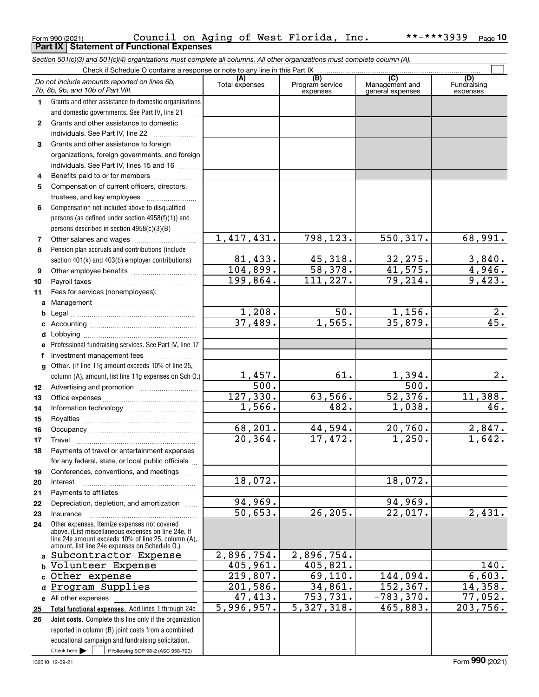|    | Do not include amounts reported on lines 6b,<br>7b, 8b, 9b, and 10b of Part VIII.                                                                            | (A)<br>Total expenses | (B)<br>Program service<br>expenses | (C)<br>Management and<br>general expenses | (D)<br>Fundraising<br>expenses |
|----|--------------------------------------------------------------------------------------------------------------------------------------------------------------|-----------------------|------------------------------------|-------------------------------------------|--------------------------------|
| 1  | Grants and other assistance to domestic organizations                                                                                                        |                       |                                    |                                           |                                |
|    | and domestic governments. See Part IV, line 21                                                                                                               |                       |                                    |                                           |                                |
| 2  | Grants and other assistance to domestic                                                                                                                      |                       |                                    |                                           |                                |
|    | individuals. See Part IV, line 22                                                                                                                            |                       |                                    |                                           |                                |
| 3  | Grants and other assistance to foreign                                                                                                                       |                       |                                    |                                           |                                |
|    | organizations, foreign governments, and foreign                                                                                                              |                       |                                    |                                           |                                |
|    | individuals. See Part IV, lines 15 and 16                                                                                                                    |                       |                                    |                                           |                                |
| 4  | Benefits paid to or for members                                                                                                                              |                       |                                    |                                           |                                |
| 5  | Compensation of current officers, directors,                                                                                                                 |                       |                                    |                                           |                                |
|    | trustees, and key employees                                                                                                                                  |                       |                                    |                                           |                                |
| 6  | Compensation not included above to disqualified                                                                                                              |                       |                                    |                                           |                                |
|    | persons (as defined under section 4958(f)(1)) and                                                                                                            |                       |                                    |                                           |                                |
|    | persons described in section $4958(c)(3)(B)$                                                                                                                 |                       |                                    |                                           |                                |
| 7  |                                                                                                                                                              | 1,417,431.            | 798,123.                           | 550, 317.                                 | 68,991.                        |
| 8  | Pension plan accruals and contributions (include                                                                                                             |                       |                                    |                                           |                                |
|    | section 401(k) and 403(b) employer contributions)                                                                                                            | 81,433.               | 45,318.                            | 32,275.                                   |                                |
| 9  |                                                                                                                                                              | 104,899.              | 58,378.                            | 41,575.                                   | $\frac{3,840}{4,946}$          |
| 10 |                                                                                                                                                              | 199,864.              | 111, 227.                          | 79,214.                                   | 9,423.                         |
| 11 | Fees for services (nonemployees):                                                                                                                            |                       |                                    |                                           |                                |
|    |                                                                                                                                                              |                       |                                    |                                           |                                |
| а  |                                                                                                                                                              | 1,208.                | 50.                                | 1,156.                                    | 2.                             |
| b  |                                                                                                                                                              | 37,489.               | 1,565.                             | 35,879.                                   | $\overline{45}$ .              |
| c  |                                                                                                                                                              |                       |                                    |                                           |                                |
| d  |                                                                                                                                                              |                       |                                    |                                           |                                |
| е  | Professional fundraising services. See Part IV, line 17                                                                                                      |                       |                                    |                                           |                                |
| f  | Investment management fees                                                                                                                                   |                       |                                    |                                           |                                |
| g  | Other. (If line 11g amount exceeds 10% of line 25,                                                                                                           | 1,457.                | 61.                                |                                           | 2.                             |
|    | column (A), amount, list line 11g expenses on Sch O.)                                                                                                        | $\overline{500}$ .    |                                    | $\frac{1,394.}{500.}$                     |                                |
| 12 |                                                                                                                                                              | 127,330.              | 63,566.                            | 52,376.                                   | 11,388.                        |
| 13 |                                                                                                                                                              | 1,566.                | 482.                               | 1,038.                                    | 46.                            |
| 14 |                                                                                                                                                              |                       |                                    |                                           |                                |
| 15 |                                                                                                                                                              | 68,201.               | 44,594.                            | 20,760.                                   | 2,847.                         |
| 16 |                                                                                                                                                              | 20, 364.              | 17,472.                            | 1,250.                                    | 1,642.                         |
| 17 | Travel                                                                                                                                                       |                       |                                    |                                           |                                |
| 18 | Payments of travel or entertainment expenses                                                                                                                 |                       |                                    |                                           |                                |
|    | for any federal, state, or local public officials                                                                                                            |                       |                                    |                                           |                                |
| 19 | Conferences, conventions, and meetings                                                                                                                       | 18,072.               |                                    | 18,072.                                   |                                |
| 20 | Interest                                                                                                                                                     |                       |                                    |                                           |                                |
| 21 | Depreciation, depletion, and amortization                                                                                                                    | 94,969.               |                                    | 94,969.                                   |                                |
| 22 |                                                                                                                                                              | 50,653.               | 26, 205.                           | 22,017.                                   | $\overline{2,431}$ .           |
| 23 | Insurance<br>Other expenses. Itemize expenses not covered                                                                                                    |                       |                                    |                                           |                                |
| 24 | above. (List miscellaneous expenses on line 24e. If<br>line 24e amount exceeds 10% of line 25, column (A),<br>amount, list line 24e expenses on Schedule 0.) |                       |                                    |                                           |                                |
| a  | Subcontractor Expense                                                                                                                                        | 2,896,754.            | 2,896,754.                         |                                           |                                |
|    | b Volunteer Expense                                                                                                                                          | 405,961.              | 405,821.                           |                                           | 140.                           |
| C. | Other expense                                                                                                                                                | 219,807.              | 69, 110.                           | 144,094.                                  | 6,603.                         |
|    | d Program Supplies                                                                                                                                           | 201,586.              | 34,861.                            | 152, 367.                                 | 14,358.                        |
|    | e All other expenses                                                                                                                                         | 47,413.               | 753, 731.                          | $-783,370.$                               | 77,052.                        |
| 25 | Total functional expenses. Add lines 1 through 24e                                                                                                           | 5,996,957.            | 5,327,318.                         | 465,883.                                  | 203,756.                       |
| 26 | Joint costs. Complete this line only if the organization                                                                                                     |                       |                                    |                                           |                                |
|    | reported in column (B) joint costs from a combined                                                                                                           |                       |                                    |                                           |                                |
|    | educational campaign and fundraising solicitation.                                                                                                           |                       |                                    |                                           |                                |
|    | Check here $\blacktriangleright$<br>if following SOP 98-2 (ASC 958-720)                                                                                      |                       |                                    |                                           |                                |

Form 990 (2021) Page **10 Part IX Statement of Functional Expenses** Council on Aging of West Florida, Inc. \*\*-\*\*\*3939

Check if Schedule O contains a response or note to any line in this Part IX

*Section 501(c)(3) and 501(c)(4) organizations must complete all columns. All other organizations must complete column (A).*

 $\mathcal{L}^{\text{max}}$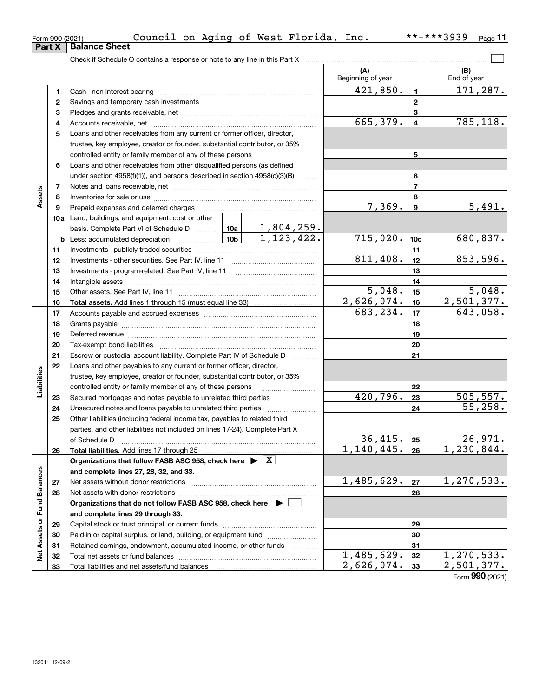**Net Assets or Fund Balances**

Net Assets or Fund Balances

|                  | Form 990 (2021)<br>Part X | Council on Aging of West Florida, Inc.<br><b>Balance Sheet</b>                                                                                                                                                                 |                          |                  | **-***3939<br>Page 11 |
|------------------|---------------------------|--------------------------------------------------------------------------------------------------------------------------------------------------------------------------------------------------------------------------------|--------------------------|------------------|-----------------------|
|                  |                           |                                                                                                                                                                                                                                |                          |                  |                       |
|                  |                           | Check if Schedule O contains a response or note to any line in this Part X [11] manufacture in the containment                                                                                                                 | (A)<br>Beginning of year |                  | (B)<br>End of year    |
|                  | 1                         |                                                                                                                                                                                                                                | 421,850.                 | $\mathbf{1}$     | 171, 287.             |
|                  | 2                         |                                                                                                                                                                                                                                |                          | $\mathbf{2}$     |                       |
|                  | з                         |                                                                                                                                                                                                                                |                          | 3                |                       |
|                  | 4                         |                                                                                                                                                                                                                                | 665,379.                 | $\overline{4}$   | 785,118.              |
|                  | 5                         | Loans and other receivables from any current or former officer, director,                                                                                                                                                      |                          |                  |                       |
|                  |                           | trustee, key employee, creator or founder, substantial contributor, or 35%                                                                                                                                                     |                          |                  |                       |
|                  |                           | controlled entity or family member of any of these persons                                                                                                                                                                     |                          | 5                |                       |
|                  | 6                         | Loans and other receivables from other disqualified persons (as defined                                                                                                                                                        |                          |                  |                       |
|                  |                           | under section $4958(f)(1)$ , and persons described in section $4958(c)(3)(B)$<br>$\sim$                                                                                                                                        |                          | 6                |                       |
|                  | 7                         |                                                                                                                                                                                                                                |                          | $\overline{7}$   |                       |
| Assets           | 8                         |                                                                                                                                                                                                                                |                          | 8                |                       |
|                  | 9                         | Prepaid expenses and deferred charges                                                                                                                                                                                          | 7,369.                   | $\boldsymbol{9}$ | 5,491.                |
|                  |                           | 10a Land, buildings, and equipment: cost or other                                                                                                                                                                              |                          |                  |                       |
|                  |                           | basis. Complete Part VI of Schedule D    10a   1,804,259.                                                                                                                                                                      |                          |                  |                       |
|                  |                           | $\boxed{10b}$<br>1,123,422.<br><b>b</b> Less: accumulated depreciation                                                                                                                                                         | 715,020.                 | 10 <sub>c</sub>  | 680,837.              |
|                  | 11                        |                                                                                                                                                                                                                                |                          | 11               |                       |
|                  | 12                        |                                                                                                                                                                                                                                | 811,408.                 | 12               | 853,596.              |
|                  | 13                        |                                                                                                                                                                                                                                |                          | 13               |                       |
|                  | 14                        |                                                                                                                                                                                                                                |                          | 14               |                       |
|                  | 15                        |                                                                                                                                                                                                                                | 5,048.                   | 15               | 5,048.                |
|                  | 16                        |                                                                                                                                                                                                                                | $\overline{2,626,074}$ . | 16               | 2,501,377.            |
|                  | 17                        |                                                                                                                                                                                                                                | 683,234.                 | 17               | 643,058.              |
|                  | 18                        |                                                                                                                                                                                                                                |                          | 18               |                       |
|                  | 19                        | Deferred revenue manual contracts and contracts are all the manual contracts and contracts are contracted and contracts are contracted and contract are contracted and contract are contracted and contract are contracted and |                          | 19               |                       |
|                  | 20                        |                                                                                                                                                                                                                                |                          | 20               |                       |
|                  | 21                        | Escrow or custodial account liability. Complete Part IV of Schedule D                                                                                                                                                          |                          | 21               |                       |
|                  | 22                        | Loans and other payables to any current or former officer, director,                                                                                                                                                           |                          |                  |                       |
| Liabilities      |                           | trustee, key employee, creator or founder, substantial contributor, or 35%                                                                                                                                                     |                          |                  |                       |
|                  |                           | controlled entity or family member of any of these persons                                                                                                                                                                     |                          | 22               |                       |
|                  | 23                        |                                                                                                                                                                                                                                | 420,796.                 | 23               | 505, 557.             |
|                  | 24                        | Unsecured notes and loans payable to unrelated third parties                                                                                                                                                                   |                          | 24               | 55, 258.              |
|                  | 25                        | Other liabilities (including federal income tax, payables to related third                                                                                                                                                     |                          |                  |                       |
|                  |                           | parties, and other liabilities not included on lines 17-24). Complete Part X                                                                                                                                                   |                          |                  |                       |
|                  |                           | of Schedule D                                                                                                                                                                                                                  | 36,415.                  | 25               | 26,971.               |
|                  | 26                        | Total liabilities. Add lines 17 through 25                                                                                                                                                                                     | 1,140,445.               | 26               | 1, 230, 844.          |
|                  |                           | Organizations that follow FASB ASC 958, check here $\blacktriangleright \lfloor X \rfloor$                                                                                                                                     |                          |                  |                       |
|                  |                           | and complete lines 27, 28, 32, and 33.                                                                                                                                                                                         |                          |                  |                       |
| or Fund Balances | 27                        |                                                                                                                                                                                                                                | 1,485,629.               | 27               | 1,270,533.            |
|                  | 28                        |                                                                                                                                                                                                                                |                          | 28               |                       |
|                  |                           | Organizations that do not follow FASB ASC 958, check here $\blacktriangleright$                                                                                                                                                |                          |                  |                       |
|                  |                           | and complete lines 29 through 33.                                                                                                                                                                                              |                          | 29               |                       |
|                  | 29                        |                                                                                                                                                                                                                                |                          |                  |                       |

Paid-in or capital surplus, or land, building, or equipment fund www.commun.com Retained earnings, endowment, accumulated income, or other funds we have all the Total net assets or fund balances ~~~~~~~~~~~~~~~~~~~~~~

Total liabilities and net assets/fund balances

Form (2021) **990**

 $1,485,629.$   $32$  1,270,533.  $2,626,074.$  33  $2,501,377.$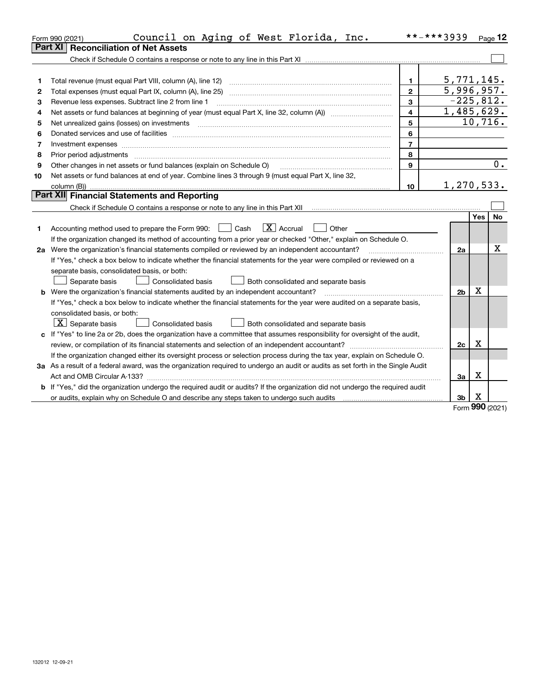|    | Council on Aging of West Florida, Inc.<br>Form 990 (2021)                                                                       |                | **-***3939     |             | $P_{\text{a}ae}$ 12 |
|----|---------------------------------------------------------------------------------------------------------------------------------|----------------|----------------|-------------|---------------------|
|    | Part XI<br><b>Reconciliation of Net Assets</b>                                                                                  |                |                |             |                     |
|    |                                                                                                                                 |                |                |             |                     |
|    |                                                                                                                                 |                |                |             |                     |
| 1  | Total revenue (must equal Part VIII, column (A), line 12)                                                                       | 1.             | 5,771,145.     |             |                     |
| 2  | Total expenses (must equal Part IX, column (A), line 25)                                                                        | $\mathbf{2}$   | 5,996,957.     |             |                     |
| з  | Revenue less expenses. Subtract line 2 from line 1                                                                              | 3              | $-225,812.$    |             |                     |
| 4  |                                                                                                                                 | $\overline{4}$ | 1,485,629.     |             |                     |
| 5  | Net unrealized gains (losses) on investments [11] matter continuum matter is a set of the set of the set of the                 | 5              |                |             | 10,716.             |
| 6  |                                                                                                                                 | 6              |                |             |                     |
| 7  | Investment expenses www.communication.com/www.communication.com/www.communication.com/www.com                                   | $\overline{7}$ |                |             |                     |
| 8  | Prior period adjustments                                                                                                        | 8              |                |             |                     |
| 9  | Other changes in net assets or fund balances (explain on Schedule O)                                                            | 9              |                |             | 0.                  |
| 10 | Net assets or fund balances at end of year. Combine lines 3 through 9 (must equal Part X, line 32,                              |                |                |             |                     |
|    |                                                                                                                                 | 10             | 1,270,533.     |             |                     |
|    | Part XII Financial Statements and Reporting                                                                                     |                |                |             |                     |
|    |                                                                                                                                 |                |                |             |                     |
|    |                                                                                                                                 |                |                | Yes         | <b>No</b>           |
| 1. | $ X $ Accrual<br>Accounting method used to prepare the Form 990: <u>June</u> Cash<br>Other                                      |                |                |             |                     |
|    | If the organization changed its method of accounting from a prior year or checked "Other," explain on Schedule O.               |                |                |             |                     |
|    | 2a Were the organization's financial statements compiled or reviewed by an independent accountant?                              |                | 2a             |             | х                   |
|    | If "Yes," check a box below to indicate whether the financial statements for the year were compiled or reviewed on a            |                |                |             |                     |
|    | separate basis, consolidated basis, or both:                                                                                    |                |                |             |                     |
|    | Separate basis<br>Consolidated basis<br>Both consolidated and separate basis                                                    |                |                |             |                     |
|    | <b>b</b> Were the organization's financial statements audited by an independent accountant?                                     |                | 2 <sub>b</sub> | Χ           |                     |
|    | If "Yes," check a box below to indicate whether the financial statements for the year were audited on a separate basis,         |                |                |             |                     |
|    | consolidated basis, or both:                                                                                                    |                |                |             |                     |
|    | $X$ Separate basis<br><b>Consolidated basis</b><br>Both consolidated and separate basis                                         |                |                |             |                     |
| c  | If "Yes" to line 2a or 2b, does the organization have a committee that assumes responsibility for oversight of the audit,       |                |                |             |                     |
|    |                                                                                                                                 |                | 2c             | $\mathbf X$ |                     |
|    | If the organization changed either its oversight process or selection process during the tax year, explain on Schedule O.       |                |                |             |                     |
|    | 3a As a result of a federal award, was the organization required to undergo an audit or audits as set forth in the Single Audit |                |                |             |                     |
|    |                                                                                                                                 |                | За             | X           |                     |
|    | b If "Yes," did the organization undergo the required audit or audits? If the organization did not undergo the required audit   |                |                |             |                     |
|    |                                                                                                                                 |                | 3b             | X           |                     |

Form (2021) **990**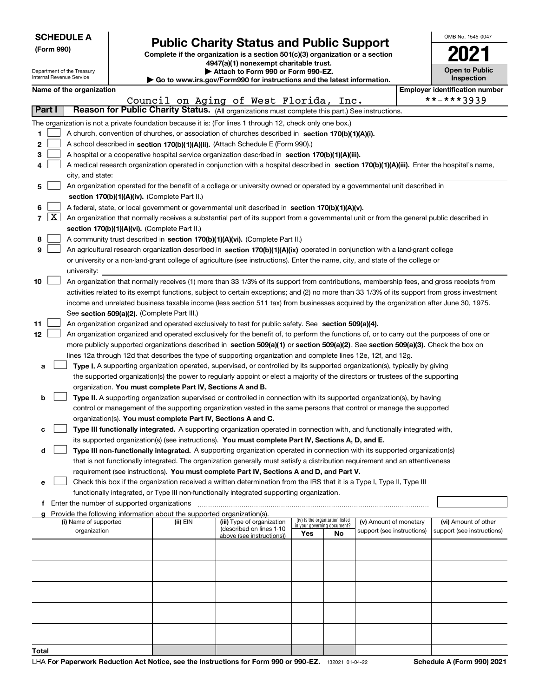| <b>SCHEDULE A</b><br>(Form 990)<br>Department of the Treasury |                                                                                                 |          | <b>Public Charity Status and Public Support</b><br>Complete if the organization is a section 501(c)(3) organization or a section<br>4947(a)(1) nonexempt charitable trust.<br>Attach to Form 990 or Form 990-EZ.                                                                      |                                    |    |                            |  |                                                     |
|---------------------------------------------------------------|-------------------------------------------------------------------------------------------------|----------|---------------------------------------------------------------------------------------------------------------------------------------------------------------------------------------------------------------------------------------------------------------------------------------|------------------------------------|----|----------------------------|--|-----------------------------------------------------|
| Internal Revenue Service                                      |                                                                                                 |          | Go to www.irs.gov/Form990 for instructions and the latest information.                                                                                                                                                                                                                |                                    |    |                            |  | Inspection                                          |
| Name of the organization                                      |                                                                                                 |          |                                                                                                                                                                                                                                                                                       |                                    |    |                            |  | <b>Employer identification number</b><br>**-***3939 |
| Part I                                                        |                                                                                                 |          | Council on Aging of West Florida, Inc.<br>Reason for Public Charity Status. (All organizations must complete this part.) See instructions.                                                                                                                                            |                                    |    |                            |  |                                                     |
|                                                               |                                                                                                 |          | The organization is not a private foundation because it is: (For lines 1 through 12, check only one box.)                                                                                                                                                                             |                                    |    |                            |  |                                                     |
| 1                                                             |                                                                                                 |          | A church, convention of churches, or association of churches described in section 170(b)(1)(A)(i).                                                                                                                                                                                    |                                    |    |                            |  |                                                     |
| 2                                                             |                                                                                                 |          | A school described in section 170(b)(1)(A)(ii). (Attach Schedule E (Form 990).)                                                                                                                                                                                                       |                                    |    |                            |  |                                                     |
| з                                                             |                                                                                                 |          | A hospital or a cooperative hospital service organization described in section $170(b)(1)(A)(iii)$ .                                                                                                                                                                                  |                                    |    |                            |  |                                                     |
| 4                                                             |                                                                                                 |          | A medical research organization operated in conjunction with a hospital described in section 170(b)(1)(A)(iii). Enter the hospital's name,                                                                                                                                            |                                    |    |                            |  |                                                     |
|                                                               | city, and state:                                                                                |          |                                                                                                                                                                                                                                                                                       |                                    |    |                            |  |                                                     |
| 5                                                             | section 170(b)(1)(A)(iv). (Complete Part II.)                                                   |          | An organization operated for the benefit of a college or university owned or operated by a governmental unit described in                                                                                                                                                             |                                    |    |                            |  |                                                     |
| 6                                                             |                                                                                                 |          | A federal, state, or local government or governmental unit described in section 170(b)(1)(A)(v).                                                                                                                                                                                      |                                    |    |                            |  |                                                     |
| $7 \times$                                                    |                                                                                                 |          | An organization that normally receives a substantial part of its support from a governmental unit or from the general public described in                                                                                                                                             |                                    |    |                            |  |                                                     |
|                                                               | section 170(b)(1)(A)(vi). (Complete Part II.)                                                   |          |                                                                                                                                                                                                                                                                                       |                                    |    |                            |  |                                                     |
| 8                                                             |                                                                                                 |          | A community trust described in section 170(b)(1)(A)(vi). (Complete Part II.)                                                                                                                                                                                                          |                                    |    |                            |  |                                                     |
| 9                                                             |                                                                                                 |          | An agricultural research organization described in section 170(b)(1)(A)(ix) operated in conjunction with a land-grant college                                                                                                                                                         |                                    |    |                            |  |                                                     |
|                                                               |                                                                                                 |          | or university or a non-land-grant college of agriculture (see instructions). Enter the name, city, and state of the college or                                                                                                                                                        |                                    |    |                            |  |                                                     |
|                                                               | university:                                                                                     |          |                                                                                                                                                                                                                                                                                       |                                    |    |                            |  |                                                     |
| 10                                                            |                                                                                                 |          | An organization that normally receives (1) more than 33 1/3% of its support from contributions, membership fees, and gross receipts from                                                                                                                                              |                                    |    |                            |  |                                                     |
|                                                               |                                                                                                 |          | activities related to its exempt functions, subject to certain exceptions; and (2) no more than 33 1/3% of its support from gross investment<br>income and unrelated business taxable income (less section 511 tax) from businesses acquired by the organization after June 30, 1975. |                                    |    |                            |  |                                                     |
|                                                               | See section 509(a)(2). (Complete Part III.)                                                     |          |                                                                                                                                                                                                                                                                                       |                                    |    |                            |  |                                                     |
| 11                                                            |                                                                                                 |          | An organization organized and operated exclusively to test for public safety. See section 509(a)(4).                                                                                                                                                                                  |                                    |    |                            |  |                                                     |
| 12                                                            |                                                                                                 |          | An organization organized and operated exclusively for the benefit of, to perform the functions of, or to carry out the purposes of one or                                                                                                                                            |                                    |    |                            |  |                                                     |
|                                                               |                                                                                                 |          | more publicly supported organizations described in section 509(a)(1) or section 509(a)(2). See section 509(a)(3). Check the box on                                                                                                                                                    |                                    |    |                            |  |                                                     |
|                                                               |                                                                                                 |          | lines 12a through 12d that describes the type of supporting organization and complete lines 12e, 12f, and 12g.                                                                                                                                                                        |                                    |    |                            |  |                                                     |
| а                                                             |                                                                                                 |          | Type I. A supporting organization operated, supervised, or controlled by its supported organization(s), typically by giving                                                                                                                                                           |                                    |    |                            |  |                                                     |
|                                                               |                                                                                                 |          | the supported organization(s) the power to regularly appoint or elect a majority of the directors or trustees of the supporting                                                                                                                                                       |                                    |    |                            |  |                                                     |
|                                                               | organization. You must complete Part IV, Sections A and B.                                      |          |                                                                                                                                                                                                                                                                                       |                                    |    |                            |  |                                                     |
| b                                                             |                                                                                                 |          | Type II. A supporting organization supervised or controlled in connection with its supported organization(s), by having                                                                                                                                                               |                                    |    |                            |  |                                                     |
|                                                               | organization(s). You must complete Part IV, Sections A and C.                                   |          | control or management of the supporting organization vested in the same persons that control or manage the supported                                                                                                                                                                  |                                    |    |                            |  |                                                     |
| с                                                             |                                                                                                 |          | Type III functionally integrated. A supporting organization operated in connection with, and functionally integrated with,                                                                                                                                                            |                                    |    |                            |  |                                                     |
|                                                               |                                                                                                 |          | its supported organization(s) (see instructions). You must complete Part IV, Sections A, D, and E.                                                                                                                                                                                    |                                    |    |                            |  |                                                     |
| d                                                             |                                                                                                 |          | Type III non-functionally integrated. A supporting organization operated in connection with its supported organization(s)                                                                                                                                                             |                                    |    |                            |  |                                                     |
|                                                               |                                                                                                 |          | that is not functionally integrated. The organization generally must satisfy a distribution requirement and an attentiveness                                                                                                                                                          |                                    |    |                            |  |                                                     |
|                                                               |                                                                                                 |          | requirement (see instructions). You must complete Part IV, Sections A and D, and Part V.                                                                                                                                                                                              |                                    |    |                            |  |                                                     |
| е                                                             |                                                                                                 |          | Check this box if the organization received a written determination from the IRS that it is a Type I, Type II, Type III                                                                                                                                                               |                                    |    |                            |  |                                                     |
|                                                               |                                                                                                 |          | functionally integrated, or Type III non-functionally integrated supporting organization.                                                                                                                                                                                             |                                    |    |                            |  |                                                     |
| f                                                             | Enter the number of supported organizations                                                     |          |                                                                                                                                                                                                                                                                                       |                                    |    |                            |  |                                                     |
|                                                               | Provide the following information about the supported organization(s).<br>(i) Name of supported | (ii) EIN | (iii) Type of organization                                                                                                                                                                                                                                                            | (iv) Is the organization listed    |    | (v) Amount of monetary     |  | (vi) Amount of other                                |
|                                                               | organization                                                                                    |          | (described on lines 1-10)<br>above (see instructions))                                                                                                                                                                                                                                | in your governing document?<br>Yes | No | support (see instructions) |  | support (see instructions)                          |
|                                                               |                                                                                                 |          |                                                                                                                                                                                                                                                                                       |                                    |    |                            |  |                                                     |
|                                                               |                                                                                                 |          |                                                                                                                                                                                                                                                                                       |                                    |    |                            |  |                                                     |
|                                                               |                                                                                                 |          |                                                                                                                                                                                                                                                                                       |                                    |    |                            |  |                                                     |
|                                                               |                                                                                                 |          |                                                                                                                                                                                                                                                                                       |                                    |    |                            |  |                                                     |
|                                                               |                                                                                                 |          |                                                                                                                                                                                                                                                                                       |                                    |    |                            |  |                                                     |
|                                                               |                                                                                                 |          |                                                                                                                                                                                                                                                                                       |                                    |    |                            |  |                                                     |
|                                                               |                                                                                                 |          |                                                                                                                                                                                                                                                                                       |                                    |    |                            |  |                                                     |
|                                                               |                                                                                                 |          |                                                                                                                                                                                                                                                                                       |                                    |    |                            |  |                                                     |
|                                                               |                                                                                                 |          |                                                                                                                                                                                                                                                                                       |                                    |    |                            |  |                                                     |

**Total**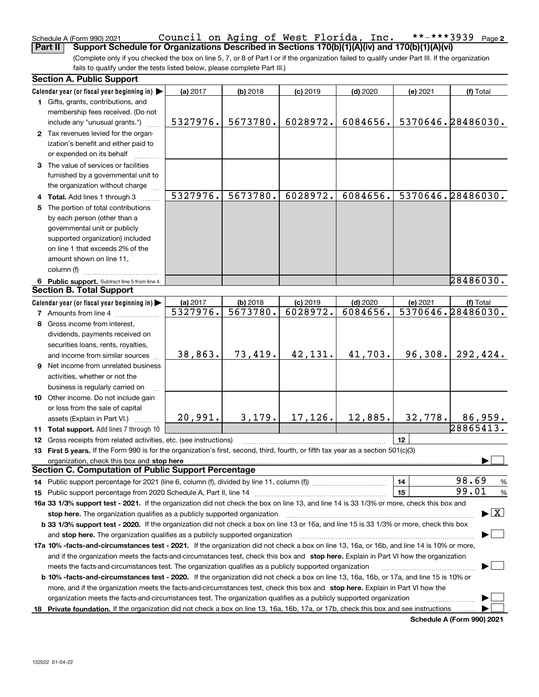| Schedule A (Form 990) 2021                                                                             | Council on Aging of West Florida, Inc. |  |  |  |
|--------------------------------------------------------------------------------------------------------|----------------------------------------|--|--|--|
| Part II Support Schedule for Organizations Described in Sections 170(b)(1)(A)(iv) and 170(b)(1)(A)(vi) |                                        |  |  |  |

(Complete only if you checked the box on line 5, 7, or 8 of Part I or if the organization failed to qualify under Part III. If the organization fails to qualify under the tests listed below, please complete Part III.)

|   | <b>Section A. Public Support</b>                                                                                                               |          |            |            |            |                 |                                          |
|---|------------------------------------------------------------------------------------------------------------------------------------------------|----------|------------|------------|------------|-----------------|------------------------------------------|
|   | Calendar year (or fiscal year beginning in) $\blacktriangleright$                                                                              | (a) 2017 | $(b)$ 2018 | $(c)$ 2019 | $(d)$ 2020 | (e) 2021        | (f) Total                                |
|   | 1 Gifts, grants, contributions, and                                                                                                            |          |            |            |            |                 |                                          |
|   | membership fees received. (Do not                                                                                                              |          |            |            |            |                 |                                          |
|   | include any "unusual grants.")                                                                                                                 | 5327976. | 5673780.   | 6028972.   | 6084656.   |                 | 5370646.28486030.                        |
|   | 2 Tax revenues levied for the organ-                                                                                                           |          |            |            |            |                 |                                          |
|   | ization's benefit and either paid to                                                                                                           |          |            |            |            |                 |                                          |
|   | or expended on its behalf                                                                                                                      |          |            |            |            |                 |                                          |
|   | 3 The value of services or facilities                                                                                                          |          |            |            |            |                 |                                          |
|   | furnished by a governmental unit to                                                                                                            |          |            |            |            |                 |                                          |
|   | the organization without charge                                                                                                                |          |            |            |            |                 |                                          |
|   | 4 Total. Add lines 1 through 3                                                                                                                 | 5327976. | 5673780.   | 6028972.   | 6084656.   |                 | 5370646.28486030.                        |
| 5 | The portion of total contributions                                                                                                             |          |            |            |            |                 |                                          |
|   | by each person (other than a                                                                                                                   |          |            |            |            |                 |                                          |
|   | governmental unit or publicly                                                                                                                  |          |            |            |            |                 |                                          |
|   | supported organization) included                                                                                                               |          |            |            |            |                 |                                          |
|   | on line 1 that exceeds 2% of the                                                                                                               |          |            |            |            |                 |                                          |
|   | amount shown on line 11,                                                                                                                       |          |            |            |            |                 |                                          |
|   | column (f)                                                                                                                                     |          |            |            |            |                 |                                          |
|   | 6 Public support. Subtract line 5 from line 4.                                                                                                 |          |            |            |            |                 | 28486030.                                |
|   | <b>Section B. Total Support</b>                                                                                                                |          |            |            |            |                 |                                          |
|   | Calendar year (or fiscal year beginning in)                                                                                                    | (a) 2017 | $(b)$ 2018 | $(c)$ 2019 | $(d)$ 2020 | (e) 2021        | (f) Total                                |
|   | <b>7</b> Amounts from line 4                                                                                                                   | 5327976. | 5673780.   | 6028972.   | 6084656.   |                 | 5370646.28486030.                        |
| 8 | Gross income from interest,                                                                                                                    |          |            |            |            |                 |                                          |
|   | dividends, payments received on                                                                                                                |          |            |            |            |                 |                                          |
|   |                                                                                                                                                |          |            |            |            |                 |                                          |
|   | securities loans, rents, royalties,                                                                                                            | 38,863.  | 73,419.    | 42,131.    | 41,703.    | 96,308.         | 292,424.                                 |
|   | and income from similar sources                                                                                                                |          |            |            |            |                 |                                          |
|   | 9 Net income from unrelated business                                                                                                           |          |            |            |            |                 |                                          |
|   | activities, whether or not the                                                                                                                 |          |            |            |            |                 |                                          |
|   | business is regularly carried on                                                                                                               |          |            |            |            |                 |                                          |
|   | 10 Other income. Do not include gain                                                                                                           |          |            |            |            |                 |                                          |
|   | or loss from the sale of capital                                                                                                               |          |            |            |            |                 |                                          |
|   | assets (Explain in Part VI.)                                                                                                                   | 20,991.  | 3,179.     | 17, 126.   | 12,885.    | 32,778.         | 86,959.                                  |
|   | 11 Total support. Add lines 7 through 10                                                                                                       |          |            |            |            |                 | 28865413.                                |
|   | <b>12</b> Gross receipts from related activities, etc. (see instructions)                                                                      |          |            |            |            | 12 <sup>2</sup> |                                          |
|   | 13 First 5 years. If the Form 990 is for the organization's first, second, third, fourth, or fifth tax year as a section 501(c)(3)             |          |            |            |            |                 |                                          |
|   | organization, check this box and stop here                                                                                                     |          |            |            |            |                 |                                          |
|   | <b>Section C. Computation of Public Support Percentage</b>                                                                                     |          |            |            |            |                 |                                          |
|   | 14 Public support percentage for 2021 (line 6, column (f), divided by line 11, column (f) <i>mummumumum</i>                                    |          |            |            |            | 14              | 98.69<br>%                               |
|   |                                                                                                                                                |          |            |            |            | 15              | 99.01<br>%                               |
|   | 16a 33 1/3% support test - 2021. If the organization did not check the box on line 13, and line 14 is 33 1/3% or more, check this box and      |          |            |            |            |                 |                                          |
|   | stop here. The organization qualifies as a publicly supported organization                                                                     |          |            |            |            |                 | $\blacktriangleright$ $\boxed{\text{X}}$ |
|   | b 33 1/3% support test - 2020. If the organization did not check a box on line 13 or 16a, and line 15 is 33 1/3% or more, check this box       |          |            |            |            |                 |                                          |
|   | and stop here. The organization qualifies as a publicly supported organization                                                                 |          |            |            |            |                 |                                          |
|   | 17a 10% -facts-and-circumstances test - 2021. If the organization did not check a box on line 13, 16a, or 16b, and line 14 is 10% or more,     |          |            |            |            |                 |                                          |
|   | and if the organization meets the facts-and-circumstances test, check this box and stop here. Explain in Part VI how the organization          |          |            |            |            |                 |                                          |
|   | meets the facts-and-circumstances test. The organization qualifies as a publicly supported organization                                        |          |            |            |            |                 |                                          |
|   | <b>b 10% -facts-and-circumstances test - 2020.</b> If the organization did not check a box on line 13, 16a, 16b, or 17a, and line 15 is 10% or |          |            |            |            |                 |                                          |
|   | more, and if the organization meets the facts-and-circumstances test, check this box and stop here. Explain in Part VI how the                 |          |            |            |            |                 |                                          |
|   | organization meets the facts-and-circumstances test. The organization qualifies as a publicly supported organization                           |          |            |            |            |                 |                                          |
|   | 18 Private foundation. If the organization did not check a box on line 13, 16a, 16b, 17a, or 17b, check this box and see instructions          |          |            |            |            |                 |                                          |

**Schedule A (Form 990) 2021**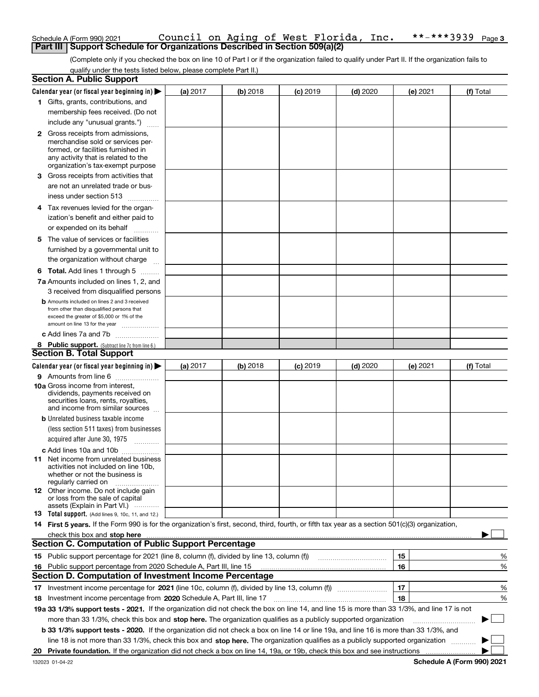| Schedule A (Form 990) 2021                                                        |  | Council on Aging of West Florida, Inc. |  |  |
|-----------------------------------------------------------------------------------|--|----------------------------------------|--|--|
| <b>Part III Support Schedule for Organizations Described in Section 509(a)(2)</b> |  |                                        |  |  |

(Complete only if you checked the box on line 10 of Part I or if the organization failed to qualify under Part II. If the organization fails to qualify under the tests listed below, please complete Part II.)

| <b>Section A. Public Support</b>           |                                                                                                                                                  |          |          |                 |                                                      |          |           |
|--------------------------------------------|--------------------------------------------------------------------------------------------------------------------------------------------------|----------|----------|-----------------|------------------------------------------------------|----------|-----------|
|                                            | Calendar year (or fiscal year beginning in) $\blacktriangleright$                                                                                | (a) 2017 | (b) 2018 | $(c)$ 2019      | $(d)$ 2020                                           | (e) 2021 | (f) Total |
| 1 Gifts, grants, contributions, and        |                                                                                                                                                  |          |          |                 |                                                      |          |           |
|                                            | membership fees received. (Do not                                                                                                                |          |          |                 |                                                      |          |           |
|                                            | include any "unusual grants.")                                                                                                                   |          |          |                 |                                                      |          |           |
| <b>2</b> Gross receipts from admissions,   |                                                                                                                                                  |          |          |                 |                                                      |          |           |
|                                            | merchandise sold or services per-                                                                                                                |          |          |                 |                                                      |          |           |
|                                            | formed, or facilities furnished in                                                                                                               |          |          |                 |                                                      |          |           |
|                                            | any activity that is related to the<br>organization's tax-exempt purpose                                                                         |          |          |                 |                                                      |          |           |
|                                            | 3 Gross receipts from activities that                                                                                                            |          |          |                 |                                                      |          |           |
|                                            | are not an unrelated trade or bus-                                                                                                               |          |          |                 |                                                      |          |           |
| iness under section 513                    |                                                                                                                                                  |          |          |                 |                                                      |          |           |
|                                            |                                                                                                                                                  |          |          |                 |                                                      |          |           |
|                                            | 4 Tax revenues levied for the organ-                                                                                                             |          |          |                 |                                                      |          |           |
|                                            | ization's benefit and either paid to                                                                                                             |          |          |                 |                                                      |          |           |
| or expended on its behalf                  | .                                                                                                                                                |          |          |                 |                                                      |          |           |
| 5 The value of services or facilities      |                                                                                                                                                  |          |          |                 |                                                      |          |           |
|                                            | furnished by a governmental unit to                                                                                                              |          |          |                 |                                                      |          |           |
|                                            | the organization without charge                                                                                                                  |          |          |                 |                                                      |          |           |
|                                            | <b>6 Total.</b> Add lines 1 through 5                                                                                                            |          |          |                 |                                                      |          |           |
|                                            | 7a Amounts included on lines 1, 2, and                                                                                                           |          |          |                 |                                                      |          |           |
|                                            | 3 received from disqualified persons                                                                                                             |          |          |                 |                                                      |          |           |
|                                            | <b>b</b> Amounts included on lines 2 and 3 received                                                                                              |          |          |                 |                                                      |          |           |
|                                            | from other than disqualified persons that<br>exceed the greater of \$5,000 or 1% of the                                                          |          |          |                 |                                                      |          |           |
|                                            | amount on line 13 for the year                                                                                                                   |          |          |                 |                                                      |          |           |
|                                            | c Add lines 7a and 7b                                                                                                                            |          |          |                 |                                                      |          |           |
|                                            | 8 Public support. (Subtract line 7c from line 6.)                                                                                                |          |          |                 |                                                      |          |           |
| <b>Section B. Total Support</b>            |                                                                                                                                                  |          |          |                 |                                                      |          |           |
|                                            | Calendar year (or fiscal year beginning in) $\blacktriangleright$                                                                                | (a) 2017 | (b) 2018 | <b>(c)</b> 2019 | $(d)$ 2020                                           | (e) 2021 | (f) Total |
|                                            | 9 Amounts from line 6                                                                                                                            |          |          |                 |                                                      |          |           |
| 10a Gross income from interest,            |                                                                                                                                                  |          |          |                 |                                                      |          |           |
|                                            | dividends, payments received on                                                                                                                  |          |          |                 |                                                      |          |           |
|                                            | securities loans, rents, royalties,<br>and income from similar sources                                                                           |          |          |                 |                                                      |          |           |
| <b>b</b> Unrelated business taxable income |                                                                                                                                                  |          |          |                 |                                                      |          |           |
|                                            | (less section 511 taxes) from businesses                                                                                                         |          |          |                 |                                                      |          |           |
| acquired after June 30, 1975               |                                                                                                                                                  |          |          |                 |                                                      |          |           |
|                                            |                                                                                                                                                  |          |          |                 |                                                      |          |           |
|                                            | c Add lines 10a and 10b<br>11 Net income from unrelated business                                                                                 |          |          |                 |                                                      |          |           |
|                                            | activities not included on line 10b,                                                                                                             |          |          |                 |                                                      |          |           |
|                                            | whether or not the business is                                                                                                                   |          |          |                 |                                                      |          |           |
| regularly carried on                       |                                                                                                                                                  |          |          |                 |                                                      |          |           |
|                                            | 12 Other income. Do not include gain<br>or loss from the sale of capital                                                                         |          |          |                 |                                                      |          |           |
|                                            | assets (Explain in Part VI.)                                                                                                                     |          |          |                 |                                                      |          |           |
|                                            | <b>13</b> Total support. (Add lines 9, 10c, 11, and 12.)                                                                                         |          |          |                 |                                                      |          |           |
|                                            | 14 First 5 years. If the Form 990 is for the organization's first, second, third, fourth, or fifth tax year as a section 501(c)(3) organization, |          |          |                 |                                                      |          |           |
|                                            | check this box and stop here measurements are constructed as the state of the state of the state of the state o                                  |          |          |                 |                                                      |          |           |
|                                            | <b>Section C. Computation of Public Support Percentage</b>                                                                                       |          |          |                 |                                                      |          |           |
|                                            | 15 Public support percentage for 2021 (line 8, column (f), divided by line 13, column (f))                                                       |          |          |                 | <u> 1986 - Johann Stoff, Amerikaansk politiker (</u> | 15       | %         |
|                                            | 16 Public support percentage from 2020 Schedule A, Part III, line 15                                                                             |          |          |                 |                                                      | 16       | %         |
|                                            | <b>Section D. Computation of Investment Income Percentage</b>                                                                                    |          |          |                 |                                                      |          |           |
|                                            |                                                                                                                                                  |          |          |                 |                                                      | 17       | %         |
|                                            | 18 Investment income percentage from 2020 Schedule A, Part III, line 17                                                                          |          |          |                 |                                                      | 18       | %         |
|                                            | 19a 33 1/3% support tests - 2021. If the organization did not check the box on line 14, and line 15 is more than 33 1/3%, and line 17 is not     |          |          |                 |                                                      |          |           |
|                                            | more than 33 1/3%, check this box and stop here. The organization qualifies as a publicly supported organization                                 |          |          |                 |                                                      |          | ▶         |
|                                            | b 33 1/3% support tests - 2020. If the organization did not check a box on line 14 or line 19a, and line 16 is more than 33 1/3%, and            |          |          |                 |                                                      |          |           |
|                                            | line 18 is not more than 33 1/3%, check this box and stop here. The organization qualifies as a publicly supported organization                  |          |          |                 |                                                      |          |           |
| 20                                         |                                                                                                                                                  |          |          |                 |                                                      |          |           |
|                                            |                                                                                                                                                  |          |          |                 |                                                      |          |           |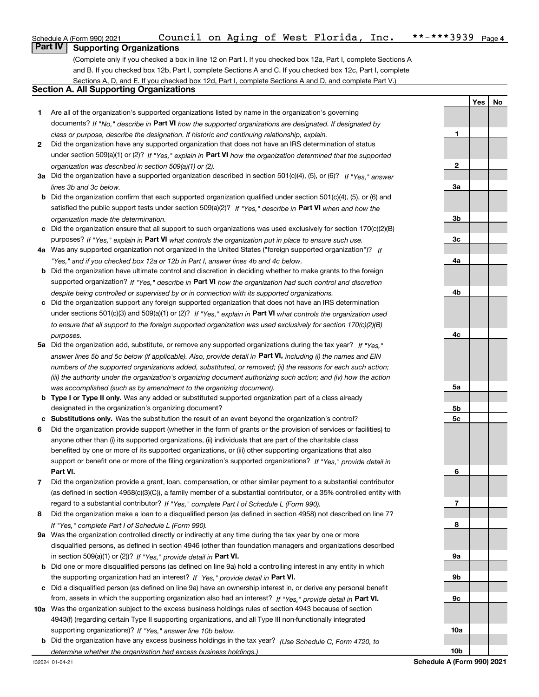### **Part IV Supporting Organizations**

(Complete only if you checked a box in line 12 on Part I. If you checked box 12a, Part I, complete Sections A and B. If you checked box 12b, Part I, complete Sections A and C. If you checked box 12c, Part I, complete Sections A, D, and E. If you checked box 12d, Part I, complete Sections A and D, and complete Part V.)

### **Section A. All Supporting Organizations**

- **1** Are all of the organization's supported organizations listed by name in the organization's governing documents? If "No," describe in **Part VI** how the supported organizations are designated. If designated by *class or purpose, describe the designation. If historic and continuing relationship, explain.*
- **2** Did the organization have any supported organization that does not have an IRS determination of status under section 509(a)(1) or (2)? If "Yes," explain in Part VI how the organization determined that the supported *organization was described in section 509(a)(1) or (2).*
- **3a** Did the organization have a supported organization described in section 501(c)(4), (5), or (6)? If "Yes," answer *lines 3b and 3c below.*
- **b** Did the organization confirm that each supported organization qualified under section 501(c)(4), (5), or (6) and satisfied the public support tests under section 509(a)(2)? If "Yes," describe in **Part VI** when and how the *organization made the determination.*
- **c**Did the organization ensure that all support to such organizations was used exclusively for section 170(c)(2)(B) purposes? If "Yes," explain in **Part VI** what controls the organization put in place to ensure such use.
- **4a***If* Was any supported organization not organized in the United States ("foreign supported organization")? *"Yes," and if you checked box 12a or 12b in Part I, answer lines 4b and 4c below.*
- **b** Did the organization have ultimate control and discretion in deciding whether to make grants to the foreign supported organization? If "Yes," describe in **Part VI** how the organization had such control and discretion *despite being controlled or supervised by or in connection with its supported organizations.*
- **c** Did the organization support any foreign supported organization that does not have an IRS determination under sections 501(c)(3) and 509(a)(1) or (2)? If "Yes," explain in **Part VI** what controls the organization used *to ensure that all support to the foreign supported organization was used exclusively for section 170(c)(2)(B) purposes.*
- **5a***If "Yes,"* Did the organization add, substitute, or remove any supported organizations during the tax year? answer lines 5b and 5c below (if applicable). Also, provide detail in **Part VI,** including (i) the names and EIN *numbers of the supported organizations added, substituted, or removed; (ii) the reasons for each such action; (iii) the authority under the organization's organizing document authorizing such action; and (iv) how the action was accomplished (such as by amendment to the organizing document).*
- **b** Type I or Type II only. Was any added or substituted supported organization part of a class already designated in the organization's organizing document?
- **cSubstitutions only.**  Was the substitution the result of an event beyond the organization's control?
- **6** Did the organization provide support (whether in the form of grants or the provision of services or facilities) to **Part VI.** *If "Yes," provide detail in* support or benefit one or more of the filing organization's supported organizations? anyone other than (i) its supported organizations, (ii) individuals that are part of the charitable class benefited by one or more of its supported organizations, or (iii) other supporting organizations that also
- **7**Did the organization provide a grant, loan, compensation, or other similar payment to a substantial contributor *If "Yes," complete Part I of Schedule L (Form 990).* regard to a substantial contributor? (as defined in section 4958(c)(3)(C)), a family member of a substantial contributor, or a 35% controlled entity with
- **8** Did the organization make a loan to a disqualified person (as defined in section 4958) not described on line 7? *If "Yes," complete Part I of Schedule L (Form 990).*
- **9a** Was the organization controlled directly or indirectly at any time during the tax year by one or more in section 509(a)(1) or (2))? If "Yes," *provide detail in* <code>Part VI.</code> disqualified persons, as defined in section 4946 (other than foundation managers and organizations described
- **b** Did one or more disqualified persons (as defined on line 9a) hold a controlling interest in any entity in which the supporting organization had an interest? If "Yes," provide detail in P**art VI**.
- **c**Did a disqualified person (as defined on line 9a) have an ownership interest in, or derive any personal benefit from, assets in which the supporting organization also had an interest? If "Yes," provide detail in P**art VI.**
- **10a** Was the organization subject to the excess business holdings rules of section 4943 because of section supporting organizations)? If "Yes," answer line 10b below. 4943(f) (regarding certain Type II supporting organizations, and all Type III non-functionally integrated
- **b** Did the organization have any excess business holdings in the tax year? (Use Schedule C, Form 4720, to *determine whether the organization had excess business holdings.)*

**3c4a4b4c5a5b5c6789a 9b9c10a10b**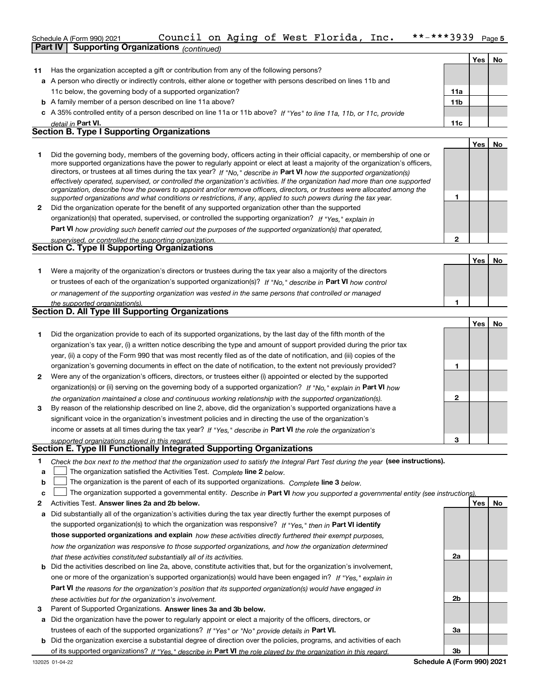### \*\*-\*\*\*3939 Page 5 Schedule A (Form 990) 2021 Council on Aging of West Florida, Inc. \*\*-\*\*\*3939 Page **Part IV Supporting Organizations** *(continued)*

|    |                                                                                                                      |                 | Yes l | <b>No</b> |
|----|----------------------------------------------------------------------------------------------------------------------|-----------------|-------|-----------|
| 11 | Has the organization accepted a gift or contribution from any of the following persons?                              |                 |       |           |
|    | a A person who directly or indirectly controls, either alone or together with persons described on lines 11b and     |                 |       |           |
|    | 11c below, the governing body of a supported organization?                                                           | 11a             |       |           |
|    | <b>b</b> A family member of a person described on line 11a above?                                                    | 11 <sub>b</sub> |       |           |
|    | c A 35% controlled entity of a person described on line 11a or 11b above? If "Yes" to line 11a, 11b, or 11c, provide |                 |       |           |
|    | <u>detail in</u> Part VI.                                                                                            | 11c             |       |           |
|    | <b>Section B. Type I Supporting Organizations</b>                                                                    |                 |       |           |
|    |                                                                                                                      |                 |       |           |

|   |                                                                                                                                                                                                                                                                                                                                                                                                                                                                                                                                                                                                                                                      |  | . No |
|---|------------------------------------------------------------------------------------------------------------------------------------------------------------------------------------------------------------------------------------------------------------------------------------------------------------------------------------------------------------------------------------------------------------------------------------------------------------------------------------------------------------------------------------------------------------------------------------------------------------------------------------------------------|--|------|
|   | Did the governing body, members of the governing body, officers acting in their official capacity, or membership of one or<br>more supported organizations have the power to regularly appoint or elect at least a majority of the organization's officers,<br>directors, or trustees at all times during the tax year? If "No," describe in Part VI how the supported organization(s)<br>effectively operated, supervised, or controlled the organization's activities. If the organization had more than one supported<br>organization, describe how the powers to appoint and/or remove officers, directors, or trustees were allocated among the |  |      |
|   | supported organizations and what conditions or restrictions, if any, applied to such powers during the tax year.                                                                                                                                                                                                                                                                                                                                                                                                                                                                                                                                     |  |      |
| 2 | Did the organization operate for the benefit of any supported organization other than the supported                                                                                                                                                                                                                                                                                                                                                                                                                                                                                                                                                  |  |      |
|   | organization(s) that operated, supervised, or controlled the supporting organization? If "Yes," explain in                                                                                                                                                                                                                                                                                                                                                                                                                                                                                                                                           |  |      |

**Part VI**  *how providing such benefit carried out the purposes of the supported organization(s) that operated,*

| supervised, or controlled the supporting organization. |  |
|--------------------------------------------------------|--|
| <b>Section C. Type II Supporting Organizations</b>     |  |
|                                                        |  |

**1**or trustees of each of the organization's supported organization(s)? If "No," describe in **Part VI** how control *or management of the supporting organization was vested in the same persons that controlled or managed the supported organization(s).* Were a majority of the organization's directors or trustees during the tax year also a majority of the directors

| <b>Section D. All Type III Supporting Organizations</b> |  |
|---------------------------------------------------------|--|
|---------------------------------------------------------|--|

|              |                                                                                                                        |   | Yes |  |
|--------------|------------------------------------------------------------------------------------------------------------------------|---|-----|--|
|              | Did the organization provide to each of its supported organizations, by the last day of the fifth month of the         |   |     |  |
|              | organization's tax year, (i) a written notice describing the type and amount of support provided during the prior tax  |   |     |  |
|              | year, (ii) a copy of the Form 990 that was most recently filed as of the date of notification, and (iii) copies of the |   |     |  |
|              | organization's governing documents in effect on the date of notification, to the extent not previously provided?       |   |     |  |
| $\mathbf{2}$ | Were any of the organization's officers, directors, or trustees either (i) appointed or elected by the supported       |   |     |  |
|              | organization(s) or (ii) serving on the governing body of a supported organization? If "No," explain in Part VI how     |   |     |  |
|              | the organization maintained a close and continuous working relationship with the supported organization(s).            | 2 |     |  |
| 3            | By reason of the relationship described on line 2, above, did the organization's supported organizations have a        |   |     |  |
|              | significant voice in the organization's investment policies and in directing the use of the organization's             |   |     |  |
|              | income or assets at all times during the tax year? If "Yes," describe in Part VI the role the organization's           |   |     |  |
|              | supported organizations played in this regard.                                                                         | з |     |  |

# *supported organizations played in this regard.* **Section E. Type III Functionally Integrated Supporting Organizations**

- **1**Check the box next to the method that the organization used to satisfy the Integral Part Test during the year (see instructions).
- **alinupy** The organization satisfied the Activities Test. Complete line 2 below.
- **b**The organization is the parent of each of its supported organizations. *Complete* line 3 *below.*  $\mathcal{L}^{\text{max}}$

|  |  | c $\Box$ The organization supported a governmental entity. Describe in Part VI how you supported a governmental entity (see instructions). |  |  |  |  |
|--|--|--------------------------------------------------------------------------------------------------------------------------------------------|--|--|--|--|
|--|--|--------------------------------------------------------------------------------------------------------------------------------------------|--|--|--|--|

- **2Answer lines 2a and 2b below. Yes No** Activities Test.
- **a** Did substantially all of the organization's activities during the tax year directly further the exempt purposes of the supported organization(s) to which the organization was responsive? If "Yes," then in **Part VI identify those supported organizations and explain**  *how these activities directly furthered their exempt purposes, how the organization was responsive to those supported organizations, and how the organization determined that these activities constituted substantially all of its activities.*
- **b** Did the activities described on line 2a, above, constitute activities that, but for the organization's involvement, **Part VI**  *the reasons for the organization's position that its supported organization(s) would have engaged in* one or more of the organization's supported organization(s) would have been engaged in? If "Yes," e*xplain in these activities but for the organization's involvement.*
- **3** Parent of Supported Organizations. Answer lines 3a and 3b below.
- **a** Did the organization have the power to regularly appoint or elect a majority of the officers, directors, or trustees of each of the supported organizations? If "Yes" or "No" provide details in **Part VI.**
- **b** Did the organization exercise a substantial degree of direction over the policies, programs, and activities of each of its supported organizations? If "Yes," describe in Part VI the role played by the organization in this regard.

**2a**

**YesNo**

**1**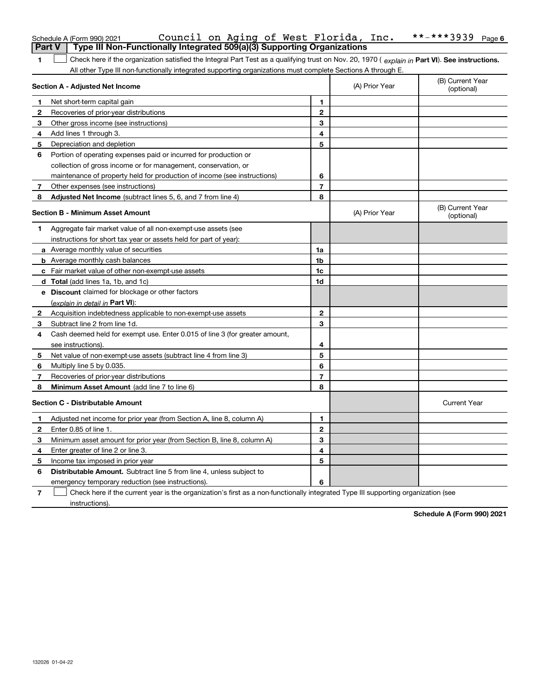|              | Council on Aging of West Florida, Inc.<br>Schedule A (Form 990) 2021                                                                           |                |                | **-***3939 Page 6              |
|--------------|------------------------------------------------------------------------------------------------------------------------------------------------|----------------|----------------|--------------------------------|
|              | Type III Non-Functionally Integrated 509(a)(3) Supporting Organizations<br><b>Part V</b>                                                       |                |                |                                |
| 1            | Check here if the organization satisfied the Integral Part Test as a qualifying trust on Nov. 20, 1970 (explain in Part VI). See instructions. |                |                |                                |
|              | All other Type III non-functionally integrated supporting organizations must complete Sections A through E.                                    |                |                |                                |
|              | Section A - Adjusted Net Income                                                                                                                |                | (A) Prior Year | (B) Current Year<br>(optional) |
| 1.           | Net short-term capital gain                                                                                                                    | 1              |                |                                |
| $\mathbf{2}$ | Recoveries of prior-year distributions                                                                                                         | $\mathbf{2}$   |                |                                |
| 3            | Other gross income (see instructions)                                                                                                          | 3              |                |                                |
| 4            | Add lines 1 through 3.                                                                                                                         | 4              |                |                                |
| 5            | Depreciation and depletion                                                                                                                     | 5              |                |                                |
| 6            | Portion of operating expenses paid or incurred for production or                                                                               |                |                |                                |
|              | collection of gross income or for management, conservation, or                                                                                 |                |                |                                |
|              | maintenance of property held for production of income (see instructions)                                                                       | 6              |                |                                |
| 7            | Other expenses (see instructions)                                                                                                              | $\overline{7}$ |                |                                |
| 8            | Adjusted Net Income (subtract lines 5, 6, and 7 from line 4)                                                                                   | 8              |                |                                |
|              | <b>Section B - Minimum Asset Amount</b>                                                                                                        |                | (A) Prior Year | (B) Current Year<br>(optional) |
| 1            | Aggregate fair market value of all non-exempt-use assets (see                                                                                  |                |                |                                |
|              | instructions for short tax year or assets held for part of year):                                                                              |                |                |                                |
|              | a Average monthly value of securities                                                                                                          | 1a             |                |                                |
|              | <b>b</b> Average monthly cash balances                                                                                                         | 1b             |                |                                |
|              | c Fair market value of other non-exempt-use assets                                                                                             | 1c             |                |                                |
|              | <b>d</b> Total (add lines 1a, 1b, and 1c)                                                                                                      | 1d             |                |                                |
|              | <b>e</b> Discount claimed for blockage or other factors                                                                                        |                |                |                                |
|              | (explain in detail in Part VI):                                                                                                                |                |                |                                |
| $\mathbf{2}$ | Acquisition indebtedness applicable to non-exempt-use assets                                                                                   | $\mathbf{2}$   |                |                                |
| 3            | Subtract line 2 from line 1d.                                                                                                                  | 3              |                |                                |
| 4            | Cash deemed held for exempt use. Enter 0.015 of line 3 (for greater amount,                                                                    |                |                |                                |
|              | see instructions).                                                                                                                             | 4              |                |                                |
| 5            | Net value of non-exempt-use assets (subtract line 4 from line 3)                                                                               | 5              |                |                                |
| 6            | Multiply line 5 by 0.035.                                                                                                                      | 6              |                |                                |
| 7            | Recoveries of prior-year distributions                                                                                                         | $\overline{7}$ |                |                                |
| 8            | Minimum Asset Amount (add line 7 to line 6)                                                                                                    | 8              |                |                                |
|              | <b>Section C - Distributable Amount</b>                                                                                                        |                |                | <b>Current Year</b>            |
| 1            | Adjusted net income for prior year (from Section A, line 8, column A)                                                                          | 1              |                |                                |
| $\mathbf{2}$ | Enter 0.85 of line 1.                                                                                                                          | $\mathbf{2}$   |                |                                |
| 3            | Minimum asset amount for prior year (from Section B, line 8, column A)                                                                         | 3              |                |                                |
| 4            | Enter greater of line 2 or line 3.                                                                                                             | 4              |                |                                |
| 5            | Income tax imposed in prior year                                                                                                               | 5              |                |                                |
| 6            | <b>Distributable Amount.</b> Subtract line 5 from line 4, unless subject to                                                                    |                |                |                                |
|              | emergency temporary reduction (see instructions).                                                                                              | 6              |                |                                |

**7** Check here if the current year is the organization's first as a non-functionally integrated Type III supporting organization (see instructions).

**Schedule A (Form 990) 2021**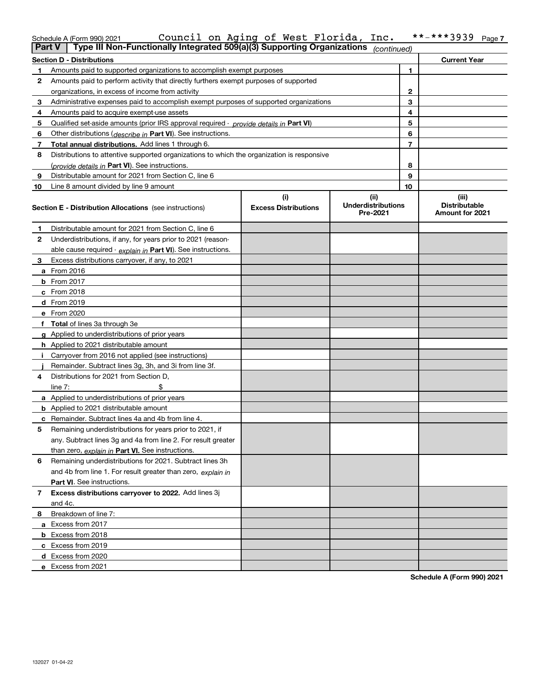**8**Breakdown of line 7:

**a** Excess from 2017 **b** Excess from 2018 **c** Excess from 2019 **d** Excess from 2020 **e** Excess from 2021

and 4c.

|                                                                | Schedule A (Form 990) 2021<br>Type III Non-Functionally Integrated 509(a)(3) Supporting Organizations<br>Part V | Council on Aging of West Florida,  | Inc.<br>(continued)                           |    | **-***3939<br>Page 7                                    |
|----------------------------------------------------------------|-----------------------------------------------------------------------------------------------------------------|------------------------------------|-----------------------------------------------|----|---------------------------------------------------------|
|                                                                | <b>Section D - Distributions</b>                                                                                |                                    |                                               |    | <b>Current Year</b>                                     |
| 1.                                                             | Amounts paid to supported organizations to accomplish exempt purposes                                           |                                    |                                               | 1  |                                                         |
| 2                                                              | Amounts paid to perform activity that directly furthers exempt purposes of supported                            |                                    |                                               |    |                                                         |
|                                                                | organizations, in excess of income from activity                                                                |                                    |                                               | 2  |                                                         |
| 3                                                              | Administrative expenses paid to accomplish exempt purposes of supported organizations                           |                                    |                                               | 3  |                                                         |
| 4                                                              | Amounts paid to acquire exempt-use assets                                                                       |                                    |                                               | 4  |                                                         |
| 5                                                              | Qualified set-aside amounts (prior IRS approval required - provide details in Part VI)                          |                                    |                                               | 5  |                                                         |
| 6                                                              | Other distributions ( <i>describe in</i> Part VI). See instructions.                                            |                                    |                                               | 6  |                                                         |
| 7                                                              | Total annual distributions. Add lines 1 through 6.                                                              |                                    |                                               | 7  |                                                         |
| 8                                                              | Distributions to attentive supported organizations to which the organization is responsive                      |                                    |                                               |    |                                                         |
|                                                                | (provide details in Part VI). See instructions.                                                                 |                                    |                                               | 8  |                                                         |
| 9                                                              | Distributable amount for 2021 from Section C, line 6                                                            |                                    |                                               | 9  |                                                         |
| 10                                                             | Line 8 amount divided by line 9 amount                                                                          |                                    |                                               | 10 |                                                         |
| <b>Section E - Distribution Allocations</b> (see instructions) |                                                                                                                 | (i)<br><b>Excess Distributions</b> | (ii)<br><b>Underdistributions</b><br>Pre-2021 |    | (iii)<br><b>Distributable</b><br><b>Amount for 2021</b> |
| $\mathbf 1$                                                    | Distributable amount for 2021 from Section C, line 6                                                            |                                    |                                               |    |                                                         |
| $\mathbf{2}$                                                   | Underdistributions, if any, for years prior to 2021 (reason-                                                    |                                    |                                               |    |                                                         |
|                                                                | able cause required - explain in Part VI). See instructions.                                                    |                                    |                                               |    |                                                         |
| 3                                                              | Excess distributions carryover, if any, to 2021                                                                 |                                    |                                               |    |                                                         |
|                                                                | a From 2016                                                                                                     |                                    |                                               |    |                                                         |
|                                                                | <b>b</b> From 2017                                                                                              |                                    |                                               |    |                                                         |
|                                                                | c From 2018                                                                                                     |                                    |                                               |    |                                                         |
|                                                                | d From 2019                                                                                                     |                                    |                                               |    |                                                         |
|                                                                | e From 2020                                                                                                     |                                    |                                               |    |                                                         |
|                                                                | f Total of lines 3a through 3e                                                                                  |                                    |                                               |    |                                                         |
|                                                                | g Applied to underdistributions of prior years                                                                  |                                    |                                               |    |                                                         |
|                                                                | h Applied to 2021 distributable amount                                                                          |                                    |                                               |    |                                                         |
|                                                                | i Carryover from 2016 not applied (see instructions)                                                            |                                    |                                               |    |                                                         |
|                                                                | Remainder. Subtract lines 3g, 3h, and 3i from line 3f.                                                          |                                    |                                               |    |                                                         |
| 4                                                              | Distributions for 2021 from Section D,                                                                          |                                    |                                               |    |                                                         |
|                                                                | line $7:$                                                                                                       |                                    |                                               |    |                                                         |
|                                                                | a Applied to underdistributions of prior years                                                                  |                                    |                                               |    |                                                         |
|                                                                | <b>b</b> Applied to 2021 distributable amount                                                                   |                                    |                                               |    |                                                         |
|                                                                | c Remainder. Subtract lines 4a and 4b from line 4.                                                              |                                    |                                               |    |                                                         |
| 5.                                                             | Remaining underdistributions for years prior to 2021, if                                                        |                                    |                                               |    |                                                         |
|                                                                | any. Subtract lines 3g and 4a from line 2. For result greater                                                   |                                    |                                               |    |                                                         |
|                                                                | than zero, explain in Part VI. See instructions.                                                                |                                    |                                               |    |                                                         |
| 6                                                              | Remaining underdistributions for 2021. Subtract lines 3h                                                        |                                    |                                               |    |                                                         |
|                                                                | and 4b from line 1. For result greater than zero, explain in                                                    |                                    |                                               |    |                                                         |
|                                                                |                                                                                                                 |                                    |                                               |    |                                                         |
|                                                                | Part VI. See instructions.<br>Excess distributions carryover to 2022. Add lines 3j                              |                                    |                                               |    |                                                         |

**Schedule A (Form 990) 2021**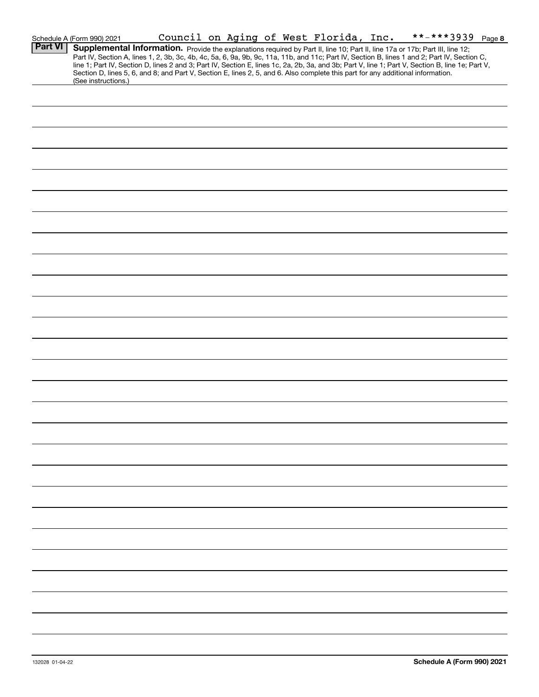|                | Schedule A (Form 990) 2021                                                                                                                                                                                                                                                                                                                                                                                                                                                                                                                                           | Council on Aging of West Florida, Inc. |  |  | **-***3939 Page 8 |  |
|----------------|----------------------------------------------------------------------------------------------------------------------------------------------------------------------------------------------------------------------------------------------------------------------------------------------------------------------------------------------------------------------------------------------------------------------------------------------------------------------------------------------------------------------------------------------------------------------|----------------------------------------|--|--|-------------------|--|
| <b>Part VI</b> | Supplemental Information. Provide the explanations required by Part II, line 10; Part II, line 17a or 17b; Part III, line 12;<br>Part IV, Section A, lines 1, 2, 3b, 3c, 4b, 4c, 5a, 6, 9a, 9b, 9c, 11a, 11b, and 11c; Part IV, Section B, lines 1 and 2; Part IV, Section C,<br>line 1; Part IV, Section D, lines 2 and 3; Part IV, Section E, lines 1c, 2a, 2b, 3a, and 3b; Part V, line 1; Part V, Section B, line 1e; Part V,<br>Section D, lines 5, 6, and 8; and Part V, Section E, lines 2, 5, and 6. Also complete this part for any additional information. |                                        |  |  |                   |  |
|                | (See instructions.)                                                                                                                                                                                                                                                                                                                                                                                                                                                                                                                                                  |                                        |  |  |                   |  |
|                |                                                                                                                                                                                                                                                                                                                                                                                                                                                                                                                                                                      |                                        |  |  |                   |  |
|                |                                                                                                                                                                                                                                                                                                                                                                                                                                                                                                                                                                      |                                        |  |  |                   |  |
|                |                                                                                                                                                                                                                                                                                                                                                                                                                                                                                                                                                                      |                                        |  |  |                   |  |
|                |                                                                                                                                                                                                                                                                                                                                                                                                                                                                                                                                                                      |                                        |  |  |                   |  |
|                |                                                                                                                                                                                                                                                                                                                                                                                                                                                                                                                                                                      |                                        |  |  |                   |  |
|                |                                                                                                                                                                                                                                                                                                                                                                                                                                                                                                                                                                      |                                        |  |  |                   |  |
|                |                                                                                                                                                                                                                                                                                                                                                                                                                                                                                                                                                                      |                                        |  |  |                   |  |
|                |                                                                                                                                                                                                                                                                                                                                                                                                                                                                                                                                                                      |                                        |  |  |                   |  |
|                |                                                                                                                                                                                                                                                                                                                                                                                                                                                                                                                                                                      |                                        |  |  |                   |  |
|                |                                                                                                                                                                                                                                                                                                                                                                                                                                                                                                                                                                      |                                        |  |  |                   |  |
|                |                                                                                                                                                                                                                                                                                                                                                                                                                                                                                                                                                                      |                                        |  |  |                   |  |
|                |                                                                                                                                                                                                                                                                                                                                                                                                                                                                                                                                                                      |                                        |  |  |                   |  |
|                |                                                                                                                                                                                                                                                                                                                                                                                                                                                                                                                                                                      |                                        |  |  |                   |  |
|                |                                                                                                                                                                                                                                                                                                                                                                                                                                                                                                                                                                      |                                        |  |  |                   |  |
|                |                                                                                                                                                                                                                                                                                                                                                                                                                                                                                                                                                                      |                                        |  |  |                   |  |
|                |                                                                                                                                                                                                                                                                                                                                                                                                                                                                                                                                                                      |                                        |  |  |                   |  |
|                |                                                                                                                                                                                                                                                                                                                                                                                                                                                                                                                                                                      |                                        |  |  |                   |  |
|                |                                                                                                                                                                                                                                                                                                                                                                                                                                                                                                                                                                      |                                        |  |  |                   |  |
|                |                                                                                                                                                                                                                                                                                                                                                                                                                                                                                                                                                                      |                                        |  |  |                   |  |
|                |                                                                                                                                                                                                                                                                                                                                                                                                                                                                                                                                                                      |                                        |  |  |                   |  |
|                |                                                                                                                                                                                                                                                                                                                                                                                                                                                                                                                                                                      |                                        |  |  |                   |  |
|                |                                                                                                                                                                                                                                                                                                                                                                                                                                                                                                                                                                      |                                        |  |  |                   |  |
|                |                                                                                                                                                                                                                                                                                                                                                                                                                                                                                                                                                                      |                                        |  |  |                   |  |
|                |                                                                                                                                                                                                                                                                                                                                                                                                                                                                                                                                                                      |                                        |  |  |                   |  |
|                |                                                                                                                                                                                                                                                                                                                                                                                                                                                                                                                                                                      |                                        |  |  |                   |  |
|                |                                                                                                                                                                                                                                                                                                                                                                                                                                                                                                                                                                      |                                        |  |  |                   |  |
|                |                                                                                                                                                                                                                                                                                                                                                                                                                                                                                                                                                                      |                                        |  |  |                   |  |
|                |                                                                                                                                                                                                                                                                                                                                                                                                                                                                                                                                                                      |                                        |  |  |                   |  |
|                |                                                                                                                                                                                                                                                                                                                                                                                                                                                                                                                                                                      |                                        |  |  |                   |  |
|                |                                                                                                                                                                                                                                                                                                                                                                                                                                                                                                                                                                      |                                        |  |  |                   |  |
|                |                                                                                                                                                                                                                                                                                                                                                                                                                                                                                                                                                                      |                                        |  |  |                   |  |
|                |                                                                                                                                                                                                                                                                                                                                                                                                                                                                                                                                                                      |                                        |  |  |                   |  |
|                |                                                                                                                                                                                                                                                                                                                                                                                                                                                                                                                                                                      |                                        |  |  |                   |  |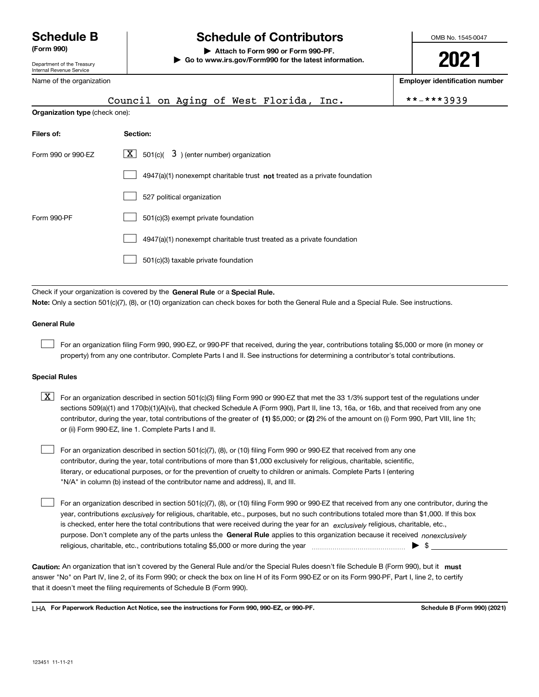Department of the Treasury Internal Revenue Service

# **Schedule B Schedule of Contributors**

**(Form 990) | Attach to Form 990 or Form 990-PF. | Go to www.irs.gov/Form990 for the latest information.** OMB No. 1545-0047

# **2021**

|                                                                                                                                                                                                                                                                                                                                                                                                                                                                | Name of the organization       | <b>Employer identification number</b>                                                                                                                                                                                                                                                                                                                                                                                                                                                                                                                                 |            |  |  |  |  |
|----------------------------------------------------------------------------------------------------------------------------------------------------------------------------------------------------------------------------------------------------------------------------------------------------------------------------------------------------------------------------------------------------------------------------------------------------------------|--------------------------------|-----------------------------------------------------------------------------------------------------------------------------------------------------------------------------------------------------------------------------------------------------------------------------------------------------------------------------------------------------------------------------------------------------------------------------------------------------------------------------------------------------------------------------------------------------------------------|------------|--|--|--|--|
|                                                                                                                                                                                                                                                                                                                                                                                                                                                                |                                | Council on Aging of West Florida, Inc.                                                                                                                                                                                                                                                                                                                                                                                                                                                                                                                                | **-***3939 |  |  |  |  |
|                                                                                                                                                                                                                                                                                                                                                                                                                                                                | Organization type (check one): |                                                                                                                                                                                                                                                                                                                                                                                                                                                                                                                                                                       |            |  |  |  |  |
| Filers of:                                                                                                                                                                                                                                                                                                                                                                                                                                                     |                                | Section:                                                                                                                                                                                                                                                                                                                                                                                                                                                                                                                                                              |            |  |  |  |  |
| Form 990 or 990-EZ                                                                                                                                                                                                                                                                                                                                                                                                                                             |                                | $\boxed{\mathbf{X}}$ 501(c)( 3) (enter number) organization                                                                                                                                                                                                                                                                                                                                                                                                                                                                                                           |            |  |  |  |  |
|                                                                                                                                                                                                                                                                                                                                                                                                                                                                |                                | $4947(a)(1)$ nonexempt charitable trust not treated as a private foundation                                                                                                                                                                                                                                                                                                                                                                                                                                                                                           |            |  |  |  |  |
|                                                                                                                                                                                                                                                                                                                                                                                                                                                                |                                | 527 political organization                                                                                                                                                                                                                                                                                                                                                                                                                                                                                                                                            |            |  |  |  |  |
| Form 990-PF                                                                                                                                                                                                                                                                                                                                                                                                                                                    |                                | 501(c)(3) exempt private foundation                                                                                                                                                                                                                                                                                                                                                                                                                                                                                                                                   |            |  |  |  |  |
|                                                                                                                                                                                                                                                                                                                                                                                                                                                                |                                | 4947(a)(1) nonexempt charitable trust treated as a private foundation                                                                                                                                                                                                                                                                                                                                                                                                                                                                                                 |            |  |  |  |  |
|                                                                                                                                                                                                                                                                                                                                                                                                                                                                |                                | 501(c)(3) taxable private foundation                                                                                                                                                                                                                                                                                                                                                                                                                                                                                                                                  |            |  |  |  |  |
|                                                                                                                                                                                                                                                                                                                                                                                                                                                                |                                | Check if your organization is covered by the General Rule or a Special Rule.                                                                                                                                                                                                                                                                                                                                                                                                                                                                                          |            |  |  |  |  |
|                                                                                                                                                                                                                                                                                                                                                                                                                                                                |                                | Note: Only a section 501(c)(7), (8), or (10) organization can check boxes for both the General Rule and a Special Rule. See instructions.                                                                                                                                                                                                                                                                                                                                                                                                                             |            |  |  |  |  |
| <b>General Rule</b>                                                                                                                                                                                                                                                                                                                                                                                                                                            |                                |                                                                                                                                                                                                                                                                                                                                                                                                                                                                                                                                                                       |            |  |  |  |  |
|                                                                                                                                                                                                                                                                                                                                                                                                                                                                |                                | For an organization filing Form 990, 990-EZ, or 990-PF that received, during the year, contributions totaling \$5,000 or more (in money or<br>property) from any one contributor. Complete Parts I and II. See instructions for determining a contributor's total contributions.                                                                                                                                                                                                                                                                                      |            |  |  |  |  |
| <b>Special Rules</b>                                                                                                                                                                                                                                                                                                                                                                                                                                           |                                |                                                                                                                                                                                                                                                                                                                                                                                                                                                                                                                                                                       |            |  |  |  |  |
| $\mathbf{X}$                                                                                                                                                                                                                                                                                                                                                                                                                                                   |                                | For an organization described in section 501(c)(3) filing Form 990 or 990-EZ that met the 33 1/3% support test of the regulations under<br>sections 509(a)(1) and 170(b)(1)(A)(vi), that checked Schedule A (Form 990), Part II, line 13, 16a, or 16b, and that received from any one<br>contributor, during the year, total contributions of the greater of (1) \$5,000; or (2) 2% of the amount on (i) Form 990, Part VIII, line 1h;<br>or (ii) Form 990-EZ, line 1. Complete Parts I and II.                                                                       |            |  |  |  |  |
| For an organization described in section 501(c)(7), (8), or (10) filing Form 990 or 990-EZ that received from any one<br>contributor, during the year, total contributions of more than \$1,000 exclusively for religious, charitable, scientific,<br>literary, or educational purposes, or for the prevention of cruelty to children or animals. Complete Parts I (entering<br>"N/A" in column (b) instead of the contributor name and address), II, and III. |                                |                                                                                                                                                                                                                                                                                                                                                                                                                                                                                                                                                                       |            |  |  |  |  |
|                                                                                                                                                                                                                                                                                                                                                                                                                                                                |                                | For an organization described in section 501(c)(7), (8), or (10) filing Form 990 or 990-EZ that received from any one contributor, during the<br>year, contributions exclusively for religious, charitable, etc., purposes, but no such contributions totaled more than \$1,000. If this box<br>is checked, enter here the total contributions that were received during the year for an exclusively religious, charitable, etc.,<br>purpose. Don't complete any of the parts unless the General Rule applies to this organization because it received nonexclusively | ► \$       |  |  |  |  |

Caution: An organization that isn't covered by the General Rule and/or the Special Rules doesn't file Schedule B (Form 990), but it **must** answer "No" on Part IV, line 2, of its Form 990; or check the box on line H of its Form 990-EZ or on its Form 990-PF, Part I, line 2, to certify that it doesn't meet the filing requirements of Schedule B (Form 990).

LHA For Paperwork Reduction Act Notice, see the instructions for Form 990, 990-EZ, or 990-PF. **In the act and Schedule B** (Form 990) (2021)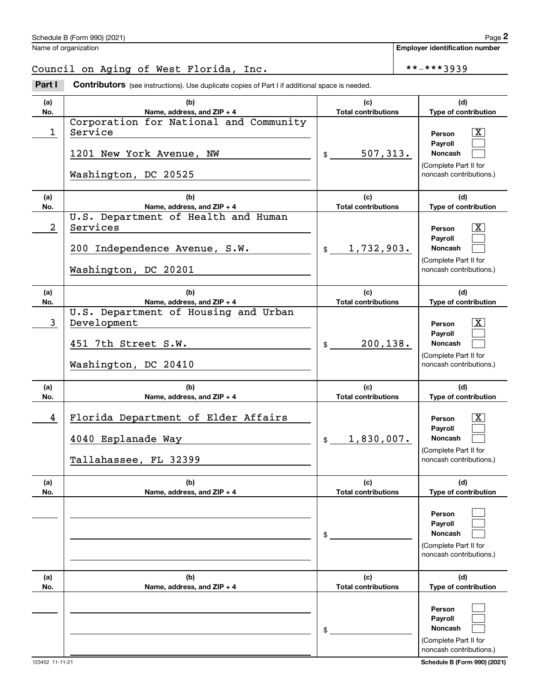|            | Schedule B (Form 990) (2021)                                                                             |                                   | Page 2                                                                                                           |
|------------|----------------------------------------------------------------------------------------------------------|-----------------------------------|------------------------------------------------------------------------------------------------------------------|
|            | Name of organization                                                                                     |                                   | <b>Employer identification number</b>                                                                            |
|            | Council on Aging of West Florida, Inc.                                                                   |                                   | **-***3939                                                                                                       |
| Part I     | <b>Contributors</b> (see instructions). Use duplicate copies of Part I if additional space is needed.    |                                   |                                                                                                                  |
| (a)<br>No. | (b)<br>Name, address, and ZIP + 4                                                                        | (c)<br><b>Total contributions</b> | (d)<br>Type of contribution                                                                                      |
| 1          | Corporation for National and Community<br>Service<br>1201 New York Avenue, NW<br>Washington, DC 20525    | 507, 313.<br>$\frac{1}{2}$        | x<br>Person<br>Payroll<br><b>Noncash</b><br>(Complete Part II for<br>noncash contributions.)                     |
| (a)<br>No. | (b)<br>Name, address, and ZIP + 4                                                                        | (c)<br><b>Total contributions</b> | (d)<br>Type of contribution                                                                                      |
| 2          | U.S. Department of Health and Human<br>Services<br>200 Independence Avenue, S.W.<br>Washington, DC 20201 | 1,732,903.<br>$\mathsf{\$}$       | x<br>Person<br>Payroll<br><b>Noncash</b><br>(Complete Part II for<br>noncash contributions.)                     |
| (a)<br>No. | (b)<br>Name, address, and ZIP + 4                                                                        | (c)<br><b>Total contributions</b> | (d)<br>Type of contribution                                                                                      |
| 3          | U.S. Department of Housing and Urban<br>Development<br>451 7th Street S.W.<br>Washington, DC 20410       | 200, 138.<br>$\mathfrak{S}$       | x<br>Person<br>Payroll<br><b>Noncash</b><br>(Complete Part II for<br>noncash contributions.)                     |
| (a)<br>No. | (b)<br>Name, address, and ZIP + 4                                                                        | (c)<br><b>Total contributions</b> | (d)<br>Type of contribution                                                                                      |
| 4          | Florida Department of Elder Affairs<br>4040 Esplanade Way<br>Tallahassee, FL 32399                       | 1,830,007.<br>\$                  | $\overline{\text{X}}$<br>Person<br>Payroll<br><b>Noncash</b><br>(Complete Part II for<br>noncash contributions.) |
| (a)<br>No. | (b)<br>Name, address, and ZIP + 4                                                                        | (c)<br><b>Total contributions</b> | (d)<br>Type of contribution                                                                                      |
|            |                                                                                                          | \$                                | Person<br>Payroll<br>Noncash<br>(Complete Part II for<br>noncash contributions.)                                 |
| (a)<br>No. | (b)<br>Name, address, and ZIP + 4                                                                        | (c)<br><b>Total contributions</b> | (d)<br>Type of contribution                                                                                      |
|            |                                                                                                          |                                   | Person<br>Payroll                                                                                                |

**Noncash**

(Complete Part II for noncash contributions.)

\$

> $\mathcal{L}^{\text{max}}$  $\mathcal{L}^{\text{max}}$  $\mathcal{L}^{\text{max}}$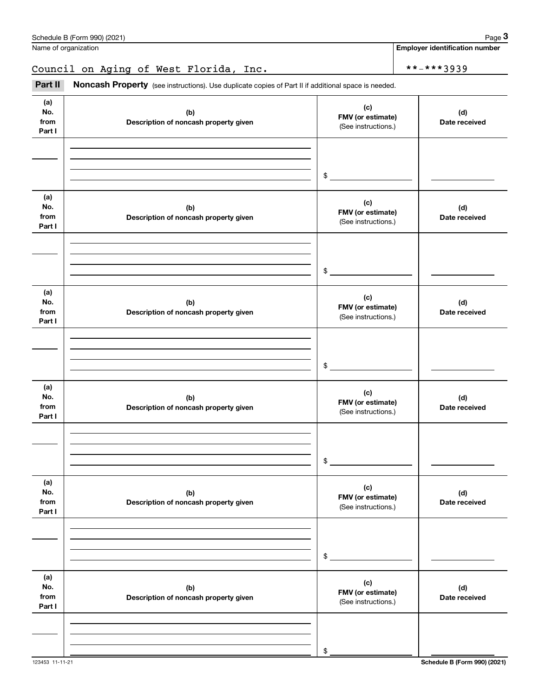| (a)<br>No.<br>from<br>Part I | (b)<br>Description of noncash property given | (c)<br>FMV (or estimate)<br>(See instructions.) | (d)<br>Date received |
|------------------------------|----------------------------------------------|-------------------------------------------------|----------------------|
|                              |                                              | \$                                              |                      |
| (a)<br>No.<br>from<br>Part I | (b)<br>Description of noncash property given | (c)<br>FMV (or estimate)<br>(See instructions.) | (d)<br>Date received |
|                              |                                              | \$                                              |                      |
| (a)<br>No.<br>from<br>Part I | (b)<br>Description of noncash property given | (c)<br>FMV (or estimate)<br>(See instructions.) | (d)<br>Date received |
|                              |                                              | $\frac{1}{2}$                                   |                      |
| (a)<br>No.<br>from<br>Part I | (b)<br>Description of noncash property given | (c)<br>FMV (or estimate)<br>(See instructions.) | (d)<br>Date received |
|                              |                                              | \$                                              |                      |
| (a)<br>No.<br>from<br>Part I | (b)<br>Description of noncash property given | (c)<br>FMV (or estimate)<br>(See instructions.) | (d)<br>Date received |
|                              |                                              | \$                                              |                      |
| (a)<br>No.<br>from<br>Part I | (b)<br>Description of noncash property given | (c)<br>FMV (or estimate)<br>(See instructions.) | (d)<br>Date received |
|                              |                                              | \$                                              |                      |

**Employer identification number** (see instructions). Use duplicate copies of Part II if additional space is needed.<br> **2Part II Noncash Property** (see instructions). Use duplicate copies of Part II if additional space is needed.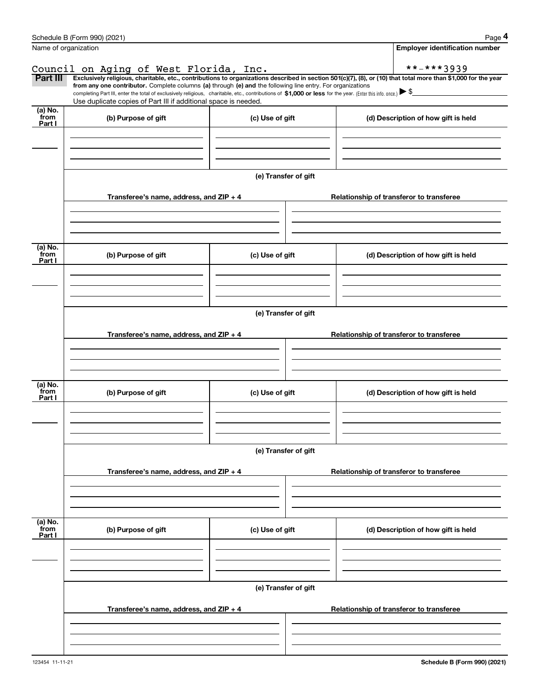|                           | Schedule B (Form 990) (2021)                                                                                                                                                                                                    |                      | Page 4                                                                                                                                                         |  |  |  |  |  |  |
|---------------------------|---------------------------------------------------------------------------------------------------------------------------------------------------------------------------------------------------------------------------------|----------------------|----------------------------------------------------------------------------------------------------------------------------------------------------------------|--|--|--|--|--|--|
|                           | Name of organization                                                                                                                                                                                                            |                      | <b>Employer identification number</b>                                                                                                                          |  |  |  |  |  |  |
|                           | Council on Aging of West Florida, Inc.                                                                                                                                                                                          |                      | **-***3939                                                                                                                                                     |  |  |  |  |  |  |
| <b>Part III</b>           | from any one contributor. Complete columns (a) through (e) and the following line entry. For organizations                                                                                                                      |                      | Exclusively religious, charitable, etc., contributions to organizations described in section 501(c)(7), (8), or (10) that total more than \$1,000 for the year |  |  |  |  |  |  |
|                           | completing Part III, enter the total of exclusively religious, charitable, etc., contributions of \$1,000 or less for the year. (Enter this info. once.) \\$<br>Use duplicate copies of Part III if additional space is needed. |                      |                                                                                                                                                                |  |  |  |  |  |  |
| (a) No.                   |                                                                                                                                                                                                                                 |                      |                                                                                                                                                                |  |  |  |  |  |  |
| from<br>Part I            | (b) Purpose of gift                                                                                                                                                                                                             | (c) Use of gift      | (d) Description of how gift is held                                                                                                                            |  |  |  |  |  |  |
|                           |                                                                                                                                                                                                                                 |                      |                                                                                                                                                                |  |  |  |  |  |  |
|                           |                                                                                                                                                                                                                                 |                      |                                                                                                                                                                |  |  |  |  |  |  |
|                           |                                                                                                                                                                                                                                 |                      |                                                                                                                                                                |  |  |  |  |  |  |
|                           |                                                                                                                                                                                                                                 | (e) Transfer of gift |                                                                                                                                                                |  |  |  |  |  |  |
|                           | Transferee's name, address, and ZIP + 4                                                                                                                                                                                         |                      | Relationship of transferor to transferee                                                                                                                       |  |  |  |  |  |  |
|                           |                                                                                                                                                                                                                                 |                      |                                                                                                                                                                |  |  |  |  |  |  |
|                           |                                                                                                                                                                                                                                 |                      |                                                                                                                                                                |  |  |  |  |  |  |
|                           |                                                                                                                                                                                                                                 |                      |                                                                                                                                                                |  |  |  |  |  |  |
| (a) No.<br>from<br>Part I | (b) Purpose of gift                                                                                                                                                                                                             | (c) Use of gift      | (d) Description of how gift is held                                                                                                                            |  |  |  |  |  |  |
|                           |                                                                                                                                                                                                                                 |                      |                                                                                                                                                                |  |  |  |  |  |  |
|                           |                                                                                                                                                                                                                                 |                      |                                                                                                                                                                |  |  |  |  |  |  |
|                           |                                                                                                                                                                                                                                 |                      |                                                                                                                                                                |  |  |  |  |  |  |
|                           | (e) Transfer of gift                                                                                                                                                                                                            |                      |                                                                                                                                                                |  |  |  |  |  |  |
|                           | Transferee's name, address, and ZIP + 4                                                                                                                                                                                         |                      | Relationship of transferor to transferee                                                                                                                       |  |  |  |  |  |  |
|                           |                                                                                                                                                                                                                                 |                      |                                                                                                                                                                |  |  |  |  |  |  |
|                           |                                                                                                                                                                                                                                 |                      |                                                                                                                                                                |  |  |  |  |  |  |
|                           |                                                                                                                                                                                                                                 |                      |                                                                                                                                                                |  |  |  |  |  |  |
| (a) No.<br>from           | (b) Purpose of gift<br>(c) Use of gift                                                                                                                                                                                          |                      | (d) Description of how gift is held                                                                                                                            |  |  |  |  |  |  |
| Part I                    |                                                                                                                                                                                                                                 |                      |                                                                                                                                                                |  |  |  |  |  |  |
|                           |                                                                                                                                                                                                                                 |                      |                                                                                                                                                                |  |  |  |  |  |  |
|                           |                                                                                                                                                                                                                                 |                      |                                                                                                                                                                |  |  |  |  |  |  |
|                           |                                                                                                                                                                                                                                 | (e) Transfer of gift |                                                                                                                                                                |  |  |  |  |  |  |
|                           |                                                                                                                                                                                                                                 |                      |                                                                                                                                                                |  |  |  |  |  |  |
|                           | Transferee's name, address, and ZIP + 4                                                                                                                                                                                         |                      | Relationship of transferor to transferee                                                                                                                       |  |  |  |  |  |  |
|                           |                                                                                                                                                                                                                                 |                      |                                                                                                                                                                |  |  |  |  |  |  |
|                           |                                                                                                                                                                                                                                 |                      |                                                                                                                                                                |  |  |  |  |  |  |
| (a) No.<br>from           | (b) Purpose of gift                                                                                                                                                                                                             | (c) Use of gift      | (d) Description of how gift is held                                                                                                                            |  |  |  |  |  |  |
| Part I                    |                                                                                                                                                                                                                                 |                      |                                                                                                                                                                |  |  |  |  |  |  |
|                           |                                                                                                                                                                                                                                 |                      |                                                                                                                                                                |  |  |  |  |  |  |
|                           |                                                                                                                                                                                                                                 |                      |                                                                                                                                                                |  |  |  |  |  |  |
|                           |                                                                                                                                                                                                                                 | (e) Transfer of gift |                                                                                                                                                                |  |  |  |  |  |  |
|                           |                                                                                                                                                                                                                                 |                      |                                                                                                                                                                |  |  |  |  |  |  |
|                           | Transferee's name, address, and ZIP + 4                                                                                                                                                                                         |                      | Relationship of transferor to transferee                                                                                                                       |  |  |  |  |  |  |
|                           |                                                                                                                                                                                                                                 |                      |                                                                                                                                                                |  |  |  |  |  |  |
|                           |                                                                                                                                                                                                                                 |                      |                                                                                                                                                                |  |  |  |  |  |  |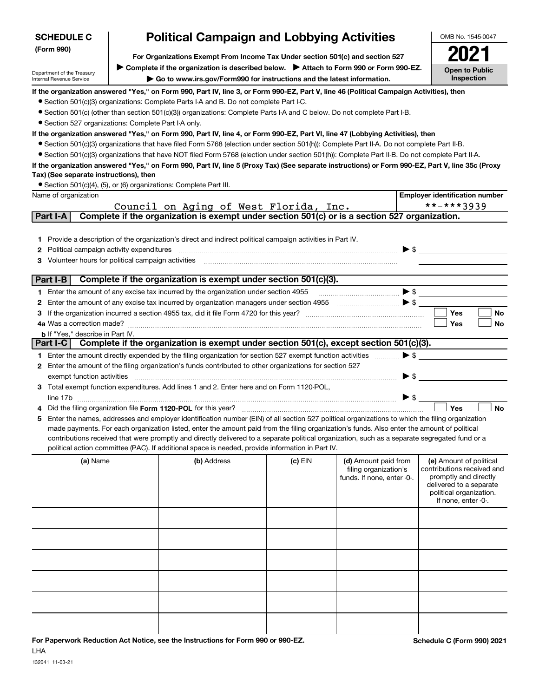| <b>SCHEDULE C</b>                                      | <b>Political Campaign and Lobbying Activities</b>                                                                                                                                                                                                                             |         |                                               |                                                      | OMB No. 1545-0047                                     |
|--------------------------------------------------------|-------------------------------------------------------------------------------------------------------------------------------------------------------------------------------------------------------------------------------------------------------------------------------|---------|-----------------------------------------------|------------------------------------------------------|-------------------------------------------------------|
| (Form 990)                                             | For Organizations Exempt From Income Tax Under section 501(c) and section 527                                                                                                                                                                                                 |         |                                               |                                                      |                                                       |
|                                                        | ► Complete if the organization is described below. ▶ Attach to Form 990 or Form 990-EZ.                                                                                                                                                                                       |         |                                               |                                                      | <b>Open to Public</b>                                 |
| Department of the Treasury<br>Internal Revenue Service | Go to www.irs.gov/Form990 for instructions and the latest information.                                                                                                                                                                                                        |         |                                               |                                                      | Inspection                                            |
|                                                        | If the organization answered "Yes," on Form 990, Part IV, line 3, or Form 990-EZ, Part V, line 46 (Political Campaign Activities), then                                                                                                                                       |         |                                               |                                                      |                                                       |
|                                                        | • Section 501(c)(3) organizations: Complete Parts I-A and B. Do not complete Part I-C.                                                                                                                                                                                        |         |                                               |                                                      |                                                       |
|                                                        | ● Section 501(c) (other than section 501(c)(3)) organizations: Complete Parts I-A and C below. Do not complete Part I-B.                                                                                                                                                      |         |                                               |                                                      |                                                       |
| • Section 527 organizations: Complete Part I-A only.   |                                                                                                                                                                                                                                                                               |         |                                               |                                                      |                                                       |
|                                                        | If the organization answered "Yes," on Form 990, Part IV, line 4, or Form 990-EZ, Part VI, line 47 (Lobbying Activities), then<br>• Section 501(c)(3) organizations that have filed Form 5768 (election under section 501(h)): Complete Part II-A. Do not complete Part II-B. |         |                                               |                                                      |                                                       |
|                                                        | • Section 501(c)(3) organizations that have NOT filed Form 5768 (election under section 501(h)): Complete Part II-B. Do not complete Part II-A.                                                                                                                               |         |                                               |                                                      |                                                       |
|                                                        | If the organization answered "Yes," on Form 990, Part IV, line 5 (Proxy Tax) (See separate instructions) or Form 990-EZ, Part V, line 35c (Proxy                                                                                                                              |         |                                               |                                                      |                                                       |
| Tax) (See separate instructions), then                 |                                                                                                                                                                                                                                                                               |         |                                               |                                                      |                                                       |
|                                                        | • Section 501(c)(4), (5), or (6) organizations: Complete Part III.                                                                                                                                                                                                            |         |                                               |                                                      |                                                       |
| Name of organization                                   |                                                                                                                                                                                                                                                                               |         |                                               |                                                      | <b>Employer identification number</b>                 |
| Part I-A                                               | Council on Aging of West Florida, Inc.<br>Complete if the organization is exempt under section 501(c) or is a section 527 organization.                                                                                                                                       |         |                                               |                                                      | **-***3939                                            |
|                                                        |                                                                                                                                                                                                                                                                               |         |                                               |                                                      |                                                       |
| 1.                                                     | Provide a description of the organization's direct and indirect political campaign activities in Part IV.                                                                                                                                                                     |         |                                               |                                                      |                                                       |
| <b>2</b> Political campaign activity expenditures      |                                                                                                                                                                                                                                                                               |         |                                               | $\blacktriangleright$ \$                             |                                                       |
| Volunteer hours for political campaign activities<br>3 |                                                                                                                                                                                                                                                                               |         |                                               |                                                      |                                                       |
|                                                        |                                                                                                                                                                                                                                                                               |         |                                               |                                                      |                                                       |
| Part I-B                                               | Complete if the organization is exempt under section 501(c)(3).                                                                                                                                                                                                               |         |                                               |                                                      |                                                       |
|                                                        | 1 Enter the amount of any excise tax incurred by the organization under section 4955                                                                                                                                                                                          |         |                                               | $\blacktriangleright$ \$<br>$\blacktriangleright$ \$ |                                                       |
| З                                                      | 2 Enter the amount of any excise tax incurred by organization managers under section 4955<br>If the organization incurred a section 4955 tax, did it file Form 4720 for this year?                                                                                            |         |                                               |                                                      | Yes<br>No                                             |
| 4a Was a correction made?                              |                                                                                                                                                                                                                                                                               |         |                                               |                                                      | Yes<br>No                                             |
| <b>b</b> If "Yes," describe in Part IV.                |                                                                                                                                                                                                                                                                               |         |                                               |                                                      |                                                       |
| Part I-C                                               | Complete if the organization is exempt under section 501(c), except section 501(c)(3).                                                                                                                                                                                        |         |                                               |                                                      |                                                       |
|                                                        | 1 Enter the amount directly expended by the filing organization for section 527 exempt function activities                                                                                                                                                                    |         |                                               | $\blacktriangleright$ \$                             |                                                       |
|                                                        | 2 Enter the amount of the filing organization's funds contributed to other organizations for section 527                                                                                                                                                                      |         |                                               |                                                      |                                                       |
| exempt function activities                             |                                                                                                                                                                                                                                                                               |         |                                               | $\blacktriangleright$ \$                             |                                                       |
| line 17b                                               | 3 Total exempt function expenditures. Add lines 1 and 2. Enter here and on Form 1120-POL,                                                                                                                                                                                     |         |                                               | $\blacktriangleright$ \$                             |                                                       |
|                                                        | Did the filing organization file Form 1120-POL for this year?                                                                                                                                                                                                                 |         |                                               |                                                      | Yes<br><b>No</b>                                      |
|                                                        | 5 Enter the names, addresses and employer identification number (EIN) of all section 527 political organizations to which the filing organization                                                                                                                             |         |                                               |                                                      |                                                       |
|                                                        | made payments. For each organization listed, enter the amount paid from the filing organization's funds. Also enter the amount of political                                                                                                                                   |         |                                               |                                                      |                                                       |
|                                                        | contributions received that were promptly and directly delivered to a separate political organization, such as a separate segregated fund or a                                                                                                                                |         |                                               |                                                      |                                                       |
|                                                        | political action committee (PAC). If additional space is needed, provide information in Part IV.                                                                                                                                                                              |         |                                               |                                                      |                                                       |
| (a) Name                                               | (b) Address                                                                                                                                                                                                                                                                   | (c) EIN | (d) Amount paid from<br>filing organization's |                                                      | (e) Amount of political<br>contributions received and |
|                                                        |                                                                                                                                                                                                                                                                               |         | funds. If none, enter -0-.                    |                                                      | promptly and directly                                 |
|                                                        |                                                                                                                                                                                                                                                                               |         |                                               |                                                      | delivered to a separate<br>political organization.    |
|                                                        |                                                                                                                                                                                                                                                                               |         |                                               |                                                      | If none, enter -0-.                                   |
|                                                        |                                                                                                                                                                                                                                                                               |         |                                               |                                                      |                                                       |
|                                                        |                                                                                                                                                                                                                                                                               |         |                                               |                                                      |                                                       |
|                                                        |                                                                                                                                                                                                                                                                               |         |                                               |                                                      |                                                       |
|                                                        |                                                                                                                                                                                                                                                                               |         |                                               |                                                      |                                                       |
|                                                        |                                                                                                                                                                                                                                                                               |         |                                               |                                                      |                                                       |
|                                                        |                                                                                                                                                                                                                                                                               |         |                                               |                                                      |                                                       |
|                                                        |                                                                                                                                                                                                                                                                               |         |                                               |                                                      |                                                       |
|                                                        |                                                                                                                                                                                                                                                                               |         |                                               |                                                      |                                                       |
|                                                        |                                                                                                                                                                                                                                                                               |         |                                               |                                                      |                                                       |
|                                                        |                                                                                                                                                                                                                                                                               |         |                                               |                                                      |                                                       |
|                                                        |                                                                                                                                                                                                                                                                               |         |                                               |                                                      |                                                       |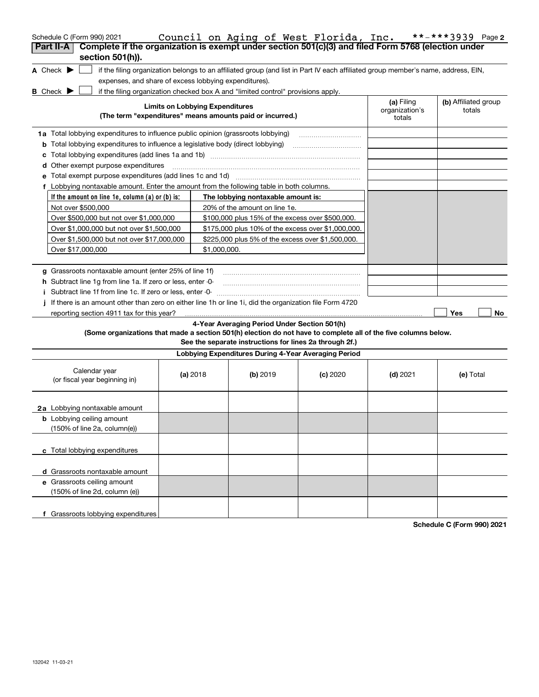| Schedule C (Form 990) 2021                                                                                                          |                                                                                        |                                                                                  | Council on Aging of West Florida, Inc.                                                                                            |                              | **-***3939 Page 2    |  |  |
|-------------------------------------------------------------------------------------------------------------------------------------|----------------------------------------------------------------------------------------|----------------------------------------------------------------------------------|-----------------------------------------------------------------------------------------------------------------------------------|------------------------------|----------------------|--|--|
| Complete if the organization is exempt under section 501(c)(3) and filed Form 5768 (election under<br>Part II-A<br>section 501(h)). |                                                                                        |                                                                                  |                                                                                                                                   |                              |                      |  |  |
| A Check $\blacktriangleright$                                                                                                       |                                                                                        |                                                                                  | if the filing organization belongs to an affiliated group (and list in Part IV each affiliated group member's name, address, EIN, |                              |                      |  |  |
| expenses, and share of excess lobbying expenditures).                                                                               |                                                                                        |                                                                                  |                                                                                                                                   |                              |                      |  |  |
| <b>B</b> Check $\blacktriangleright$                                                                                                | <b>Limits on Lobbying Expenditures</b>                                                 | if the filing organization checked box A and "limited control" provisions apply. |                                                                                                                                   | (a) Filing<br>organization's | (b) Affiliated group |  |  |
|                                                                                                                                     |                                                                                        | (The term "expenditures" means amounts paid or incurred.)                        |                                                                                                                                   | totals                       | totals               |  |  |
| 1a Total lobbying expenditures to influence public opinion (grassroots lobbying)                                                    |                                                                                        |                                                                                  |                                                                                                                                   |                              |                      |  |  |
|                                                                                                                                     | <b>b</b> Total lobbying expenditures to influence a legislative body (direct lobbying) |                                                                                  |                                                                                                                                   |                              |                      |  |  |
|                                                                                                                                     |                                                                                        |                                                                                  |                                                                                                                                   |                              |                      |  |  |
| <b>d</b> Other exempt purpose expenditures                                                                                          |                                                                                        |                                                                                  |                                                                                                                                   |                              |                      |  |  |
|                                                                                                                                     |                                                                                        |                                                                                  |                                                                                                                                   |                              |                      |  |  |
| f Lobbying nontaxable amount. Enter the amount from the following table in both columns.                                            |                                                                                        |                                                                                  |                                                                                                                                   |                              |                      |  |  |
| If the amount on line 1e, column (a) or (b) is:                                                                                     |                                                                                        | The lobbying nontaxable amount is:                                               |                                                                                                                                   |                              |                      |  |  |
| Not over \$500,000                                                                                                                  |                                                                                        | 20% of the amount on line 1e.                                                    |                                                                                                                                   |                              |                      |  |  |
| Over \$500,000 but not over \$1,000,000                                                                                             |                                                                                        | \$100,000 plus 15% of the excess over \$500,000.                                 |                                                                                                                                   |                              |                      |  |  |
| Over \$1,000,000 but not over \$1,500,000                                                                                           |                                                                                        | \$175,000 plus 10% of the excess over \$1,000,000.                               |                                                                                                                                   |                              |                      |  |  |
| Over \$1,500,000 but not over \$17,000,000                                                                                          |                                                                                        | \$225,000 plus 5% of the excess over \$1,500,000.                                |                                                                                                                                   |                              |                      |  |  |
| Over \$17,000,000                                                                                                                   | \$1,000,000.                                                                           |                                                                                  |                                                                                                                                   |                              |                      |  |  |
|                                                                                                                                     |                                                                                        |                                                                                  |                                                                                                                                   |                              |                      |  |  |
| g Grassroots nontaxable amount (enter 25% of line 1f)                                                                               |                                                                                        |                                                                                  |                                                                                                                                   |                              |                      |  |  |
| <b>h</b> Subtract line 1g from line 1a. If zero or less, enter -0-                                                                  |                                                                                        |                                                                                  |                                                                                                                                   |                              |                      |  |  |
| i Subtract line 1f from line 1c. If zero or less, enter -0-                                                                         |                                                                                        |                                                                                  |                                                                                                                                   |                              |                      |  |  |
| If there is an amount other than zero on either line 1h or line 1i, did the organization file Form 4720                             |                                                                                        |                                                                                  |                                                                                                                                   |                              |                      |  |  |
| reporting section 4911 tax for this year?                                                                                           |                                                                                        |                                                                                  |                                                                                                                                   |                              | Yes<br>No.           |  |  |
|                                                                                                                                     |                                                                                        | 4-Year Averaging Period Under Section 501(h)                                     |                                                                                                                                   |                              |                      |  |  |
| (Some organizations that made a section 501(h) election do not have to complete all of the five columns below.                      |                                                                                        | See the separate instructions for lines 2a through 2f.)                          |                                                                                                                                   |                              |                      |  |  |
|                                                                                                                                     |                                                                                        | Lobbying Expenditures During 4-Year Averaging Period                             |                                                                                                                                   |                              |                      |  |  |
| Calendar year<br>(or fiscal year beginning in)                                                                                      | (a) 2018                                                                               | (b) 2019                                                                         | $(c)$ 2020                                                                                                                        | $(d)$ 2021                   | (e) Total            |  |  |
| 2a Lobbying nontaxable amount                                                                                                       |                                                                                        |                                                                                  |                                                                                                                                   |                              |                      |  |  |
| <b>b</b> Lobbying ceiling amount<br>(150% of line 2a, column(e))                                                                    |                                                                                        |                                                                                  |                                                                                                                                   |                              |                      |  |  |
| c Total lobbying expenditures                                                                                                       |                                                                                        |                                                                                  |                                                                                                                                   |                              |                      |  |  |
| d Grassroots nontaxable amount                                                                                                      |                                                                                        |                                                                                  |                                                                                                                                   |                              |                      |  |  |
| e Grassroots ceiling amount<br>(150% of line 2d, column (e))                                                                        |                                                                                        |                                                                                  |                                                                                                                                   |                              |                      |  |  |
| f Grassroots lobbying expenditures                                                                                                  |                                                                                        |                                                                                  |                                                                                                                                   |                              | 0.00100              |  |  |

**Schedule C (Form 990) 2021**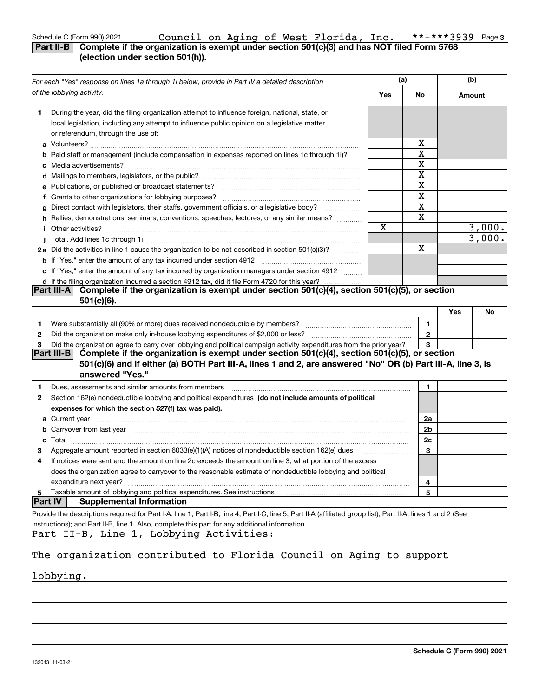### Schedule C (Form 990) 2021 Council on Aging of West Florida, Inc**.** \*\*-\*\*\*3939 Page 3 Council on Aging of West Florida, Inc. \*\*-\*\*\*3939

### **Part II-B Complete if the organization is exempt under section 501(c)(3) and has NOT filed Form 5768 (election under section 501(h)).**

|                | For each "Yes" response on lines 1a through 1i below, provide in Part IV a detailed description                                                                                                                                     |     | (a)          |     | (b)    |
|----------------|-------------------------------------------------------------------------------------------------------------------------------------------------------------------------------------------------------------------------------------|-----|--------------|-----|--------|
|                | of the lobbying activity.                                                                                                                                                                                                           | Yes | No           |     | Amount |
| 1.             | During the year, did the filing organization attempt to influence foreign, national, state, or<br>local legislation, including any attempt to influence public opinion on a legislative matter                                      |     |              |     |        |
|                | or referendum, through the use of:                                                                                                                                                                                                  |     |              |     |        |
|                |                                                                                                                                                                                                                                     |     | х            |     |        |
|                | <b>b</b> Paid staff or management (include compensation in expenses reported on lines 1c through 1i)?                                                                                                                               |     | X            |     |        |
|                |                                                                                                                                                                                                                                     |     | X            |     |        |
|                |                                                                                                                                                                                                                                     |     | X            |     |        |
|                | e Publications, or published or broadcast statements?                                                                                                                                                                               |     | X            |     |        |
|                | f Grants to other organizations for lobbying purposes?                                                                                                                                                                              |     | X            |     |        |
|                | g Direct contact with legislators, their staffs, government officials, or a legislative body?                                                                                                                                       |     | X            |     |        |
|                | h Rallies, demonstrations, seminars, conventions, speeches, lectures, or any similar means?                                                                                                                                         |     | X            |     |        |
|                | <i>i</i> Other activities?                                                                                                                                                                                                          | X   |              |     | 3,000. |
|                |                                                                                                                                                                                                                                     |     |              |     | 3,000. |
|                | 2a Did the activities in line 1 cause the organization to be not described in section 501(c)(3)?                                                                                                                                    |     | X            |     |        |
|                |                                                                                                                                                                                                                                     |     |              |     |        |
|                | c If "Yes," enter the amount of any tax incurred by organization managers under section 4912                                                                                                                                        |     |              |     |        |
|                | d If the filing organization incurred a section 4912 tax, did it file Form 4720 for this year?                                                                                                                                      |     |              |     |        |
|                | Complete if the organization is exempt under section 501(c)(4), section 501(c)(5), or section<br><b>Part III-AI</b>                                                                                                                 |     |              |     |        |
|                | $501(c)(6)$ .                                                                                                                                                                                                                       |     |              | Yes | No     |
|                |                                                                                                                                                                                                                                     |     |              |     |        |
| 1.             |                                                                                                                                                                                                                                     |     | 1            |     |        |
| 2              |                                                                                                                                                                                                                                     |     | $\mathbf{2}$ |     |        |
|                | Did the organization agree to carry over lobbying and political campaign activity expenditures from the prior year?<br>Complete if the organization is exempt under section 501(c)(4), section 501(c)(5), or section<br>Part III-BI |     | 3            |     |        |
|                | 501(c)(6) and if either (a) BOTH Part III-A, lines 1 and 2, are answered "No" OR (b) Part III-A, line 3, is                                                                                                                         |     |              |     |        |
|                | answered "Yes."                                                                                                                                                                                                                     |     |              |     |        |
| 1.             |                                                                                                                                                                                                                                     |     | 1            |     |        |
| 2              | Section 162(e) nondeductible lobbying and political expenditures (do not include amounts of political                                                                                                                               |     |              |     |        |
|                | expenses for which the section 527(f) tax was paid).                                                                                                                                                                                |     |              |     |        |
|                |                                                                                                                                                                                                                                     |     | 2a           |     |        |
|                | b Carryover from last year manufactured and contract the contract of the contract of the contract of the contract of contract of contract of contract of contract of contract of contract of contract of contract of contract       |     | 2b           |     |        |
|                |                                                                                                                                                                                                                                     |     | 2c           |     |        |
|                | Aggregate amount reported in section 6033(e)(1)(A) notices of nondeductible section 162(e) dues                                                                                                                                     |     | 3            |     |        |
| 4              | If notices were sent and the amount on line 2c exceeds the amount on line 3, what portion of the excess                                                                                                                             |     |              |     |        |
|                | does the organization agree to carryover to the reasonable estimate of nondeductible lobbying and political                                                                                                                         |     |              |     |        |
|                | expenditure next year?                                                                                                                                                                                                              |     | 4            |     |        |
| 5              | Taxable amount of lobbying and political expenditures. See instructions                                                                                                                                                             |     | 5            |     |        |
| <b>Part IV</b> | <b>Supplemental Information</b>                                                                                                                                                                                                     |     |              |     |        |
|                | Provide the descriptions required for Part I-A, line 1; Part I-B, line 4; Part I-C, line 5; Part II-A (affiliated group list); Part II-A, lines 1 and 2 (See                                                                        |     |              |     |        |
|                | instructions); and Part II-B, line 1. Also, complete this part for any additional information.                                                                                                                                      |     |              |     |        |
|                | Part II-B, Line 1, Lobbying Activities:                                                                                                                                                                                             |     |              |     |        |
|                | The organization contributed to Florida Council on Aging to support                                                                                                                                                                 |     |              |     |        |

### lobbying.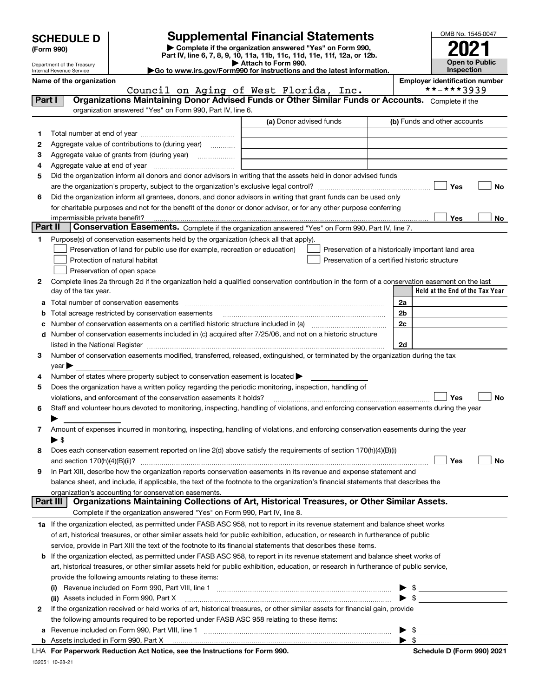| <b>SCHEDULE D</b> |  |
|-------------------|--|
|-------------------|--|

Department of the Treasury

| (Form 990) |
|------------|
|            |

# **Supplemental Financial Statements**

**| Complete if the organization answered "Yes" on Form 990, Part IV, line 6, 7, 8, 9, 10, 11a, 11b, 11c, 11d, 11e, 11f, 12a, or 12b. | Attach to Form 990.**



Internal Revenue Service

**|Go to www.irs.gov/Form990 for instructions and the latest information.**

Name of the organization<br>**Council on Aging of West Florida, Inc. Employer identification number**<br>\*\*-\*\*\*3939 Council on Aging of West Florida, Inc.

| Part I | Organizations Maintaining Donor Advised Funds or Other Similar Funds or Accounts. Complete if the<br>organization answered "Yes" on Form 990, Part IV, line 6.    |                         |                                                    |
|--------|-------------------------------------------------------------------------------------------------------------------------------------------------------------------|-------------------------|----------------------------------------------------|
|        |                                                                                                                                                                   | (a) Donor advised funds | (b) Funds and other accounts                       |
| 1.     |                                                                                                                                                                   |                         |                                                    |
| 2      | Aggregate value of contributions to (during year)                                                                                                                 |                         |                                                    |
| 3      |                                                                                                                                                                   |                         |                                                    |
| 4      |                                                                                                                                                                   |                         |                                                    |
| 5      | Did the organization inform all donors and donor advisors in writing that the assets held in donor advised funds                                                  |                         |                                                    |
|        |                                                                                                                                                                   |                         | Yes<br>No                                          |
| 6      | Did the organization inform all grantees, donors, and donor advisors in writing that grant funds can be used only                                                 |                         |                                                    |
|        | for charitable purposes and not for the benefit of the donor or donor advisor, or for any other purpose conferring                                                |                         |                                                    |
|        |                                                                                                                                                                   |                         | Yes<br>No                                          |
|        | Part II<br>Conservation Easements. Complete if the organization answered "Yes" on Form 990, Part IV, line 7.                                                      |                         |                                                    |
| 1      | Purpose(s) of conservation easements held by the organization (check all that apply).                                                                             |                         |                                                    |
|        | Preservation of land for public use (for example, recreation or education)                                                                                        |                         | Preservation of a historically important land area |
|        | Protection of natural habitat                                                                                                                                     |                         | Preservation of a certified historic structure     |
|        | Preservation of open space                                                                                                                                        |                         |                                                    |
| 2      | Complete lines 2a through 2d if the organization held a qualified conservation contribution in the form of a conservation easement on the last                    |                         |                                                    |
|        | day of the tax year.                                                                                                                                              |                         | Held at the End of the Tax Year                    |
| a      | Total number of conservation easements                                                                                                                            |                         | 2a                                                 |
| b      | Total acreage restricted by conservation easements                                                                                                                |                         | 2b                                                 |
| с      |                                                                                                                                                                   |                         | 2c                                                 |
| d      | Number of conservation easements included in (c) acquired after 7/25/06, and not on a historic structure                                                          |                         |                                                    |
|        |                                                                                                                                                                   |                         | 2d                                                 |
| З.     | Number of conservation easements modified, transferred, released, extinguished, or terminated by the organization during the tax                                  |                         |                                                    |
|        | $year \blacktriangleright$                                                                                                                                        |                         |                                                    |
| 4      | Number of states where property subject to conservation easement is located $\blacktriangleright$                                                                 |                         |                                                    |
| 5      | Does the organization have a written policy regarding the periodic monitoring, inspection, handling of                                                            |                         |                                                    |
|        | violations, and enforcement of the conservation easements it holds?                                                                                               |                         | Yes<br>No                                          |
| 6      | Staff and volunteer hours devoted to monitoring, inspecting, handling of violations, and enforcing conservation easements during the year                         |                         |                                                    |
|        |                                                                                                                                                                   |                         |                                                    |
| 7      | Amount of expenses incurred in monitoring, inspecting, handling of violations, and enforcing conservation easements during the year                               |                         |                                                    |
|        | $\blacktriangleright$ \$                                                                                                                                          |                         |                                                    |
| 8      | Does each conservation easement reported on line 2(d) above satisfy the requirements of section 170(h)(4)(B)(i)                                                   |                         |                                                    |
|        |                                                                                                                                                                   |                         | Yes<br>No                                          |
| 9      | In Part XIII, describe how the organization reports conservation easements in its revenue and expense statement and                                               |                         |                                                    |
|        | balance sheet, and include, if applicable, the text of the footnote to the organization's financial statements that describes the                                 |                         |                                                    |
|        | organization's accounting for conservation easements.<br>Organizations Maintaining Collections of Art, Historical Treasures, or Other Similar Assets.<br>Part III |                         |                                                    |
|        | Complete if the organization answered "Yes" on Form 990, Part IV, line 8.                                                                                         |                         |                                                    |
|        | 1a If the organization elected, as permitted under FASB ASC 958, not to report in its revenue statement and balance sheet works                                   |                         |                                                    |
|        | of art, historical treasures, or other similar assets held for public exhibition, education, or research in furtherance of public                                 |                         |                                                    |
|        | service, provide in Part XIII the text of the footnote to its financial statements that describes these items.                                                    |                         |                                                    |
| b      | If the organization elected, as permitted under FASB ASC 958, to report in its revenue statement and balance sheet works of                                       |                         |                                                    |
|        | art, historical treasures, or other similar assets held for public exhibition, education, or research in furtherance of public service,                           |                         |                                                    |
|        | provide the following amounts relating to these items:                                                                                                            |                         |                                                    |
|        |                                                                                                                                                                   |                         | \$                                                 |
|        | (ii) Assets included in Form 990, Part X                                                                                                                          |                         | $\blacktriangleright$ \$                           |
| 2      | If the organization received or held works of art, historical treasures, or other similar assets for financial gain, provide                                      |                         |                                                    |
|        | the following amounts required to be reported under FASB ASC 958 relating to these items:                                                                         |                         |                                                    |
| а      |                                                                                                                                                                   |                         | \$                                                 |
|        |                                                                                                                                                                   |                         | $\blacktriangleright$ s                            |
|        |                                                                                                                                                                   |                         |                                                    |

**For Paperwork Reduction Act Notice, see the Instructions for Form 990. Schedule D (Form 990) 2021** LHA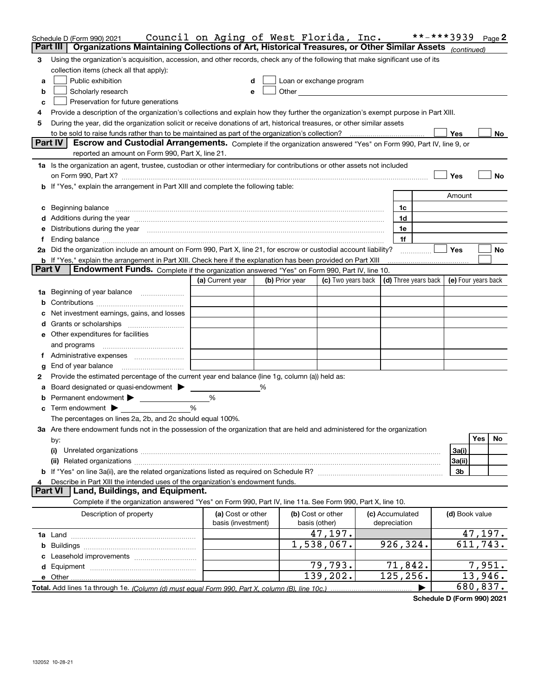|    | Schedule D (Form 990) 2021                                                                                                                                                                                                            | Council on Aging of West Florida, Inc. |   |                |                                                                                                                                                                                                                                |                                      | **-***3939 |                     |          | Page 2 |
|----|---------------------------------------------------------------------------------------------------------------------------------------------------------------------------------------------------------------------------------------|----------------------------------------|---|----------------|--------------------------------------------------------------------------------------------------------------------------------------------------------------------------------------------------------------------------------|--------------------------------------|------------|---------------------|----------|--------|
|    | Organizations Maintaining Collections of Art, Historical Treasures, or Other Similar Assets (continued)<br>Part III                                                                                                                   |                                        |   |                |                                                                                                                                                                                                                                |                                      |            |                     |          |        |
| 3  | Using the organization's acquisition, accession, and other records, check any of the following that make significant use of its                                                                                                       |                                        |   |                |                                                                                                                                                                                                                                |                                      |            |                     |          |        |
|    | collection items (check all that apply):                                                                                                                                                                                              |                                        |   |                |                                                                                                                                                                                                                                |                                      |            |                     |          |        |
| а  | Public exhibition                                                                                                                                                                                                                     | d                                      |   |                | Loan or exchange program                                                                                                                                                                                                       |                                      |            |                     |          |        |
| b  | Scholarly research                                                                                                                                                                                                                    | е                                      |   |                | Other and the control of the control of the control of the control of the control of the control of the control of the control of the control of the control of the control of the control of the control of the control of th |                                      |            |                     |          |        |
| c  | Preservation for future generations                                                                                                                                                                                                   |                                        |   |                |                                                                                                                                                                                                                                |                                      |            |                     |          |        |
| 4  | Provide a description of the organization's collections and explain how they further the organization's exempt purpose in Part XIII.                                                                                                  |                                        |   |                |                                                                                                                                                                                                                                |                                      |            |                     |          |        |
| 5  | During the year, did the organization solicit or receive donations of art, historical treasures, or other similar assets                                                                                                              |                                        |   |                |                                                                                                                                                                                                                                |                                      |            |                     |          |        |
|    |                                                                                                                                                                                                                                       |                                        |   |                |                                                                                                                                                                                                                                |                                      |            | Yes                 |          | No     |
|    | <b>Part IV</b><br>Escrow and Custodial Arrangements. Complete if the organization answered "Yes" on Form 990, Part IV, line 9, or                                                                                                     |                                        |   |                |                                                                                                                                                                                                                                |                                      |            |                     |          |        |
|    | reported an amount on Form 990, Part X, line 21.                                                                                                                                                                                      |                                        |   |                |                                                                                                                                                                                                                                |                                      |            |                     |          |        |
|    | 1a Is the organization an agent, trustee, custodian or other intermediary for contributions or other assets not included                                                                                                              |                                        |   |                |                                                                                                                                                                                                                                |                                      |            |                     |          |        |
|    | on Form 990, Part X? [11] matter and the contract of the contract of the contract of the contract of the contract of the contract of the contract of the contract of the contract of the contract of the contract of the contr        |                                        |   |                |                                                                                                                                                                                                                                |                                      |            | Yes                 |          | No     |
|    | b If "Yes," explain the arrangement in Part XIII and complete the following table:                                                                                                                                                    |                                        |   |                |                                                                                                                                                                                                                                |                                      |            |                     |          |        |
|    |                                                                                                                                                                                                                                       |                                        |   |                |                                                                                                                                                                                                                                |                                      |            | Amount              |          |        |
| c  | Beginning balance <b>contract to the contract of the contract of the contract of the contract of the contract of the contract of the contract of the contract of the contract of the contract of the contract of the contract of</b>  |                                        |   |                |                                                                                                                                                                                                                                | 1c                                   |            |                     |          |        |
|    |                                                                                                                                                                                                                                       |                                        |   |                |                                                                                                                                                                                                                                | 1d                                   |            |                     |          |        |
|    | Distributions during the year manufactured and continuum control of the year manufactured and the year manufactured and the year manufactured and the year manufactured and the year manufactured and the year manufactured an        |                                        |   |                |                                                                                                                                                                                                                                | 1e                                   |            |                     |          |        |
| Ť  |                                                                                                                                                                                                                                       |                                        |   |                |                                                                                                                                                                                                                                | 1f                                   |            |                     |          |        |
|    | 2a Did the organization include an amount on Form 990, Part X, line 21, for escrow or custodial account liability?                                                                                                                    |                                        |   |                |                                                                                                                                                                                                                                |                                      |            | Yes                 |          | No     |
|    | <b>b</b> If "Yes," explain the arrangement in Part XIII. Check here if the explanation has been provided on Part XIII<br><b>Part V</b><br>Endowment Funds. Complete if the organization answered "Yes" on Form 990, Part IV, line 10. |                                        |   |                |                                                                                                                                                                                                                                |                                      |            |                     |          |        |
|    |                                                                                                                                                                                                                                       |                                        |   | (b) Prior year | (c) Two years back                                                                                                                                                                                                             | $\vert$ (d) Three years back $\vert$ |            | (e) Four years back |          |        |
|    |                                                                                                                                                                                                                                       | (a) Current year                       |   |                |                                                                                                                                                                                                                                |                                      |            |                     |          |        |
| 1a | Beginning of year balance                                                                                                                                                                                                             |                                        |   |                |                                                                                                                                                                                                                                |                                      |            |                     |          |        |
| b  |                                                                                                                                                                                                                                       |                                        |   |                |                                                                                                                                                                                                                                |                                      |            |                     |          |        |
|    | Net investment earnings, gains, and losses                                                                                                                                                                                            |                                        |   |                |                                                                                                                                                                                                                                |                                      |            |                     |          |        |
| d  |                                                                                                                                                                                                                                       |                                        |   |                |                                                                                                                                                                                                                                |                                      |            |                     |          |        |
|    | <b>e</b> Other expenditures for facilities                                                                                                                                                                                            |                                        |   |                |                                                                                                                                                                                                                                |                                      |            |                     |          |        |
|    | and programs                                                                                                                                                                                                                          |                                        |   |                |                                                                                                                                                                                                                                |                                      |            |                     |          |        |
| Ť  |                                                                                                                                                                                                                                       |                                        |   |                |                                                                                                                                                                                                                                |                                      |            |                     |          |        |
| g  | End of year balance                                                                                                                                                                                                                   |                                        |   |                |                                                                                                                                                                                                                                |                                      |            |                     |          |        |
| 2  | Provide the estimated percentage of the current year end balance (line 1g, column (a)) held as:                                                                                                                                       |                                        |   |                |                                                                                                                                                                                                                                |                                      |            |                     |          |        |
| а  | Board designated or quasi-endowment >                                                                                                                                                                                                 | %                                      | % |                |                                                                                                                                                                                                                                |                                      |            |                     |          |        |
| b  | Permanent endowment >                                                                                                                                                                                                                 | %                                      |   |                |                                                                                                                                                                                                                                |                                      |            |                     |          |        |
|    | Term endowment $\blacktriangleright$                                                                                                                                                                                                  |                                        |   |                |                                                                                                                                                                                                                                |                                      |            |                     |          |        |
|    | The percentages on lines 2a, 2b, and 2c should equal 100%.                                                                                                                                                                            |                                        |   |                |                                                                                                                                                                                                                                |                                      |            |                     |          |        |
|    | 3a Are there endowment funds not in the possession of the organization that are held and administered for the organization                                                                                                            |                                        |   |                |                                                                                                                                                                                                                                |                                      |            |                     | Yes      | No     |
|    | by:                                                                                                                                                                                                                                   |                                        |   |                |                                                                                                                                                                                                                                |                                      |            |                     |          |        |
|    | (i)                                                                                                                                                                                                                                   |                                        |   |                |                                                                                                                                                                                                                                |                                      |            | 3a(i)               |          |        |
|    |                                                                                                                                                                                                                                       |                                        |   |                |                                                                                                                                                                                                                                |                                      |            | 3a(ii)              |          |        |
| 4  | Describe in Part XIII the intended uses of the organization's endowment funds.                                                                                                                                                        |                                        |   |                |                                                                                                                                                                                                                                |                                      |            | 3b                  |          |        |
|    | Land, Buildings, and Equipment.<br><b>Part VI</b>                                                                                                                                                                                     |                                        |   |                |                                                                                                                                                                                                                                |                                      |            |                     |          |        |
|    | Complete if the organization answered "Yes" on Form 990, Part IV, line 11a. See Form 990, Part X, line 10.                                                                                                                            |                                        |   |                |                                                                                                                                                                                                                                |                                      |            |                     |          |        |
|    | Description of property                                                                                                                                                                                                               | (a) Cost or other                      |   |                | (b) Cost or other                                                                                                                                                                                                              | (c) Accumulated                      |            | (d) Book value      |          |        |
|    |                                                                                                                                                                                                                                       | basis (investment)                     |   |                | basis (other)                                                                                                                                                                                                                  | depreciation                         |            |                     |          |        |
|    |                                                                                                                                                                                                                                       |                                        |   |                | $\overline{47,197}$ .                                                                                                                                                                                                          |                                      |            |                     | 47, 197. |        |
|    |                                                                                                                                                                                                                                       |                                        |   |                | $\overline{1,538},067.$                                                                                                                                                                                                        | 926,324.                             |            |                     | 611,743. |        |
|    |                                                                                                                                                                                                                                       |                                        |   |                |                                                                                                                                                                                                                                |                                      |            |                     |          |        |
|    |                                                                                                                                                                                                                                       |                                        |   |                | 79,793.                                                                                                                                                                                                                        | 71,842.                              |            |                     | 7,951.   |        |
|    |                                                                                                                                                                                                                                       |                                        |   |                | 139,202.                                                                                                                                                                                                                       | 125, 256.                            |            |                     | 13,946.  |        |
|    |                                                                                                                                                                                                                                       |                                        |   |                |                                                                                                                                                                                                                                |                                      |            |                     | 680,837. |        |

**Schedule D (Form 990) 2021**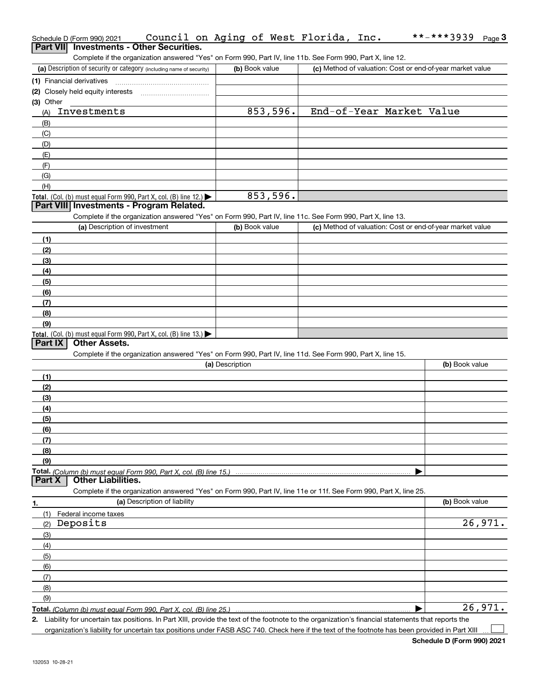| Schedule D (Form 990) 2021                                                                                                                           | Council on Aging of West Florida, Inc. |                          |  | **-***3939                                                | Page $3$ |
|------------------------------------------------------------------------------------------------------------------------------------------------------|----------------------------------------|--------------------------|--|-----------------------------------------------------------|----------|
| <b>Investments - Other Securities.</b><br>Part VII                                                                                                   |                                        |                          |  |                                                           |          |
| Complete if the organization answered "Yes" on Form 990, Part IV, line 11b. See Form 990, Part X, line 12.                                           |                                        |                          |  |                                                           |          |
| (a) Description of security or category (including name of security)                                                                                 | (b) Book value                         |                          |  | (c) Method of valuation: Cost or end-of-year market value |          |
| (1) Financial derivatives                                                                                                                            |                                        |                          |  |                                                           |          |
| (2) Closely held equity interests [11] [2] Closely held equity interests                                                                             |                                        |                          |  |                                                           |          |
| (3) Other                                                                                                                                            |                                        |                          |  |                                                           |          |
| Investments<br>(A)                                                                                                                                   | 853,596.                               | End-of-Year Market Value |  |                                                           |          |
| (B)                                                                                                                                                  |                                        |                          |  |                                                           |          |
| (C)                                                                                                                                                  |                                        |                          |  |                                                           |          |
| (D)                                                                                                                                                  |                                        |                          |  |                                                           |          |
| (E)                                                                                                                                                  |                                        |                          |  |                                                           |          |
| (F)                                                                                                                                                  |                                        |                          |  |                                                           |          |
| (G)                                                                                                                                                  |                                        |                          |  |                                                           |          |
| (H)                                                                                                                                                  |                                        |                          |  |                                                           |          |
| Total. (Col. (b) must equal Form 990, Part X, col. (B) line 12.)                                                                                     | 853,596.                               |                          |  |                                                           |          |
| Part VIII Investments - Program Related.                                                                                                             |                                        |                          |  |                                                           |          |
| Complete if the organization answered "Yes" on Form 990, Part IV, line 11c. See Form 990, Part X, line 13.                                           |                                        |                          |  |                                                           |          |
| (a) Description of investment                                                                                                                        | (b) Book value                         |                          |  | (c) Method of valuation: Cost or end-of-year market value |          |
| (1)                                                                                                                                                  |                                        |                          |  |                                                           |          |
| (2)                                                                                                                                                  |                                        |                          |  |                                                           |          |
| (3)                                                                                                                                                  |                                        |                          |  |                                                           |          |
| (4)                                                                                                                                                  |                                        |                          |  |                                                           |          |
| (5)                                                                                                                                                  |                                        |                          |  |                                                           |          |
| (6)                                                                                                                                                  |                                        |                          |  |                                                           |          |
| (7)                                                                                                                                                  |                                        |                          |  |                                                           |          |
| (8)                                                                                                                                                  |                                        |                          |  |                                                           |          |
| (9)                                                                                                                                                  |                                        |                          |  |                                                           |          |
| Total. (Col. (b) must equal Form 990, Part X, col. (B) line 13.)                                                                                     |                                        |                          |  |                                                           |          |
| <b>Other Assets.</b><br>Part IX                                                                                                                      |                                        |                          |  |                                                           |          |
| Complete if the organization answered "Yes" on Form 990, Part IV, line 11d. See Form 990, Part X, line 15.                                           |                                        |                          |  |                                                           |          |
|                                                                                                                                                      | (a) Description                        |                          |  | (b) Book value                                            |          |
| (1)                                                                                                                                                  |                                        |                          |  |                                                           |          |
| (2)                                                                                                                                                  |                                        |                          |  |                                                           |          |
| (3)                                                                                                                                                  |                                        |                          |  |                                                           |          |
| (4)                                                                                                                                                  |                                        |                          |  |                                                           |          |
| (5)                                                                                                                                                  |                                        |                          |  |                                                           |          |
| (6)                                                                                                                                                  |                                        |                          |  |                                                           |          |
| (7)                                                                                                                                                  |                                        |                          |  |                                                           |          |
| (8)                                                                                                                                                  |                                        |                          |  |                                                           |          |
| (9)                                                                                                                                                  |                                        |                          |  |                                                           |          |
| Total. (Column (b) must equal Form 990, Part X, col. (B) line 15.)                                                                                   |                                        |                          |  |                                                           |          |
| <b>Other Liabilities.</b><br>Part X                                                                                                                  |                                        |                          |  |                                                           |          |
| Complete if the organization answered "Yes" on Form 990, Part IV, line 11e or 11f. See Form 990, Part X, line 25.                                    |                                        |                          |  |                                                           |          |
| (a) Description of liability<br>1.                                                                                                                   |                                        |                          |  | (b) Book value                                            |          |
| (1)<br>Federal income taxes                                                                                                                          |                                        |                          |  |                                                           |          |
| Deposits<br>(2)                                                                                                                                      |                                        |                          |  |                                                           | 26,971.  |
| (3)                                                                                                                                                  |                                        |                          |  |                                                           |          |
| (4)                                                                                                                                                  |                                        |                          |  |                                                           |          |
| (5)                                                                                                                                                  |                                        |                          |  |                                                           |          |
| (6)                                                                                                                                                  |                                        |                          |  |                                                           |          |
| (7)                                                                                                                                                  |                                        |                          |  |                                                           |          |
| (8)                                                                                                                                                  |                                        |                          |  |                                                           |          |
| (9)                                                                                                                                                  |                                        |                          |  |                                                           |          |
| Total. (Column (b) must equal Form 990, Part X, col. (B) line 25.)                                                                                   |                                        |                          |  |                                                           | 26,971.  |
| 2. Liability for uncertain tax positions. In Part XIII, provide the text of the footnote to the organization's financial statements that reports the |                                        |                          |  |                                                           |          |

organization's liability for uncertain tax positions under FASB ASC 740. Check here if the text of the footnote has been provided in Part XIII

 $\mathcal{L}^{\text{max}}$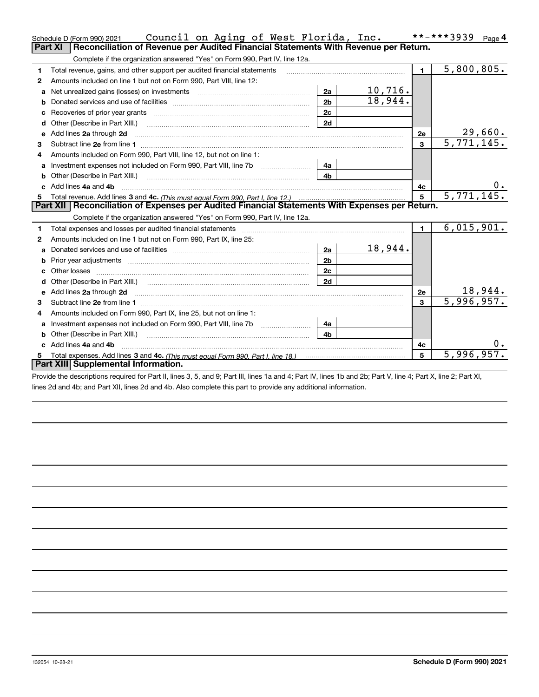|              | Council on Aging of West Florida, Inc.<br>Schedule D (Form 990) 2021                                                                                                                                                                |                |         |                | **-***3939 Page 4        |
|--------------|-------------------------------------------------------------------------------------------------------------------------------------------------------------------------------------------------------------------------------------|----------------|---------|----------------|--------------------------|
|              | Reconciliation of Revenue per Audited Financial Statements With Revenue per Return.<br>Part XI                                                                                                                                      |                |         |                |                          |
|              | Complete if the organization answered "Yes" on Form 990, Part IV, line 12a.                                                                                                                                                         |                |         |                |                          |
| 1            | Total revenue, gains, and other support per audited financial statements                                                                                                                                                            |                |         | $\blacksquare$ | 5,800,805.               |
| $\mathbf{2}$ | Amounts included on line 1 but not on Form 990, Part VIII, line 12:                                                                                                                                                                 |                |         |                |                          |
| a            | Net unrealized gains (losses) on investments [11] matter contracts and the unrealized gains (losses) on investments                                                                                                                 | 2a             | 10,716. |                |                          |
|              |                                                                                                                                                                                                                                     | 2 <sub>b</sub> | 18,944. |                |                          |
| C            |                                                                                                                                                                                                                                     | 2c             |         |                |                          |
| d            | Other (Describe in Part XIII.) <b>2006</b> (2008) 2010 2010 2010 2011 2013 2014 2014 2014 2014 2014 2015 2016 2017 2018 2019 2016 2017 2018 2019 2016 2017 2018 2019 2016 2017 2018 2019 2016 2017 2018 2019 2016 2017 2018 2019 20 | 2d             |         |                |                          |
| е            | Add lines 2a through 2d                                                                                                                                                                                                             |                |         | <b>2e</b>      | 29,660.                  |
| З.           |                                                                                                                                                                                                                                     |                |         | 3              | $\overline{5,771,145}$ . |
|              | Amounts included on Form 990, Part VIII, line 12, but not on line 1:                                                                                                                                                                |                |         |                |                          |
|              | Investment expenses not included on Form 990, Part VIII, line 7b [1000000000000000000000000000000000                                                                                                                                | 4a             |         |                |                          |
| b            | Other (Describe in Part XIII.) <b>Construction Contract Construction</b> Chern Construction Chern Chern Chern Chern Chern Chern Chern Chern Chern Chern Chern Chern Chern Chern Chern Chern Chern Chern Chern Chern Chern Chern Che | 4 <sub>b</sub> |         |                |                          |
| c.           | Add lines 4a and 4b                                                                                                                                                                                                                 |                |         | 4c             | $0 \cdot$                |
| 5.           |                                                                                                                                                                                                                                     |                |         | $5^{\circ}$    | 5,771,145.               |
|              | Part XII   Reconciliation of Expenses per Audited Financial Statements With Expenses per Return.                                                                                                                                    |                |         |                |                          |
|              |                                                                                                                                                                                                                                     |                |         |                |                          |
|              | Complete if the organization answered "Yes" on Form 990, Part IV, line 12a.                                                                                                                                                         |                |         |                |                          |
| 1            | Total expenses and losses per audited financial statements                                                                                                                                                                          |                |         | $\mathbf{1}$   | 6,015,901.               |
| 2            | Amounts included on line 1 but not on Form 990, Part IX, line 25:                                                                                                                                                                   |                |         |                |                          |
| a            |                                                                                                                                                                                                                                     | 2a             | 18,944. |                |                          |
| b            | Prior year adjustments <b>constructed</b> and construction of the construction of the construction of the construction                                                                                                              | 2 <sub>b</sub> |         |                |                          |
| c            |                                                                                                                                                                                                                                     | 2 <sub>c</sub> |         |                |                          |
| d            |                                                                                                                                                                                                                                     | 2d             |         |                |                          |
| е            | Add lines 2a through 2d <b>must be a constructed as the constant of the construction</b> and the state of the state of the state of the state of the state of the state of the state of the state of the state of the state of the  |                |         | 2e             | 18,944.                  |
| 3            |                                                                                                                                                                                                                                     |                |         | $\mathbf{a}$   | 5,996,957.               |
| 4            | Amounts included on Form 990, Part IX, line 25, but not on line 1:                                                                                                                                                                  |                |         |                |                          |
| a            |                                                                                                                                                                                                                                     | 4a             |         |                |                          |
| b            |                                                                                                                                                                                                                                     | 4h.            |         |                |                          |
|              | Add lines 4a and 4b                                                                                                                                                                                                                 |                |         | 4c             | υ.                       |
|              | Part XIII Supplemental Information.                                                                                                                                                                                                 |                |         | 5              | 5,996,957.               |

Provide the descriptions required for Part II, lines 3, 5, and 9; Part III, lines 1a and 4; Part IV, lines 1b and 2b; Part V, line 4; Part X, line 2; Part XI, lines 2d and 4b; and Part XII, lines 2d and 4b. Also complete this part to provide any additional information.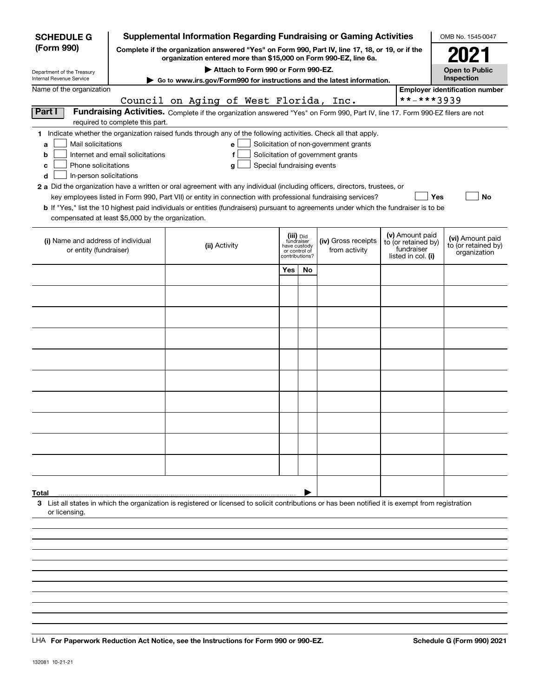| <b>SCHEDULE G</b>                                                                                                                                                                                                                                                                                                                                |                                  |                                           |                         |                                                 | <b>Supplemental Information Regarding Fundraising or Gaming Activities</b>                                                                                                                |                                                                            |            | OMB No. 1545-0047                                       |
|--------------------------------------------------------------------------------------------------------------------------------------------------------------------------------------------------------------------------------------------------------------------------------------------------------------------------------------------------|----------------------------------|-------------------------------------------|-------------------------|-------------------------------------------------|-------------------------------------------------------------------------------------------------------------------------------------------------------------------------------------------|----------------------------------------------------------------------------|------------|---------------------------------------------------------|
| (Form 990)                                                                                                                                                                                                                                                                                                                                       |                                  |                                           |                         |                                                 | Complete if the organization answered "Yes" on Form 990, Part IV, line 17, 18, or 19, or if the<br>organization entered more than \$15,000 on Form 990-EZ, line 6a.                       |                                                                            |            | 2021                                                    |
| Department of the Treasury                                                                                                                                                                                                                                                                                                                       |                                  | Attach to Form 990 or Form 990-EZ.        |                         |                                                 |                                                                                                                                                                                           |                                                                            |            | <b>Open to Public</b>                                   |
| Internal Revenue Service                                                                                                                                                                                                                                                                                                                         |                                  |                                           |                         |                                                 | Go to www.irs.gov/Form990 for instructions and the latest information.                                                                                                                    |                                                                            |            | Inspection                                              |
| Name of the organization                                                                                                                                                                                                                                                                                                                         |                                  | Council on Aging of West Florida, Inc.    |                         |                                                 |                                                                                                                                                                                           |                                                                            | **-***3939 | <b>Employer identification number</b>                   |
| Part I                                                                                                                                                                                                                                                                                                                                           |                                  |                                           |                         |                                                 | Fundraising Activities. Complete if the organization answered "Yes" on Form 990, Part IV, line 17. Form 990-EZ filers are not                                                             |                                                                            |            |                                                         |
|                                                                                                                                                                                                                                                                                                                                                  | required to complete this part.  |                                           |                         |                                                 |                                                                                                                                                                                           |                                                                            |            |                                                         |
| 1 Indicate whether the organization raised funds through any of the following activities. Check all that apply.<br>Mail solicitations<br>a<br>b<br>Phone solicitations<br>c<br>In-person solicitations<br>d<br><b>2 a</b> Did the organization have a written or oral agreement with any individual (including officers, directors, trustees, or | Internet and email solicitations | е<br>f<br>Special fundraising events<br>g |                         |                                                 | Solicitation of non-government grants<br>Solicitation of government grants<br>key employees listed in Form 990, Part VII) or entity in connection with professional fundraising services? |                                                                            | Yes        | No                                                      |
| <b>b</b> If "Yes," list the 10 highest paid individuals or entities (fundraisers) pursuant to agreements under which the fundraiser is to be<br>compensated at least \$5,000 by the organization.                                                                                                                                                |                                  |                                           |                         |                                                 |                                                                                                                                                                                           |                                                                            |            |                                                         |
| (i) Name and address of individual<br>or entity (fundraiser)                                                                                                                                                                                                                                                                                     |                                  | (ii) Activity                             | (iii) Did<br>fundraiser | have custody<br>or control of<br>contributions? | (iv) Gross receipts<br>from activity                                                                                                                                                      | (v) Amount paid<br>to (or retained by)<br>fundraiser<br>listed in col. (i) |            | (vi) Amount paid<br>to (or retained by)<br>organization |
|                                                                                                                                                                                                                                                                                                                                                  |                                  |                                           | Yes                     | No                                              |                                                                                                                                                                                           |                                                                            |            |                                                         |
|                                                                                                                                                                                                                                                                                                                                                  |                                  |                                           |                         |                                                 |                                                                                                                                                                                           |                                                                            |            |                                                         |
|                                                                                                                                                                                                                                                                                                                                                  |                                  |                                           |                         |                                                 |                                                                                                                                                                                           |                                                                            |            |                                                         |
|                                                                                                                                                                                                                                                                                                                                                  |                                  |                                           |                         |                                                 |                                                                                                                                                                                           |                                                                            |            |                                                         |
|                                                                                                                                                                                                                                                                                                                                                  |                                  |                                           |                         |                                                 |                                                                                                                                                                                           |                                                                            |            |                                                         |
|                                                                                                                                                                                                                                                                                                                                                  |                                  |                                           |                         |                                                 |                                                                                                                                                                                           |                                                                            |            |                                                         |
|                                                                                                                                                                                                                                                                                                                                                  |                                  |                                           |                         |                                                 |                                                                                                                                                                                           |                                                                            |            |                                                         |
|                                                                                                                                                                                                                                                                                                                                                  |                                  |                                           |                         |                                                 |                                                                                                                                                                                           |                                                                            |            |                                                         |
|                                                                                                                                                                                                                                                                                                                                                  |                                  |                                           |                         |                                                 |                                                                                                                                                                                           |                                                                            |            |                                                         |
|                                                                                                                                                                                                                                                                                                                                                  |                                  |                                           |                         |                                                 |                                                                                                                                                                                           |                                                                            |            |                                                         |
|                                                                                                                                                                                                                                                                                                                                                  |                                  |                                           |                         |                                                 |                                                                                                                                                                                           |                                                                            |            |                                                         |
| Total                                                                                                                                                                                                                                                                                                                                            |                                  |                                           |                         |                                                 |                                                                                                                                                                                           |                                                                            |            |                                                         |
| 3 List all states in which the organization is registered or licensed to solicit contributions or has been notified it is exempt from registration<br>or licensing.                                                                                                                                                                              |                                  |                                           |                         |                                                 |                                                                                                                                                                                           |                                                                            |            |                                                         |
|                                                                                                                                                                                                                                                                                                                                                  |                                  |                                           |                         |                                                 |                                                                                                                                                                                           |                                                                            |            |                                                         |
|                                                                                                                                                                                                                                                                                                                                                  |                                  |                                           |                         |                                                 |                                                                                                                                                                                           |                                                                            |            |                                                         |
|                                                                                                                                                                                                                                                                                                                                                  |                                  |                                           |                         |                                                 |                                                                                                                                                                                           |                                                                            |            |                                                         |
|                                                                                                                                                                                                                                                                                                                                                  |                                  |                                           |                         |                                                 |                                                                                                                                                                                           |                                                                            |            |                                                         |
|                                                                                                                                                                                                                                                                                                                                                  |                                  |                                           |                         |                                                 |                                                                                                                                                                                           |                                                                            |            |                                                         |

LHA For Paperwork Reduction Act Notice, see the Instructions for Form 990 or 990-EZ. Schedule G (Form 990) 2021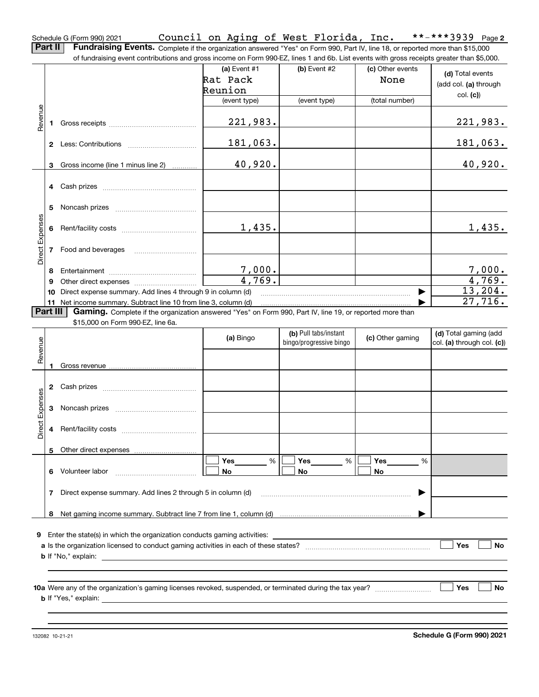Schedule G (Form 990) 2021 Council on Aging of West Florida, Inc. \*\*-\*\*\*3939 Page

**Part II** | Fundraising Events. Complete if the organization answered "Yes" on Form 990, Part IV, line 18, or reported more than \$15,000 of fundraising event contributions and gross income on Form 990-EZ, lines 1 and 6b. List events with gross receipts greater than \$5,000.

|                        |    |                                                                                                          | (a) Event #1 | $(b)$ Event #2                                   | (c) Other events | (d) Total events                                    |  |  |
|------------------------|----|----------------------------------------------------------------------------------------------------------|--------------|--------------------------------------------------|------------------|-----------------------------------------------------|--|--|
|                        |    |                                                                                                          | Rat Pack     |                                                  | None             | (add col. (a) through                               |  |  |
|                        |    |                                                                                                          | Reunion      |                                                  |                  | col. (c)                                            |  |  |
|                        |    |                                                                                                          | (event type) | (event type)                                     | (total number)   |                                                     |  |  |
| Revenue                |    |                                                                                                          | 221,983.     |                                                  |                  | 221,983.                                            |  |  |
|                        |    |                                                                                                          | 181,063.     |                                                  |                  | <u>181,063.</u>                                     |  |  |
|                        |    | 3 Gross income (line 1 minus line 2)                                                                     | 40,920.      |                                                  |                  | 40,920.                                             |  |  |
|                        |    |                                                                                                          |              |                                                  |                  |                                                     |  |  |
|                        | 5  |                                                                                                          |              |                                                  |                  |                                                     |  |  |
|                        | 6  |                                                                                                          | 1,435.       |                                                  |                  |                                                     |  |  |
| Direct Expenses        |    | 7 Food and beverages                                                                                     |              |                                                  |                  |                                                     |  |  |
|                        | 8  |                                                                                                          | 7,000.       |                                                  |                  | 7,000.                                              |  |  |
|                        | 9  |                                                                                                          | 4,769.       |                                                  |                  | 4,769.                                              |  |  |
|                        | 10 | Direct expense summary. Add lines 4 through 9 in column (d)                                              |              |                                                  |                  | 13,204.                                             |  |  |
|                        |    | 11 Net income summary. Subtract line 10 from line 3, column (d)                                          |              |                                                  |                  | 27,716.                                             |  |  |
| <b>Part III</b>        |    | Gaming. Complete if the organization answered "Yes" on Form 990, Part IV, line 19, or reported more than |              |                                                  |                  |                                                     |  |  |
|                        |    | \$15,000 on Form 990-EZ, line 6a.                                                                        |              |                                                  |                  |                                                     |  |  |
| Revenue                |    |                                                                                                          | (a) Bingo    | (b) Pull tabs/instant<br>bingo/progressive bingo | (c) Other gaming | (d) Total gaming (add<br>col. (a) through col. (c)) |  |  |
|                        |    |                                                                                                          |              |                                                  |                  |                                                     |  |  |
|                        |    |                                                                                                          |              |                                                  |                  |                                                     |  |  |
|                        |    |                                                                                                          |              |                                                  |                  |                                                     |  |  |
| <b>Direct Expenses</b> | 3  |                                                                                                          |              |                                                  |                  |                                                     |  |  |
|                        |    |                                                                                                          |              |                                                  |                  |                                                     |  |  |

**9**Enter the state(s) in which the organization conducts gaming activities:

Volunteer labor \_\_\_\_\_\_\_\_\_\_\_\_\_\_\_\_\_\_\_\_\_\_\_\_\_\_\_\_\_

**8**Net gaming income summary. Subtract line 7 from line 1, column (d)

| a Is the organization licensed to conduct gaming activities in each of these states? |  | <b>Yes</b> | No |
|--------------------------------------------------------------------------------------|--|------------|----|
| <b>b</b> If "No," explain:                                                           |  |            |    |

%

 $\boxed{\Box}$  Yes \_\_\_\_\_\_\_ %  $\boxed{\Box}$  Yes \_\_\_\_\_\_\_ %  $\boxed{\Box}$ 

**Yes Yes**

% %

**No No**

**7**Direct expense summary. Add lines 2 through 5 in column (d) ~~~~~~~~~~~~~~~~~~~~~~~~ |

**Yes**

 $\mathcal{L}^{\text{max}}$ 

 $\mathcal{L}^{\text{max}}$ 

**No**

**10a** Were any of the organization's gaming licenses revoked, suspended, or terminated during the tax year? \_\_\_\_\_\_\_\_\_\_\_\_\_\_\_\_\_ **b** If "Yes," explain:

132082 10-21-21

**5**

**6** Volunteer labor

Other direct expenses

**Yes**

 $\blacksquare$ 

**No**

**2**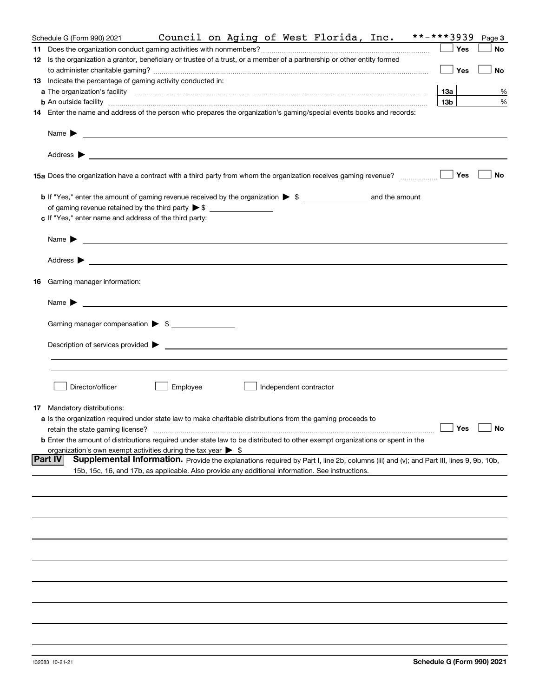| Schedule G (Form 990) 2021                                                                                                                                                                                                                | Council on Aging of West Florida, Inc.                                                                                                                                                                                                     |                        |  | **-***3939 | Page 3               |
|-------------------------------------------------------------------------------------------------------------------------------------------------------------------------------------------------------------------------------------------|--------------------------------------------------------------------------------------------------------------------------------------------------------------------------------------------------------------------------------------------|------------------------|--|------------|----------------------|
|                                                                                                                                                                                                                                           |                                                                                                                                                                                                                                            |                        |  | Yes        | <b>No</b>            |
| 12 Is the organization a grantor, beneficiary or trustee of a trust, or a member of a partnership or other entity formed                                                                                                                  |                                                                                                                                                                                                                                            |                        |  |            |                      |
|                                                                                                                                                                                                                                           |                                                                                                                                                                                                                                            |                        |  | Yes        | No                   |
| 13 Indicate the percentage of gaming activity conducted in:                                                                                                                                                                               |                                                                                                                                                                                                                                            |                        |  |            |                      |
|                                                                                                                                                                                                                                           |                                                                                                                                                                                                                                            |                        |  | 13а        | %                    |
| <b>b</b> An outside facility <b>contained an according to the contract of the contract of the contract of the contract of the contract of the contract of the contract of the contract of the contract of the contract of the contrac</b> |                                                                                                                                                                                                                                            |                        |  | 13b        | %                    |
| 14 Enter the name and address of the person who prepares the organization's gaming/special events books and records:                                                                                                                      |                                                                                                                                                                                                                                            |                        |  |            |                      |
|                                                                                                                                                                                                                                           |                                                                                                                                                                                                                                            |                        |  |            |                      |
|                                                                                                                                                                                                                                           |                                                                                                                                                                                                                                            |                        |  |            |                      |
|                                                                                                                                                                                                                                           |                                                                                                                                                                                                                                            |                        |  | Yes        | No                   |
|                                                                                                                                                                                                                                           |                                                                                                                                                                                                                                            |                        |  |            |                      |
|                                                                                                                                                                                                                                           |                                                                                                                                                                                                                                            |                        |  |            |                      |
| c If "Yes," enter name and address of the third party:                                                                                                                                                                                    |                                                                                                                                                                                                                                            |                        |  |            |                      |
| Name $\blacktriangleright$                                                                                                                                                                                                                | <u> 1989 - Andrea Stadt Britain, amerikansk politiker (</u>                                                                                                                                                                                |                        |  |            |                      |
|                                                                                                                                                                                                                                           |                                                                                                                                                                                                                                            |                        |  |            |                      |
| Gaming manager information:<br>16                                                                                                                                                                                                         |                                                                                                                                                                                                                                            |                        |  |            |                      |
|                                                                                                                                                                                                                                           |                                                                                                                                                                                                                                            |                        |  |            |                      |
| Name $\blacktriangleright$                                                                                                                                                                                                                |                                                                                                                                                                                                                                            |                        |  |            |                      |
| Gaming manager compensation > \$                                                                                                                                                                                                          |                                                                                                                                                                                                                                            |                        |  |            |                      |
| Description of services provided >                                                                                                                                                                                                        |                                                                                                                                                                                                                                            |                        |  |            |                      |
|                                                                                                                                                                                                                                           |                                                                                                                                                                                                                                            |                        |  |            |                      |
|                                                                                                                                                                                                                                           |                                                                                                                                                                                                                                            |                        |  |            |                      |
| Director/officer                                                                                                                                                                                                                          | Employee                                                                                                                                                                                                                                   | Independent contractor |  |            |                      |
| <b>17</b> Mandatory distributions:                                                                                                                                                                                                        |                                                                                                                                                                                                                                            |                        |  |            |                      |
| a Is the organization required under state law to make charitable distributions from the gaming proceeds to                                                                                                                               |                                                                                                                                                                                                                                            |                        |  |            |                      |
| retain the state gaming license?                                                                                                                                                                                                          |                                                                                                                                                                                                                                            |                        |  |            | $\Box$ Yes $\Box$ No |
| <b>b</b> Enter the amount of distributions required under state law to be distributed to other exempt organizations or spent in the                                                                                                       |                                                                                                                                                                                                                                            |                        |  |            |                      |
| organization's own exempt activities during the tax year $\triangleright$ \$                                                                                                                                                              |                                                                                                                                                                                                                                            |                        |  |            |                      |
| <b>Part IV</b>                                                                                                                                                                                                                            | Supplemental Information. Provide the explanations required by Part I, line 2b, columns (iii) and (v); and Part III, lines 9, 9b, 10b,<br>15b, 15c, 16, and 17b, as applicable. Also provide any additional information. See instructions. |                        |  |            |                      |
|                                                                                                                                                                                                                                           |                                                                                                                                                                                                                                            |                        |  |            |                      |
|                                                                                                                                                                                                                                           |                                                                                                                                                                                                                                            |                        |  |            |                      |
|                                                                                                                                                                                                                                           |                                                                                                                                                                                                                                            |                        |  |            |                      |
|                                                                                                                                                                                                                                           |                                                                                                                                                                                                                                            |                        |  |            |                      |
|                                                                                                                                                                                                                                           |                                                                                                                                                                                                                                            |                        |  |            |                      |
|                                                                                                                                                                                                                                           |                                                                                                                                                                                                                                            |                        |  |            |                      |
|                                                                                                                                                                                                                                           |                                                                                                                                                                                                                                            |                        |  |            |                      |
|                                                                                                                                                                                                                                           |                                                                                                                                                                                                                                            |                        |  |            |                      |
|                                                                                                                                                                                                                                           |                                                                                                                                                                                                                                            |                        |  |            |                      |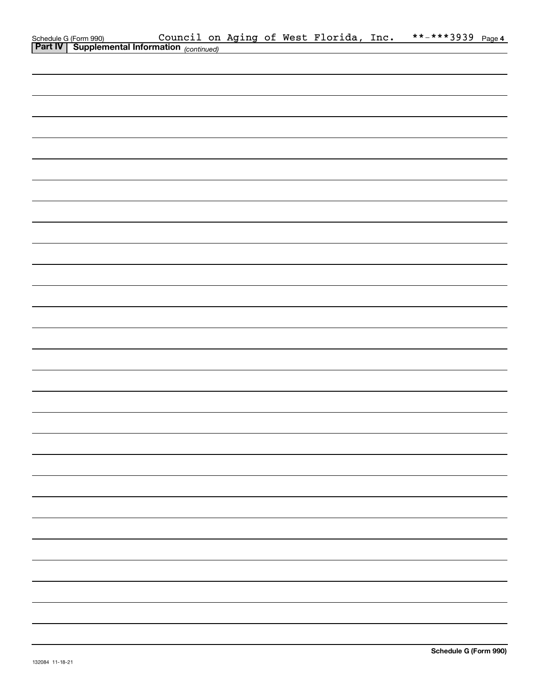| Schedule G (Form 990) Council on Aging of West Florida, Inc.<br>Part IV Supplemental Information (continued) |  |  |  | **-***3939 Page 4 |  |
|--------------------------------------------------------------------------------------------------------------|--|--|--|-------------------|--|
|                                                                                                              |  |  |  |                   |  |
|                                                                                                              |  |  |  |                   |  |
|                                                                                                              |  |  |  |                   |  |
|                                                                                                              |  |  |  |                   |  |
|                                                                                                              |  |  |  |                   |  |
|                                                                                                              |  |  |  |                   |  |
|                                                                                                              |  |  |  |                   |  |
|                                                                                                              |  |  |  |                   |  |
|                                                                                                              |  |  |  |                   |  |
|                                                                                                              |  |  |  |                   |  |
|                                                                                                              |  |  |  |                   |  |
|                                                                                                              |  |  |  |                   |  |
|                                                                                                              |  |  |  |                   |  |
|                                                                                                              |  |  |  |                   |  |
|                                                                                                              |  |  |  |                   |  |
|                                                                                                              |  |  |  |                   |  |
|                                                                                                              |  |  |  |                   |  |
|                                                                                                              |  |  |  |                   |  |
|                                                                                                              |  |  |  |                   |  |
|                                                                                                              |  |  |  |                   |  |
|                                                                                                              |  |  |  |                   |  |
|                                                                                                              |  |  |  |                   |  |
|                                                                                                              |  |  |  |                   |  |
|                                                                                                              |  |  |  |                   |  |
|                                                                                                              |  |  |  |                   |  |
|                                                                                                              |  |  |  |                   |  |
|                                                                                                              |  |  |  |                   |  |
|                                                                                                              |  |  |  |                   |  |
|                                                                                                              |  |  |  |                   |  |
|                                                                                                              |  |  |  |                   |  |
|                                                                                                              |  |  |  |                   |  |
|                                                                                                              |  |  |  |                   |  |
|                                                                                                              |  |  |  |                   |  |
|                                                                                                              |  |  |  |                   |  |
|                                                                                                              |  |  |  |                   |  |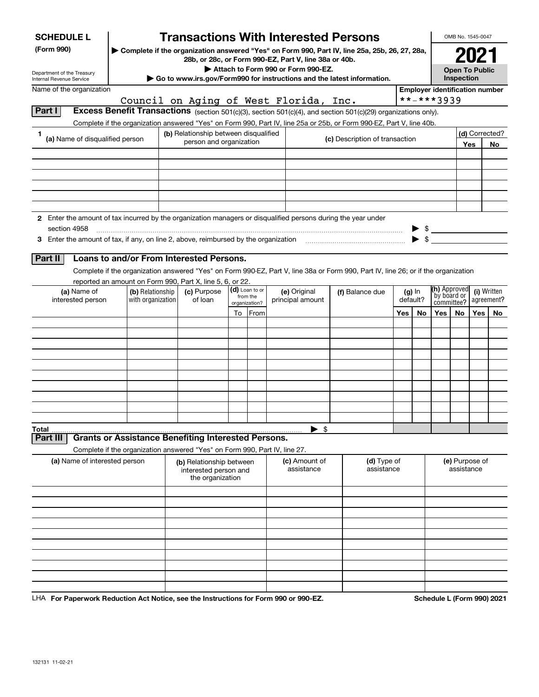| <b>SCHEDULE L</b>                                                                                                             |                                       |                                                                                                                                                          |                                                                            |    |                                             | <b>Transactions With Interested Persons</b>                                                                                        |  |                                         |     |                                                                        |                                       |            | OMB No. 1545-0047     |                      |  |
|-------------------------------------------------------------------------------------------------------------------------------|---------------------------------------|----------------------------------------------------------------------------------------------------------------------------------------------------------|----------------------------------------------------------------------------|----|---------------------------------------------|------------------------------------------------------------------------------------------------------------------------------------|--|-----------------------------------------|-----|------------------------------------------------------------------------|---------------------------------------|------------|-----------------------|----------------------|--|
| (Form 990)                                                                                                                    |                                       | ▶ Complete if the organization answered "Yes" on Form 990, Part IV, line 25a, 25b, 26, 27, 28a,<br>28b, or 28c, or Form 990-EZ, Part V, line 38a or 40b. |                                                                            |    |                                             |                                                                                                                                    |  |                                         |     |                                                                        |                                       |            |                       |                      |  |
| Department of the Treasury<br>Internal Revenue Service                                                                        |                                       |                                                                                                                                                          |                                                                            |    |                                             | Attach to Form 990 or Form 990-EZ.<br>$\blacktriangleright$ Go to www.irs.gov/Form990 for instructions and the latest information. |  |                                         |     |                                                                        |                                       | Inspection | <b>Open To Public</b> |                      |  |
| Name of the organization                                                                                                      |                                       |                                                                                                                                                          |                                                                            |    |                                             |                                                                                                                                    |  |                                         |     |                                                                        | <b>Employer identification number</b> |            |                       |                      |  |
|                                                                                                                               |                                       |                                                                                                                                                          |                                                                            |    |                                             | Council on Aging of West Florida, Inc.                                                                                             |  |                                         |     |                                                                        | **-***3939                            |            |                       |                      |  |
| Part I                                                                                                                        |                                       |                                                                                                                                                          |                                                                            |    |                                             | Excess Benefit Transactions (section 501(c)(3), section 501(c)(4), and section 501(c)(29) organizations only).                     |  |                                         |     |                                                                        |                                       |            |                       |                      |  |
|                                                                                                                               |                                       |                                                                                                                                                          |                                                                            |    |                                             | Complete if the organization answered "Yes" on Form 990, Part IV, line 25a or 25b, or Form 990-EZ, Part V, line 40b.               |  |                                         |     |                                                                        |                                       |            |                       |                      |  |
| 1<br>(a) Name of disqualified person                                                                                          |                                       |                                                                                                                                                          | (b) Relationship between disqualified<br>person and organization           |    |                                             |                                                                                                                                    |  | (c) Description of transaction          |     |                                                                        |                                       |            | Yes                   | (d) Corrected?<br>No |  |
|                                                                                                                               |                                       |                                                                                                                                                          |                                                                            |    |                                             |                                                                                                                                    |  |                                         |     |                                                                        |                                       |            |                       |                      |  |
|                                                                                                                               |                                       |                                                                                                                                                          |                                                                            |    |                                             |                                                                                                                                    |  |                                         |     |                                                                        |                                       |            |                       |                      |  |
|                                                                                                                               |                                       |                                                                                                                                                          |                                                                            |    |                                             |                                                                                                                                    |  |                                         |     |                                                                        |                                       |            |                       |                      |  |
|                                                                                                                               |                                       |                                                                                                                                                          |                                                                            |    |                                             |                                                                                                                                    |  |                                         |     |                                                                        |                                       |            |                       |                      |  |
| 2 Enter the amount of tax incurred by the organization managers or disqualified persons during the year under<br>section 4958 |                                       |                                                                                                                                                          |                                                                            |    |                                             |                                                                                                                                    |  |                                         |     |                                                                        |                                       |            |                       |                      |  |
|                                                                                                                               |                                       |                                                                                                                                                          |                                                                            |    |                                             |                                                                                                                                    |  |                                         |     |                                                                        |                                       |            |                       |                      |  |
| Part II                                                                                                                       |                                       |                                                                                                                                                          | Loans to and/or From Interested Persons.                                   |    |                                             |                                                                                                                                    |  |                                         |     |                                                                        |                                       |            |                       |                      |  |
|                                                                                                                               |                                       |                                                                                                                                                          |                                                                            |    |                                             | Complete if the organization answered "Yes" on Form 990-EZ, Part V, line 38a or Form 990, Part IV, line 26; or if the organization |  |                                         |     |                                                                        |                                       |            |                       |                      |  |
|                                                                                                                               |                                       |                                                                                                                                                          | reported an amount on Form 990, Part X, line 5, 6, or 22.                  |    |                                             |                                                                                                                                    |  |                                         |     |                                                                        |                                       |            |                       |                      |  |
| (a) Name of<br>interested person                                                                                              | (b) Relationship<br>with organization |                                                                                                                                                          | (c) Purpose<br>of loan                                                     |    | (d) Loan to or<br>from the<br>organization? | (e) Original<br>principal amount                                                                                                   |  | (f) Balance due<br>$(g)$ In<br>default? |     | (h) Approved<br>(i) Written<br>by board or<br>agreement?<br>committee? |                                       |            |                       |                      |  |
|                                                                                                                               |                                       |                                                                                                                                                          |                                                                            | To | <b>IFrom</b>                                |                                                                                                                                    |  |                                         | Yes | No                                                                     | Yes                                   | No         | Yes l                 | No                   |  |
|                                                                                                                               |                                       |                                                                                                                                                          |                                                                            |    |                                             |                                                                                                                                    |  |                                         |     |                                                                        |                                       |            |                       |                      |  |
|                                                                                                                               |                                       |                                                                                                                                                          |                                                                            |    |                                             |                                                                                                                                    |  |                                         |     |                                                                        |                                       |            |                       |                      |  |
|                                                                                                                               |                                       |                                                                                                                                                          |                                                                            |    |                                             |                                                                                                                                    |  |                                         |     |                                                                        |                                       |            |                       |                      |  |
|                                                                                                                               |                                       |                                                                                                                                                          |                                                                            |    |                                             |                                                                                                                                    |  |                                         |     |                                                                        |                                       |            |                       |                      |  |
|                                                                                                                               |                                       |                                                                                                                                                          |                                                                            |    |                                             |                                                                                                                                    |  |                                         |     |                                                                        |                                       |            |                       |                      |  |
|                                                                                                                               |                                       |                                                                                                                                                          |                                                                            |    |                                             |                                                                                                                                    |  |                                         |     |                                                                        |                                       |            |                       |                      |  |
|                                                                                                                               |                                       |                                                                                                                                                          |                                                                            |    |                                             |                                                                                                                                    |  |                                         |     |                                                                        |                                       |            |                       |                      |  |
| Total<br>Part III                                                                                                             |                                       |                                                                                                                                                          | <b>Grants or Assistance Benefiting Interested Persons.</b>                 |    |                                             | \$                                                                                                                                 |  |                                         |     |                                                                        |                                       |            |                       |                      |  |
|                                                                                                                               |                                       |                                                                                                                                                          | Complete if the organization answered "Yes" on Form 990, Part IV, line 27. |    |                                             |                                                                                                                                    |  |                                         |     |                                                                        |                                       |            |                       |                      |  |
| (a) Name of interested person                                                                                                 |                                       |                                                                                                                                                          | (b) Relationship between                                                   |    |                                             | (c) Amount of                                                                                                                      |  | (d) Type of                             |     |                                                                        |                                       |            | (e) Purpose of        |                      |  |
|                                                                                                                               |                                       |                                                                                                                                                          | interested person and<br>the organization                                  |    |                                             | assistance                                                                                                                         |  | assistance                              |     |                                                                        |                                       | assistance |                       |                      |  |
|                                                                                                                               |                                       |                                                                                                                                                          |                                                                            |    |                                             |                                                                                                                                    |  |                                         |     |                                                                        |                                       |            |                       |                      |  |
|                                                                                                                               |                                       |                                                                                                                                                          |                                                                            |    |                                             |                                                                                                                                    |  |                                         |     |                                                                        |                                       |            |                       |                      |  |
|                                                                                                                               |                                       |                                                                                                                                                          |                                                                            |    |                                             |                                                                                                                                    |  |                                         |     |                                                                        |                                       |            |                       |                      |  |
|                                                                                                                               |                                       |                                                                                                                                                          |                                                                            |    |                                             |                                                                                                                                    |  |                                         |     |                                                                        |                                       |            |                       |                      |  |
|                                                                                                                               |                                       |                                                                                                                                                          |                                                                            |    |                                             |                                                                                                                                    |  |                                         |     |                                                                        |                                       |            |                       |                      |  |
|                                                                                                                               |                                       |                                                                                                                                                          |                                                                            |    |                                             |                                                                                                                                    |  |                                         |     |                                                                        |                                       |            |                       |                      |  |

**For Paperwork Reduction Act Notice, see the Instructions for Form 990 or 990-EZ. Schedule L (Form 990) 2021** LHA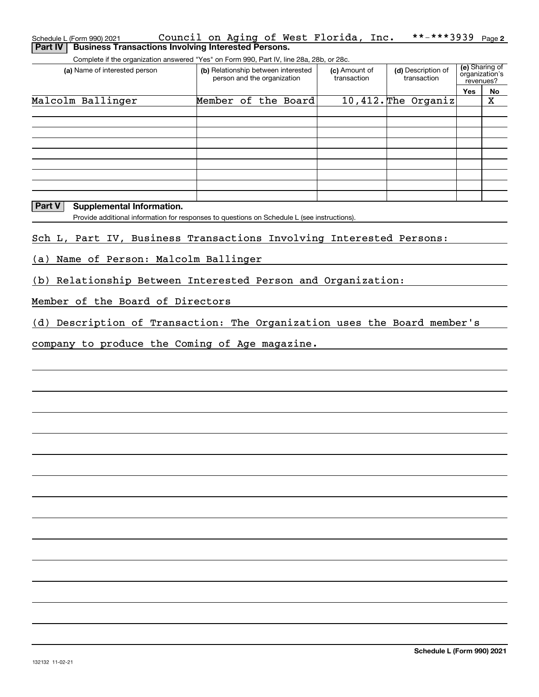| Schedule L (Form 990) 2021<br><b>Business Transactions Involving Interested Persons.</b><br><b>Part IV</b> |                                                                    |  | Council on Aging of West Florida, Inc. | **-***3939 Page 2                 |           |                                  |
|------------------------------------------------------------------------------------------------------------|--------------------------------------------------------------------|--|----------------------------------------|-----------------------------------|-----------|----------------------------------|
| Complete if the organization answered "Yes" on Form 990, Part IV, line 28a, 28b, or 28c.                   |                                                                    |  |                                        |                                   |           |                                  |
| (a) Name of interested person                                                                              | (b) Relationship between interested<br>person and the organization |  | (c) Amount of<br>transaction           | (d) Description of<br>transaction | revenues? | (e) Sharing of<br>organization's |
|                                                                                                            |                                                                    |  |                                        |                                   | Yes       | No                               |
| Malcolm Ballinger                                                                                          | Member of the Board                                                |  |                                        | $10,412.$ The Organiz             |           | X                                |
|                                                                                                            |                                                                    |  |                                        |                                   |           |                                  |
|                                                                                                            |                                                                    |  |                                        |                                   |           |                                  |
|                                                                                                            |                                                                    |  |                                        |                                   |           |                                  |
|                                                                                                            |                                                                    |  |                                        |                                   |           |                                  |
|                                                                                                            |                                                                    |  |                                        |                                   |           |                                  |
|                                                                                                            |                                                                    |  |                                        |                                   |           |                                  |
|                                                                                                            |                                                                    |  |                                        |                                   |           |                                  |
|                                                                                                            |                                                                    |  |                                        |                                   |           |                                  |
| <b>Part V</b><br>Supplemental Information.                                                                 |                                                                    |  |                                        |                                   |           |                                  |
| Provide additional information for responses to questions on Schedule L (see instructions).                |                                                                    |  |                                        |                                   |           |                                  |
|                                                                                                            |                                                                    |  |                                        |                                   |           |                                  |
| Sch L, Part IV, Business Transactions Involving Interested Persons:                                        |                                                                    |  |                                        |                                   |           |                                  |
|                                                                                                            |                                                                    |  |                                        |                                   |           |                                  |
| Name of Person: Malcolm Ballinger<br>(a)                                                                   |                                                                    |  |                                        |                                   |           |                                  |
|                                                                                                            |                                                                    |  |                                        |                                   |           |                                  |
| (b) Relationship Between Interested Person and Organization:                                               |                                                                    |  |                                        |                                   |           |                                  |
| Member of the Board of Directors                                                                           |                                                                    |  |                                        |                                   |           |                                  |
|                                                                                                            |                                                                    |  |                                        |                                   |           |                                  |
| Description of Transaction: The Organization uses the Board member's<br>(d)                                |                                                                    |  |                                        |                                   |           |                                  |
| company to produce the Coming of Age magazine.                                                             |                                                                    |  |                                        |                                   |           |                                  |
|                                                                                                            |                                                                    |  |                                        |                                   |           |                                  |
|                                                                                                            |                                                                    |  |                                        |                                   |           |                                  |
|                                                                                                            |                                                                    |  |                                        |                                   |           |                                  |
|                                                                                                            |                                                                    |  |                                        |                                   |           |                                  |
|                                                                                                            |                                                                    |  |                                        |                                   |           |                                  |
|                                                                                                            |                                                                    |  |                                        |                                   |           |                                  |
|                                                                                                            |                                                                    |  |                                        |                                   |           |                                  |
|                                                                                                            |                                                                    |  |                                        |                                   |           |                                  |
|                                                                                                            |                                                                    |  |                                        |                                   |           |                                  |
|                                                                                                            |                                                                    |  |                                        |                                   |           |                                  |
|                                                                                                            |                                                                    |  |                                        |                                   |           |                                  |
|                                                                                                            |                                                                    |  |                                        |                                   |           |                                  |
|                                                                                                            |                                                                    |  |                                        |                                   |           |                                  |
|                                                                                                            |                                                                    |  |                                        |                                   |           |                                  |
|                                                                                                            |                                                                    |  |                                        |                                   |           |                                  |
|                                                                                                            |                                                                    |  |                                        |                                   |           |                                  |
|                                                                                                            |                                                                    |  |                                        |                                   |           |                                  |
|                                                                                                            |                                                                    |  |                                        |                                   |           |                                  |
|                                                                                                            |                                                                    |  |                                        |                                   |           |                                  |
|                                                                                                            |                                                                    |  |                                        |                                   |           |                                  |
|                                                                                                            |                                                                    |  |                                        |                                   |           |                                  |
|                                                                                                            |                                                                    |  |                                        |                                   |           |                                  |
|                                                                                                            |                                                                    |  |                                        |                                   |           |                                  |
|                                                                                                            |                                                                    |  |                                        |                                   |           |                                  |
|                                                                                                            |                                                                    |  |                                        |                                   |           |                                  |
|                                                                                                            |                                                                    |  |                                        |                                   |           |                                  |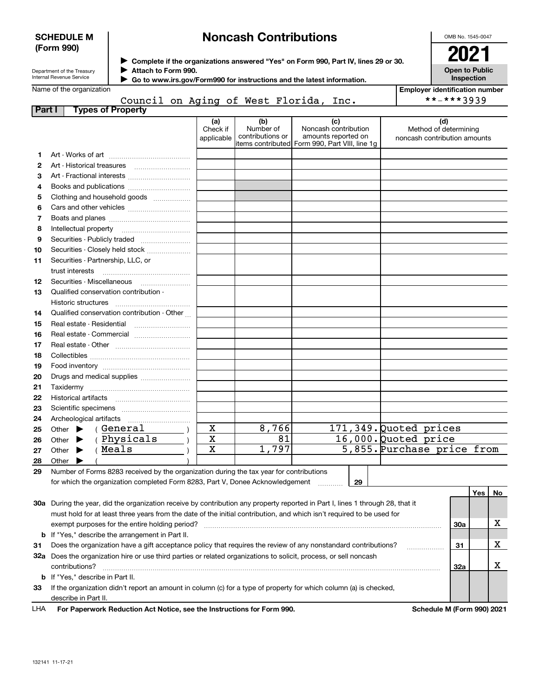| <b>SCHEDULE M</b> |  |
|-------------------|--|
| (Form 990)        |  |

# **Noncash Contributions**

OMB No. 1545-0047

| Department of the Treasury |  |
|----------------------------|--|
| Internal Revenue Service   |  |

**Complete if the organizations answered "Yes" on Form 990, Part IV, lines 29 or 30.** <sup>J</sup>**2021 Attach to Form 990.** J

**Open to Public Inspection**

|  | Name of the organization |  |
|--|--------------------------|--|
|  |                          |  |
|  |                          |  |
|  |                          |  |

| <b>Employer identification number</b> |
|---------------------------------------|
| **-***3939                            |

|                                 |  |  | Council on Aging of West Florida, Inc. |  |
|---------------------------------|--|--|----------------------------------------|--|
| <b>Part I</b> Types of Property |  |  |                                        |  |

 **Go to www.irs.gov/Form990 for instructions and the latest information.** J

|    | . <b>.</b>                                                                                                                     |                               |                                      |                                                                                                      |                                                              |     |    |
|----|--------------------------------------------------------------------------------------------------------------------------------|-------------------------------|--------------------------------------|------------------------------------------------------------------------------------------------------|--------------------------------------------------------------|-----|----|
|    |                                                                                                                                | (a)<br>Check if<br>applicable | (b)<br>Number of<br>contributions or | (c)<br>Noncash contribution<br>amounts reported on<br>items contributed Form 990, Part VIII, line 1g | (d)<br>Method of determining<br>noncash contribution amounts |     |    |
| 1  |                                                                                                                                |                               |                                      |                                                                                                      |                                                              |     |    |
| 2  |                                                                                                                                |                               |                                      |                                                                                                      |                                                              |     |    |
| 3  | Art - Fractional interests                                                                                                     |                               |                                      |                                                                                                      |                                                              |     |    |
| 4  | Books and publications                                                                                                         |                               |                                      |                                                                                                      |                                                              |     |    |
| 5  | Clothing and household goods                                                                                                   |                               |                                      |                                                                                                      |                                                              |     |    |
|    |                                                                                                                                |                               |                                      |                                                                                                      |                                                              |     |    |
| 6  |                                                                                                                                |                               |                                      |                                                                                                      |                                                              |     |    |
| 7  |                                                                                                                                |                               |                                      |                                                                                                      |                                                              |     |    |
| 8  | Intellectual property                                                                                                          |                               |                                      |                                                                                                      |                                                              |     |    |
| 9  |                                                                                                                                |                               |                                      |                                                                                                      |                                                              |     |    |
| 10 | Securities - Closely held stock                                                                                                |                               |                                      |                                                                                                      |                                                              |     |    |
| 11 | Securities - Partnership, LLC, or                                                                                              |                               |                                      |                                                                                                      |                                                              |     |    |
|    | trust interests                                                                                                                |                               |                                      |                                                                                                      |                                                              |     |    |
| 12 | Securities - Miscellaneous                                                                                                     |                               |                                      |                                                                                                      |                                                              |     |    |
| 13 | Qualified conservation contribution -                                                                                          |                               |                                      |                                                                                                      |                                                              |     |    |
|    | Historic structures                                                                                                            |                               |                                      |                                                                                                      |                                                              |     |    |
| 14 | Qualified conservation contribution - Other                                                                                    |                               |                                      |                                                                                                      |                                                              |     |    |
| 15 | Real estate - Residential                                                                                                      |                               |                                      |                                                                                                      |                                                              |     |    |
| 16 | Real estate - Commercial                                                                                                       |                               |                                      |                                                                                                      |                                                              |     |    |
| 17 |                                                                                                                                |                               |                                      |                                                                                                      |                                                              |     |    |
| 18 |                                                                                                                                |                               |                                      |                                                                                                      |                                                              |     |    |
| 19 |                                                                                                                                |                               |                                      |                                                                                                      |                                                              |     |    |
| 20 | Drugs and medical supplies                                                                                                     |                               |                                      |                                                                                                      |                                                              |     |    |
| 21 |                                                                                                                                |                               |                                      |                                                                                                      |                                                              |     |    |
| 22 |                                                                                                                                |                               |                                      |                                                                                                      |                                                              |     |    |
| 23 |                                                                                                                                |                               |                                      |                                                                                                      |                                                              |     |    |
| 24 |                                                                                                                                |                               |                                      |                                                                                                      |                                                              |     |    |
| 25 | (General<br>Other $\blacktriangleright$                                                                                        | $\mathbf X$                   | 8,766                                |                                                                                                      | 171,349. Quoted prices                                       |     |    |
| 26 | (Physicals)<br>Other $\blacktriangleright$                                                                                     | $\mathbf X$                   | 81                                   |                                                                                                      | 16,000. Quoted price                                         |     |    |
| 27 | (Meals)<br>Other $\blacktriangleright$                                                                                         | X                             | 1,797                                |                                                                                                      | 5,855. Purchase price from                                   |     |    |
| 28 | Other $\blacktriangleright$                                                                                                    |                               |                                      |                                                                                                      |                                                              |     |    |
| 29 | Number of Forms 8283 received by the organization during the tax year for contributions                                        |                               |                                      |                                                                                                      |                                                              |     |    |
|    | for which the organization completed Form 8283, Part V, Donee Acknowledgement                                                  |                               |                                      | 29                                                                                                   |                                                              |     |    |
|    |                                                                                                                                |                               |                                      |                                                                                                      |                                                              | Yes | No |
|    | 30a During the year, did the organization receive by contribution any property reported in Part I, lines 1 through 28, that it |                               |                                      |                                                                                                      |                                                              |     |    |
|    | must hold for at least three years from the date of the initial contribution, and which isn't required to be used for          |                               |                                      |                                                                                                      |                                                              |     |    |
|    | exempt purposes for the entire holding period?                                                                                 |                               |                                      |                                                                                                      |                                                              | 30a | х  |
|    | If "Yes," describe the arrangement in Part II.                                                                                 |                               |                                      |                                                                                                      |                                                              |     |    |
| b  | Does the organization have a gift acceptance policy that requires the review of any nonstandard contributions?                 |                               |                                      |                                                                                                      |                                                              | 31  | х  |
| 31 |                                                                                                                                |                               |                                      |                                                                                                      |                                                              |     |    |
|    | 32a Does the organization hire or use third parties or related organizations to solicit, process, or sell noncash              |                               |                                      |                                                                                                      |                                                              |     | х  |
|    | contributions?                                                                                                                 |                               |                                      |                                                                                                      |                                                              | 32a |    |
|    | <b>b</b> If "Yes," describe in Part II.                                                                                        |                               |                                      |                                                                                                      |                                                              |     |    |
| 33 | If the organization didn't report an amount in column (c) for a type of property for which column (a) is checked,              |                               |                                      |                                                                                                      |                                                              |     |    |

**For Paperwork Reduction Act Notice, see the Instructions for Form 990. Schedule M (Form 990) 2021**

LHA

describe in Part II.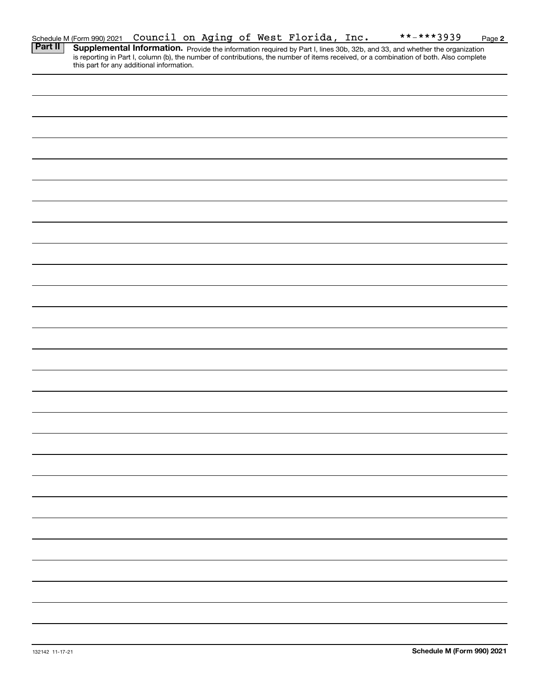|                | Schedule M (Form 990) 2021                |  |  | Council on Aging of West Florida, Inc. | **-***3939                                                                                                                                                                                                                          | Page 2 |
|----------------|-------------------------------------------|--|--|----------------------------------------|-------------------------------------------------------------------------------------------------------------------------------------------------------------------------------------------------------------------------------------|--------|
| <b>Part II</b> |                                           |  |  |                                        |                                                                                                                                                                                                                                     |        |
|                |                                           |  |  |                                        | <b>Supplemental Information.</b> Provide the information required by Part I, lines 30b, 32b, and 33, and whether the organization is reporting in Part I, column (b), the number of contributions, the number of items received, or |        |
|                | this part for any additional information. |  |  |                                        |                                                                                                                                                                                                                                     |        |
|                |                                           |  |  |                                        |                                                                                                                                                                                                                                     |        |
|                |                                           |  |  |                                        |                                                                                                                                                                                                                                     |        |
|                |                                           |  |  |                                        |                                                                                                                                                                                                                                     |        |
|                |                                           |  |  |                                        |                                                                                                                                                                                                                                     |        |
|                |                                           |  |  |                                        |                                                                                                                                                                                                                                     |        |
|                |                                           |  |  |                                        |                                                                                                                                                                                                                                     |        |
|                |                                           |  |  |                                        |                                                                                                                                                                                                                                     |        |
|                |                                           |  |  |                                        |                                                                                                                                                                                                                                     |        |
|                |                                           |  |  |                                        |                                                                                                                                                                                                                                     |        |
|                |                                           |  |  |                                        |                                                                                                                                                                                                                                     |        |
|                |                                           |  |  |                                        |                                                                                                                                                                                                                                     |        |
|                |                                           |  |  |                                        |                                                                                                                                                                                                                                     |        |
|                |                                           |  |  |                                        |                                                                                                                                                                                                                                     |        |
|                |                                           |  |  |                                        |                                                                                                                                                                                                                                     |        |
|                |                                           |  |  |                                        |                                                                                                                                                                                                                                     |        |
|                |                                           |  |  |                                        |                                                                                                                                                                                                                                     |        |
|                |                                           |  |  |                                        |                                                                                                                                                                                                                                     |        |
|                |                                           |  |  |                                        |                                                                                                                                                                                                                                     |        |
|                |                                           |  |  |                                        |                                                                                                                                                                                                                                     |        |
|                |                                           |  |  |                                        |                                                                                                                                                                                                                                     |        |
|                |                                           |  |  |                                        |                                                                                                                                                                                                                                     |        |
|                |                                           |  |  |                                        |                                                                                                                                                                                                                                     |        |
|                |                                           |  |  |                                        |                                                                                                                                                                                                                                     |        |
|                |                                           |  |  |                                        |                                                                                                                                                                                                                                     |        |
|                |                                           |  |  |                                        |                                                                                                                                                                                                                                     |        |
|                |                                           |  |  |                                        |                                                                                                                                                                                                                                     |        |
|                |                                           |  |  |                                        |                                                                                                                                                                                                                                     |        |
|                |                                           |  |  |                                        |                                                                                                                                                                                                                                     |        |
|                |                                           |  |  |                                        |                                                                                                                                                                                                                                     |        |
|                |                                           |  |  |                                        |                                                                                                                                                                                                                                     |        |
|                |                                           |  |  |                                        |                                                                                                                                                                                                                                     |        |
|                |                                           |  |  |                                        |                                                                                                                                                                                                                                     |        |
|                |                                           |  |  |                                        |                                                                                                                                                                                                                                     |        |
|                |                                           |  |  |                                        |                                                                                                                                                                                                                                     |        |
|                |                                           |  |  |                                        |                                                                                                                                                                                                                                     |        |
|                |                                           |  |  |                                        |                                                                                                                                                                                                                                     |        |
|                |                                           |  |  |                                        |                                                                                                                                                                                                                                     |        |
|                |                                           |  |  |                                        |                                                                                                                                                                                                                                     |        |
|                |                                           |  |  |                                        |                                                                                                                                                                                                                                     |        |
|                |                                           |  |  |                                        |                                                                                                                                                                                                                                     |        |
|                |                                           |  |  |                                        |                                                                                                                                                                                                                                     |        |
|                |                                           |  |  |                                        |                                                                                                                                                                                                                                     |        |
|                |                                           |  |  |                                        |                                                                                                                                                                                                                                     |        |
|                |                                           |  |  |                                        |                                                                                                                                                                                                                                     |        |
|                |                                           |  |  |                                        |                                                                                                                                                                                                                                     |        |
|                |                                           |  |  |                                        |                                                                                                                                                                                                                                     |        |
|                |                                           |  |  |                                        |                                                                                                                                                                                                                                     |        |
|                |                                           |  |  |                                        |                                                                                                                                                                                                                                     |        |
|                |                                           |  |  |                                        |                                                                                                                                                                                                                                     |        |
|                |                                           |  |  |                                        |                                                                                                                                                                                                                                     |        |
|                |                                           |  |  |                                        |                                                                                                                                                                                                                                     |        |
|                |                                           |  |  |                                        |                                                                                                                                                                                                                                     |        |
|                |                                           |  |  |                                        |                                                                                                                                                                                                                                     |        |
|                |                                           |  |  |                                        |                                                                                                                                                                                                                                     |        |
|                |                                           |  |  |                                        |                                                                                                                                                                                                                                     |        |
|                |                                           |  |  |                                        |                                                                                                                                                                                                                                     |        |
|                |                                           |  |  |                                        |                                                                                                                                                                                                                                     |        |
|                |                                           |  |  |                                        |                                                                                                                                                                                                                                     |        |
|                |                                           |  |  |                                        |                                                                                                                                                                                                                                     |        |
|                |                                           |  |  |                                        |                                                                                                                                                                                                                                     |        |
|                |                                           |  |  |                                        |                                                                                                                                                                                                                                     |        |
|                |                                           |  |  |                                        |                                                                                                                                                                                                                                     |        |
|                |                                           |  |  |                                        |                                                                                                                                                                                                                                     |        |
|                |                                           |  |  |                                        |                                                                                                                                                                                                                                     |        |
|                |                                           |  |  |                                        |                                                                                                                                                                                                                                     |        |
|                |                                           |  |  |                                        |                                                                                                                                                                                                                                     |        |
|                |                                           |  |  |                                        |                                                                                                                                                                                                                                     |        |
|                |                                           |  |  |                                        |                                                                                                                                                                                                                                     |        |
|                |                                           |  |  |                                        |                                                                                                                                                                                                                                     |        |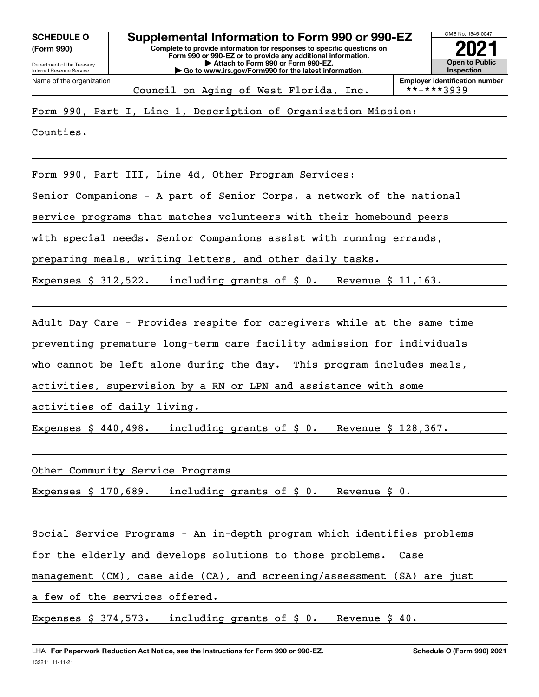**(Form 990)**

Name of the organization

Council on Aging of West Florida, Inc.



Employer identification number<br>\*\*-\*\*\*3939

### Form 990, Part I, Line 1, Description of Organization Mission:

Counties.

Form 990, Part III, Line 4d, Other Program Services:

Senior Companions - A part of Senior Corps, a network of the national

service programs that matches volunteers with their homebound peers

with special needs. Senior Companions assist with running errands,

preparing meals, writing letters, and other daily tasks.

Expenses \$ 312,522. including grants of \$ 0. Revenue \$ 11,163.

Adult Day Care - Provides respite for caregivers while at the same time

preventing premature long-term care facility admission for individuals

who cannot be left alone during the day. This program includes meals,

activities, supervision by a RN or LPN and assistance with some

activities of daily living.

Expenses \$ 440,498. including grants of \$ 0. Revenue \$ 128,367.

Other Community Service Programs

Expenses \$ 170,689. including grants of \$ 0. Revenue \$ 0.

Social Service Programs - An in-depth program which identifies problems

for the elderly and develops solutions to those problems. Case

management (CM), case aide (CA), and screening/assessment (SA) are just

a few of the services offered.

Expenses \$ 374,573. including grants of \$ 0. Revenue \$ 40.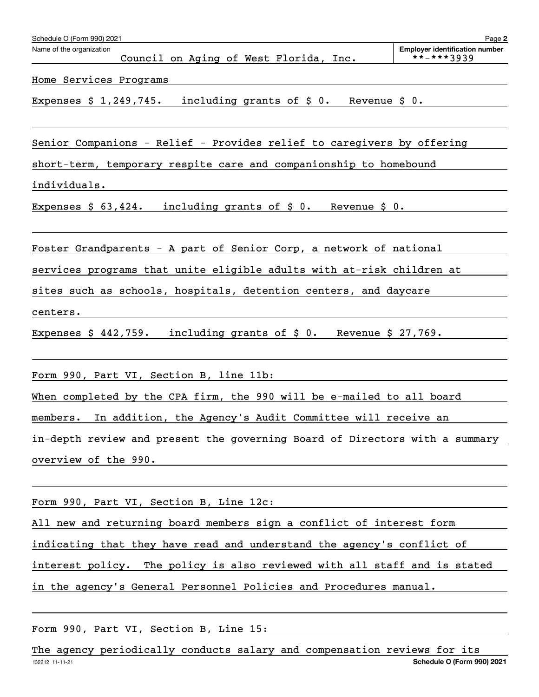Senior Companions - Relief - Provides relief to caregivers by offering

short-term, temporary respite care and companionship to homebound

individuals.

Expenses \$ 63,424. including grants of \$ 0. Revenue \$ 0.

Foster Grandparents - A part of Senior Corp, a network of national

services programs that unite eligible adults with at-risk children at

sites such as schools, hospitals, detention centers, and daycare

centers.

Expenses \$ 442,759. including grants of \$ 0. Revenue \$ 27,769.

Form 990, Part VI, Section B, line 11b:

When completed by the CPA firm, the 990 will be e-mailed to all board

members. In addition, the Agency's Audit Committee will receive an

in-depth review and present the governing Board of Directors with a summary overview of the 990.

Form 990, Part VI, Section B, Line 12c:

All new and returning board members sign a conflict of interest form

indicating that they have read and understand the agency's conflict of

interest policy. The policy is also reviewed with all staff and is stated

in the agency's General Personnel Policies and Procedures manual.

Form 990, Part VI, Section B, Line 15:

132212 11-11-21 **Schedule O (Form 990) 2021** The agency periodically conducts salary and compensation reviews for its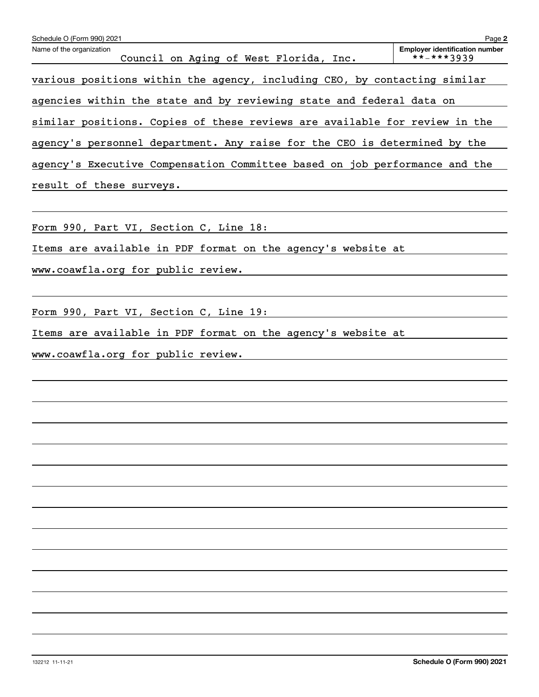| Schedule O (Form 990) 2021                                                                                       | Page 2                                              |
|------------------------------------------------------------------------------------------------------------------|-----------------------------------------------------|
| Name of the organization<br>Council on Aging of West Florida, Inc.                                               | <b>Employer identification number</b><br>**-***3939 |
| various positions within the agency, including CEO, by contacting similar                                        |                                                     |
| agencies within the state and by reviewing state and federal data on                                             |                                                     |
| similar positions. Copies of these reviews are available for review in the                                       |                                                     |
| agency's personnel department. Any raise for the CEO is determined by the                                        |                                                     |
| agency's Executive Compensation Committee based on job performance and the                                       |                                                     |
| result of these surveys. The same state of the set of the set of the set of the set of the set of the set of the |                                                     |
|                                                                                                                  |                                                     |
| Form 990, Part VI, Section C, Line 18:                                                                           |                                                     |
| Items are available in PDF format on the agency's website at                                                     |                                                     |
| www.coawfla.org for public review.                                                                               |                                                     |
|                                                                                                                  |                                                     |
| Form 990, Part VI, Section C, Line 19:                                                                           |                                                     |
| Items are available in PDF format on the agency's website at                                                     |                                                     |
| www.coawfla.org for public review.                                                                               |                                                     |
|                                                                                                                  |                                                     |
|                                                                                                                  |                                                     |
|                                                                                                                  |                                                     |
|                                                                                                                  |                                                     |
|                                                                                                                  |                                                     |
|                                                                                                                  |                                                     |
|                                                                                                                  |                                                     |
|                                                                                                                  |                                                     |
|                                                                                                                  |                                                     |
|                                                                                                                  |                                                     |
|                                                                                                                  |                                                     |
|                                                                                                                  |                                                     |
|                                                                                                                  |                                                     |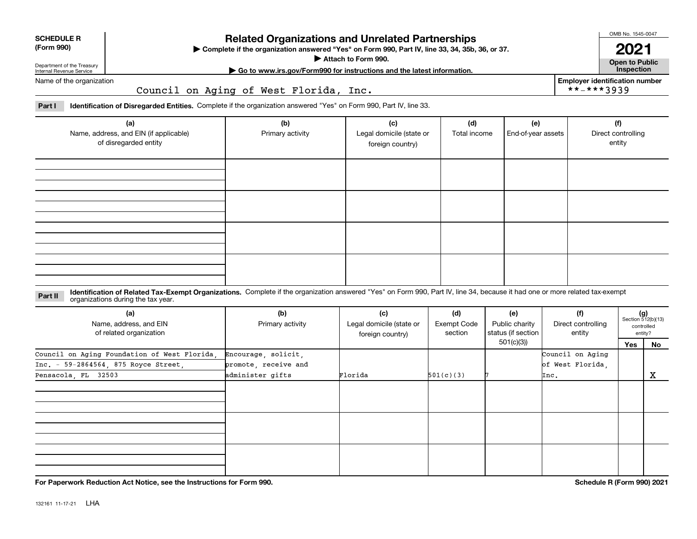| <b>SCHEDULE R</b> |
|-------------------|
|                   |

### **(Form 990)**

## **Related Organizations and Unrelated Partnerships**

**Complete if the organization answered "Yes" on Form 990, Part IV, line 33, 34, 35b, 36, or 37.** |

**Attach to Form 990.**  |

OMB No. 1545-0047

**Open to Public 2021**

**Employer identification number**

 $**-***3939$ 

Department of the Treasury Internal Revenue Service Name of the organization **| Go to www.irs.gov/Form990 for instructions and the latest information. Inspection**

Council on Aging of West Florida, Inc.

**Part I Identification of Disregarded Entities.**  Complete if the organization answered "Yes" on Form 990, Part IV, line 33.

| (a)<br>Name, address, and EIN (if applicable)<br>of disregarded entity | (b)<br>Primary activity | (c)<br>Legal domicile (state or<br>foreign country) | (d)<br>Total income | (e)<br>End-of-year assets | (f)<br>Direct controlling<br>entity |
|------------------------------------------------------------------------|-------------------------|-----------------------------------------------------|---------------------|---------------------------|-------------------------------------|
|                                                                        |                         |                                                     |                     |                           |                                     |
|                                                                        |                         |                                                     |                     |                           |                                     |
|                                                                        |                         |                                                     |                     |                           |                                     |
|                                                                        |                         |                                                     |                     |                           |                                     |

**Identification of Related Tax-Exempt Organizations.** Complete if the organization answered "Yes" on Form 990, Part IV, line 34, because it had one or more related tax-exempt **Part II** organizations during the tax year.

| (a)<br>Name, address, and EIN<br>of related organization | (b)<br>Primary activity | (c)<br>Legal domicile (state or<br>foreign country) | (d)<br><b>Exempt Code</b><br>section | (e)<br>Public charity<br>status (if section | (f)<br>Direct controlling<br>entity | $(g)$<br>Section 512(b)(13)<br>entity? | controlled |
|----------------------------------------------------------|-------------------------|-----------------------------------------------------|--------------------------------------|---------------------------------------------|-------------------------------------|----------------------------------------|------------|
|                                                          |                         |                                                     |                                      | 501(c)(3))                                  |                                     | Yes                                    | No         |
| Council on Aging Foundation of West Florida,             | Encourage, solicit,     |                                                     |                                      |                                             | Council on Aging                    |                                        |            |
| Inc. - 59-2864564, 875 Royce Street,                     | promote, receive and    |                                                     |                                      |                                             | of West Florida.                    |                                        |            |
| Pensacola, FL 32503                                      | administer gifts        | Florida                                             | 501(c)(3)                            |                                             | Inc.                                |                                        | х          |
|                                                          |                         |                                                     |                                      |                                             |                                     |                                        |            |
|                                                          |                         |                                                     |                                      |                                             |                                     |                                        |            |
|                                                          |                         |                                                     |                                      |                                             |                                     |                                        |            |

**For Paperwork Reduction Act Notice, see the Instructions for Form 990. Schedule R (Form 990) 2021**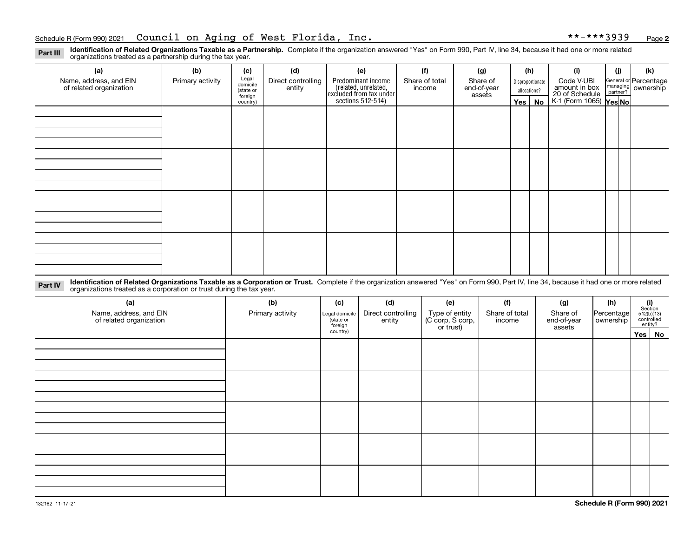**Identification of Related Organizations Taxable as a Partnership.** Complete if the organization answered "Yes" on Form 990, Part IV, line 34, because it had one or more related **Part III** organizations treated as a partnership during the tax year.

| (a)<br>Name, address, and EIN<br>of related organization | (b)<br>Primary activity | (c)<br>Legal<br>domicile         | (d)<br>Direct controlling | (e)<br>Predominant income                                           | (f)<br>Share of total | (g)<br>Share of |                                         | (h)<br>Disproportionate | (i)<br>Code V-UBI                                            | (i) | (k)                                                     |
|----------------------------------------------------------|-------------------------|----------------------------------|---------------------------|---------------------------------------------------------------------|-----------------------|-----------------|-----------------------------------------|-------------------------|--------------------------------------------------------------|-----|---------------------------------------------------------|
|                                                          |                         | (state or<br>foreign<br>country) | entity                    | related, unrelated,<br>excluded from tax under<br>sections 512-514) | income                | assets          | end-of-year<br>allocations?<br>Yes   No |                         | amount in box<br>20 of Schedule<br>$K-1$ (Form 1065) $YesNo$ |     | General or Percentage<br>managing ownership<br>partner? |
|                                                          |                         |                                  |                           |                                                                     |                       |                 |                                         |                         |                                                              |     |                                                         |
|                                                          |                         |                                  |                           |                                                                     |                       |                 |                                         |                         |                                                              |     |                                                         |
|                                                          |                         |                                  |                           |                                                                     |                       |                 |                                         |                         |                                                              |     |                                                         |
|                                                          |                         |                                  |                           |                                                                     |                       |                 |                                         |                         |                                                              |     |                                                         |
|                                                          |                         |                                  |                           |                                                                     |                       |                 |                                         |                         |                                                              |     |                                                         |
|                                                          |                         |                                  |                           |                                                                     |                       |                 |                                         |                         |                                                              |     |                                                         |
|                                                          |                         |                                  |                           |                                                                     |                       |                 |                                         |                         |                                                              |     |                                                         |

**Identification of Related Organizations Taxable as a Corporation or Trust.** Complete if the organization answered "Yes" on Form 990, Part IV, line 34, because it had one or more related **Part IV** organizations treated as a corporation or trust during the tax year.

| (a)<br>Name, address, and EIN<br>of related organization | (b)<br>Primary activity | (c)<br>Legal domicile<br>state or<br>foreign | (d)<br>Direct controlling<br>entity | (e)<br>Type of entity<br>(C corp, S corp,<br>or trust) | (f)<br>Share of total<br>income | (g)<br>Share of<br>end-of-year<br>assets | (h)<br>Percentage<br>ownership | $\begin{array}{c} \textbf{(i)}\\ \text{Section}\\ 512 \text{(b)} \text{(13)}\\ \text{controlled}\\ \text{entity?} \end{array}$ |        |
|----------------------------------------------------------|-------------------------|----------------------------------------------|-------------------------------------|--------------------------------------------------------|---------------------------------|------------------------------------------|--------------------------------|--------------------------------------------------------------------------------------------------------------------------------|--------|
|                                                          |                         | country)                                     |                                     |                                                        |                                 |                                          |                                |                                                                                                                                | Yes No |
|                                                          |                         |                                              |                                     |                                                        |                                 |                                          |                                |                                                                                                                                |        |
|                                                          |                         |                                              |                                     |                                                        |                                 |                                          |                                |                                                                                                                                |        |
|                                                          |                         |                                              |                                     |                                                        |                                 |                                          |                                |                                                                                                                                |        |
|                                                          |                         |                                              |                                     |                                                        |                                 |                                          |                                |                                                                                                                                |        |
|                                                          |                         |                                              |                                     |                                                        |                                 |                                          |                                |                                                                                                                                |        |
|                                                          |                         |                                              |                                     |                                                        |                                 |                                          |                                |                                                                                                                                |        |
|                                                          |                         |                                              |                                     |                                                        |                                 |                                          |                                |                                                                                                                                |        |
|                                                          |                         |                                              |                                     |                                                        |                                 |                                          |                                |                                                                                                                                |        |
|                                                          |                         |                                              |                                     |                                                        |                                 |                                          |                                |                                                                                                                                |        |
|                                                          |                         |                                              |                                     |                                                        |                                 |                                          |                                |                                                                                                                                |        |
|                                                          |                         |                                              |                                     |                                                        |                                 |                                          |                                |                                                                                                                                |        |
|                                                          |                         |                                              |                                     |                                                        |                                 |                                          |                                |                                                                                                                                |        |
|                                                          |                         |                                              |                                     |                                                        |                                 |                                          |                                |                                                                                                                                |        |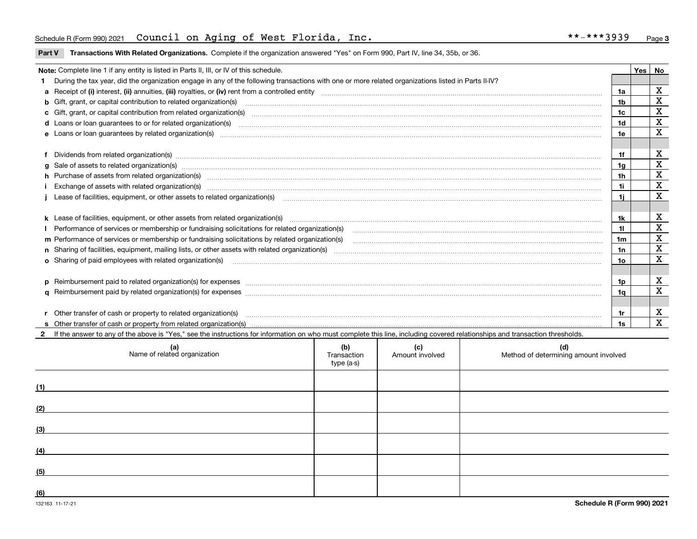### Schedule R (Form 990) 2021 Page Council on Aging of West Florida, Inc. \*\*-\*\*\*3939

**Part V** T**ransactions With Related Organizations.** Complete if the organization answered "Yes" on Form 990, Part IV, line 34, 35b, or 36.

| Note: Complete line 1 if any entity is listed in Parts II, III, or IV of this schedule.                                                                                                                                        |                 | Yes   No |                         |
|--------------------------------------------------------------------------------------------------------------------------------------------------------------------------------------------------------------------------------|-----------------|----------|-------------------------|
| During the tax year, did the organization engage in any of the following transactions with one or more related organizations listed in Parts II-IV?                                                                            |                 |          |                         |
|                                                                                                                                                                                                                                | 1a              |          | X                       |
| b Gift, grant, or capital contribution to related organization(s) mature and contained and contribution to related organization(s) matures are contained and contribution to related organization(s) matures are contained and | 1b              |          | X                       |
|                                                                                                                                                                                                                                | 1c              |          | $\mathbf X$             |
|                                                                                                                                                                                                                                | 1 <sub>d</sub>  |          | X                       |
|                                                                                                                                                                                                                                | 1e              |          | X                       |
|                                                                                                                                                                                                                                |                 |          |                         |
| Dividends from related organization(s) manufactured and contract and contract and contract and contract and contract and contract and contract and contract and contract and contract and contract and contract and contract a | 1f              |          | х                       |
|                                                                                                                                                                                                                                | 1g              |          | х                       |
| h Purchase of assets from related organization(s) manufactured and content to content the content of assets from related organization(s)                                                                                       | 1 <sub>h</sub>  |          | $\mathbf X$             |
| Exchange of assets with related organization(s) www.assettion.com/www.assettion.com/www.assettion.com/www.assettion.com/www.assettion.com/www.assettion.com/www.assettion.com/www.assettion.com/www.assettion.com/www.assettio | 1i              |          | $\mathbf x$             |
|                                                                                                                                                                                                                                | 1i              |          | X                       |
|                                                                                                                                                                                                                                |                 |          |                         |
| k Lease of facilities, equipment, or other assets from related organization(s) manufaction content and the manufacture of facilities, equipment, or other assets from related organization(s) manufaction manufacture manufact | 1k              |          | X                       |
|                                                                                                                                                                                                                                |                 |          | X                       |
|                                                                                                                                                                                                                                | 1 <sub>m</sub>  |          | X                       |
|                                                                                                                                                                                                                                | 1n              |          | $\mathbf X$             |
| <b>o</b> Sharing of paid employees with related organization(s)                                                                                                                                                                | 10 <sub>o</sub> |          | X                       |
|                                                                                                                                                                                                                                |                 |          |                         |
|                                                                                                                                                                                                                                | 1p              |          | X                       |
|                                                                                                                                                                                                                                | 1q              |          | $\overline{\mathbf{x}}$ |
|                                                                                                                                                                                                                                |                 |          |                         |
| r Other transfer of cash or property to related organization(s)                                                                                                                                                                | 1r              |          | X                       |
|                                                                                                                                                                                                                                | 1s              |          | $\mathbf{x}$            |
| 2 If the answer to any of the above is "Yes," see the instructions for information on who must complete this line, including covered relationships and transaction thresholds.                                                 |                 |          |                         |

|     | (a)<br>Name of related organization | (b)<br>Transaction<br>type (a-s) | (c)<br>Amount involved | (d)<br>Method of determining amount involved |
|-----|-------------------------------------|----------------------------------|------------------------|----------------------------------------------|
| (1) |                                     |                                  |                        |                                              |
| (2) |                                     |                                  |                        |                                              |
| (3) |                                     |                                  |                        |                                              |
| (4) |                                     |                                  |                        |                                              |
| (5) |                                     |                                  |                        |                                              |
| (6) |                                     |                                  |                        |                                              |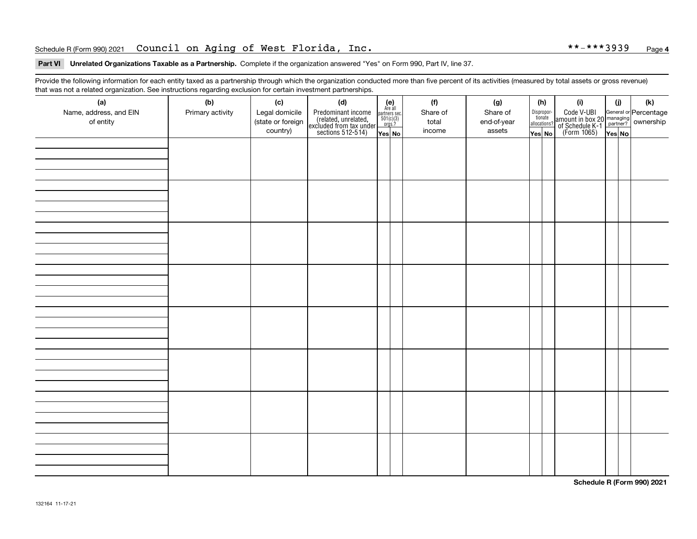### Schedule R (Form 990) 2021 Page Council on Aging of West Florida, Inc. \*\*-\*\*\*3939

### **Part VI Unrelated Organizations Taxable as a Partnership. Complete if the organization answered "Yes" on Form 990, Part IV, line 37.**

Provide the following information for each entity taxed as a partnership through which the organization conducted more than five percent of its activities (measured by total assets or gross revenue) that was not a related organization. See instructions regarding exclusion for certain investment partnerships.

| that was not a related organization. Occ instructions regarding exclusion for certain investment partnerships.<br>(a) | (b)              | (c)                                             | (d)                                                                                        |                                                                         |  | (f)                         | (g)                               |        | (h)                                   | (i)                                                                                      | (i) | (k) |  |  |
|-----------------------------------------------------------------------------------------------------------------------|------------------|-------------------------------------------------|--------------------------------------------------------------------------------------------|-------------------------------------------------------------------------|--|-----------------------------|-----------------------------------|--------|---------------------------------------|------------------------------------------------------------------------------------------|-----|-----|--|--|
| Name, address, and EIN<br>of entity                                                                                   | Primary activity | Legal domicile<br>(state or foreign<br>country) | Predominant income<br>(related, unrelated,<br>excluded from tax under<br>sections 512-514) | (e)<br>Are all<br>partners sec.<br>$\frac{501(c)(3)}{0rgs.?}$<br>Yes No |  | Share of<br>total<br>income | Share of<br>end-of-year<br>assets | Yes No | Dispropor-<br>tionate<br>allocations? | Code V-UBI<br>amount in box 20 managing<br>of Schedule K-1<br>(Form 1065)<br>The Nest No |     |     |  |  |
|                                                                                                                       |                  |                                                 |                                                                                            |                                                                         |  |                             |                                   |        |                                       |                                                                                          |     |     |  |  |
|                                                                                                                       |                  |                                                 |                                                                                            |                                                                         |  |                             |                                   |        |                                       |                                                                                          |     |     |  |  |
|                                                                                                                       |                  |                                                 |                                                                                            |                                                                         |  |                             |                                   |        |                                       |                                                                                          |     |     |  |  |
|                                                                                                                       |                  |                                                 |                                                                                            |                                                                         |  |                             |                                   |        |                                       |                                                                                          |     |     |  |  |
|                                                                                                                       |                  |                                                 |                                                                                            |                                                                         |  |                             |                                   |        |                                       |                                                                                          |     |     |  |  |
|                                                                                                                       |                  |                                                 |                                                                                            |                                                                         |  |                             |                                   |        |                                       |                                                                                          |     |     |  |  |
|                                                                                                                       |                  |                                                 |                                                                                            |                                                                         |  |                             |                                   |        |                                       |                                                                                          |     |     |  |  |
|                                                                                                                       |                  |                                                 |                                                                                            |                                                                         |  |                             |                                   |        |                                       |                                                                                          |     |     |  |  |
|                                                                                                                       |                  |                                                 |                                                                                            |                                                                         |  |                             |                                   |        |                                       |                                                                                          |     |     |  |  |
|                                                                                                                       |                  |                                                 |                                                                                            |                                                                         |  |                             |                                   |        |                                       |                                                                                          |     |     |  |  |
|                                                                                                                       |                  |                                                 |                                                                                            |                                                                         |  |                             |                                   |        |                                       |                                                                                          |     |     |  |  |
|                                                                                                                       |                  |                                                 |                                                                                            |                                                                         |  |                             |                                   |        |                                       |                                                                                          |     |     |  |  |
|                                                                                                                       |                  |                                                 |                                                                                            |                                                                         |  |                             |                                   |        |                                       |                                                                                          |     |     |  |  |
|                                                                                                                       |                  |                                                 |                                                                                            |                                                                         |  |                             |                                   |        |                                       |                                                                                          |     |     |  |  |
|                                                                                                                       |                  |                                                 |                                                                                            |                                                                         |  |                             |                                   |        |                                       |                                                                                          |     |     |  |  |
|                                                                                                                       |                  |                                                 |                                                                                            |                                                                         |  |                             |                                   |        |                                       |                                                                                          |     |     |  |  |
|                                                                                                                       |                  |                                                 |                                                                                            |                                                                         |  |                             |                                   |        |                                       |                                                                                          |     |     |  |  |
|                                                                                                                       |                  |                                                 |                                                                                            |                                                                         |  |                             |                                   |        |                                       |                                                                                          |     |     |  |  |
|                                                                                                                       |                  |                                                 |                                                                                            |                                                                         |  |                             |                                   |        |                                       |                                                                                          |     |     |  |  |
|                                                                                                                       |                  |                                                 |                                                                                            |                                                                         |  |                             |                                   |        |                                       |                                                                                          |     |     |  |  |
|                                                                                                                       |                  |                                                 |                                                                                            |                                                                         |  |                             |                                   |        |                                       |                                                                                          |     |     |  |  |
|                                                                                                                       |                  |                                                 |                                                                                            |                                                                         |  |                             |                                   |        |                                       |                                                                                          |     |     |  |  |
|                                                                                                                       |                  |                                                 |                                                                                            |                                                                         |  |                             |                                   |        |                                       |                                                                                          |     |     |  |  |
|                                                                                                                       |                  |                                                 |                                                                                            |                                                                         |  |                             |                                   |        |                                       |                                                                                          |     |     |  |  |
|                                                                                                                       |                  |                                                 |                                                                                            |                                                                         |  |                             |                                   |        |                                       |                                                                                          |     |     |  |  |
|                                                                                                                       |                  |                                                 |                                                                                            |                                                                         |  |                             |                                   |        |                                       |                                                                                          |     |     |  |  |
|                                                                                                                       |                  |                                                 |                                                                                            |                                                                         |  |                             |                                   |        |                                       |                                                                                          |     |     |  |  |
|                                                                                                                       |                  |                                                 |                                                                                            |                                                                         |  |                             |                                   |        |                                       |                                                                                          |     |     |  |  |
|                                                                                                                       |                  |                                                 |                                                                                            |                                                                         |  |                             |                                   |        |                                       |                                                                                          |     |     |  |  |

**Schedule R (Form 990) 2021**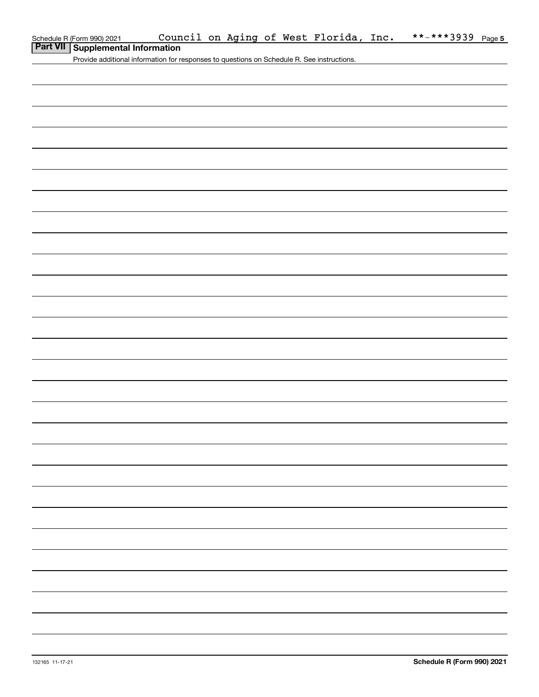# **Part VII** Supplemental Information

Provide additional information for responses to questions on Schedule R. See instructions.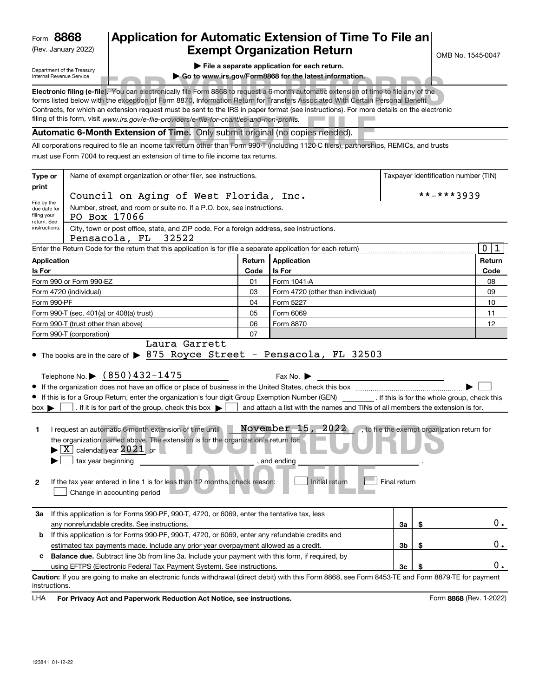(Rev. January 2022)

# **Application for Automatic Extension of Time To File an Exempt Organization Return**

OMB No. 1545-0047

Department of the Treasury Internal Revenue Service

| $\blacktriangleright$ File a separate application for each return. |
|--------------------------------------------------------------------|
|--------------------------------------------------------------------|

**| Go to www.irs.gov/Form8868 for the latest information.**

**Electronic filing (e-file).** You can electronically file Form 8868 to request a 6-month automatic extension of time to file any of the filing of this form, visit *www.irs.gov/e-file-providers/e-file-for-charities-and-non-profits.* forms listed below with the exception of Form 8870, Information Return for Transfers Associated With Certain Personal Benefit Contracts, for which an extension request must be sent to the IRS in paper format (see instructions). For more details on the electronic ividers/e-file-for-charities-and-non-profits.<br>**Time.** Only submit original (no copies needed).<br>Y return other than Ferm 999 T (including 1129 C filers), partnershi FOR You can electronically file Form 8868 to request a 6-month automatic extension of time to file any of the<br>h the exception of Form 8870, Information Return for Transfers Associated With Certain Personal Benefit

**Automatic 6-Month Extension of Time.** Only submit original (no copies needed).

All corporations required to file an income tax return other than Form 990-T (including 1120-C filers), partnerships, REMICs, and trusts must use Form 7004 to request an extension of time to file income tax returns.

| Type or                                        | Name of exempt organization or other filer, see instructions.                                                                                                                                                                                                                                                                                                                                                                                                                                                                                                                                                                          | Taxpayer identification number (TIN) |                                                                                                                                                                                                                          |              |  |             |        |  |  |
|------------------------------------------------|----------------------------------------------------------------------------------------------------------------------------------------------------------------------------------------------------------------------------------------------------------------------------------------------------------------------------------------------------------------------------------------------------------------------------------------------------------------------------------------------------------------------------------------------------------------------------------------------------------------------------------------|--------------------------------------|--------------------------------------------------------------------------------------------------------------------------------------------------------------------------------------------------------------------------|--------------|--|-------------|--------|--|--|
| print                                          | **-***3939<br>Council on Aging of West Florida, Inc.                                                                                                                                                                                                                                                                                                                                                                                                                                                                                                                                                                                   |                                      |                                                                                                                                                                                                                          |              |  |             |        |  |  |
| File by the<br>due date for<br>filing your     | Number, street, and room or suite no. If a P.O. box, see instructions.<br>PO Box 17066                                                                                                                                                                                                                                                                                                                                                                                                                                                                                                                                                 |                                      |                                                                                                                                                                                                                          |              |  |             |        |  |  |
| return. See<br>instructions.                   | City, town or post office, state, and ZIP code. For a foreign address, see instructions.<br>Pensacola, FL<br>32522                                                                                                                                                                                                                                                                                                                                                                                                                                                                                                                     |                                      |                                                                                                                                                                                                                          |              |  |             |        |  |  |
|                                                | Enter the Return Code for the return that this application is for (file a separate application for each return)                                                                                                                                                                                                                                                                                                                                                                                                                                                                                                                        |                                      |                                                                                                                                                                                                                          |              |  | $\mathbf 0$ | 1      |  |  |
| <b>Application</b><br>Return<br>Application    |                                                                                                                                                                                                                                                                                                                                                                                                                                                                                                                                                                                                                                        |                                      |                                                                                                                                                                                                                          |              |  |             | Return |  |  |
| Is For                                         |                                                                                                                                                                                                                                                                                                                                                                                                                                                                                                                                                                                                                                        | Code                                 | Is For                                                                                                                                                                                                                   |              |  |             | Code   |  |  |
|                                                | Form 990 or Form 990-EZ                                                                                                                                                                                                                                                                                                                                                                                                                                                                                                                                                                                                                | 01                                   | Form 1041-A                                                                                                                                                                                                              |              |  |             | 08     |  |  |
|                                                | Form 4720 (individual)                                                                                                                                                                                                                                                                                                                                                                                                                                                                                                                                                                                                                 | 03                                   | Form 4720 (other than individual)                                                                                                                                                                                        |              |  |             | 09     |  |  |
| Form 990-PF                                    |                                                                                                                                                                                                                                                                                                                                                                                                                                                                                                                                                                                                                                        | 04                                   | Form 5227                                                                                                                                                                                                                |              |  | 10          |        |  |  |
|                                                | Form 990-T (sec. 401(a) or 408(a) trust)                                                                                                                                                                                                                                                                                                                                                                                                                                                                                                                                                                                               | 05                                   | Form 6069                                                                                                                                                                                                                |              |  |             | 11     |  |  |
|                                                | Form 990-T (trust other than above)                                                                                                                                                                                                                                                                                                                                                                                                                                                                                                                                                                                                    | 06                                   | Form 8870                                                                                                                                                                                                                |              |  |             | 12     |  |  |
|                                                | Form 990-T (corporation)<br>Laura Garrett                                                                                                                                                                                                                                                                                                                                                                                                                                                                                                                                                                                              | 07                                   |                                                                                                                                                                                                                          |              |  |             |        |  |  |
| $box \blacktriangleright$<br>1<br>$\mathbf{2}$ | Telephone No. $\triangleright$ (850) 432-1475<br>If this is for a Group Return, enter the organization's four digit Group Exemption Number (GEN) __________. If this is for the whole group, check this<br>. If it is for part of the group, check this box $\blacktriangleright$<br>I request an automatic 6-month extension of time until<br>the organization named above. The extension is for the organization's return for:<br>$\blacktriangleright$ $\boxed{\text{X}}$ calendar year 2021 or<br>tax year beginning<br>If the tax year entered in line 1 is for less than 12 months, check reason:<br>Change in accounting period |                                      | Fax No. $\blacktriangleright$<br>and attach a list with the names and TINs of all members the extension is for.<br>November $15$ , $2022$ , to file the exempt organization return for<br>, and ending<br>Initial return | Final return |  |             |        |  |  |
| За                                             | If this application is for Forms 990-PF, 990-T, 4720, or 6069, enter the tentative tax, less                                                                                                                                                                                                                                                                                                                                                                                                                                                                                                                                           |                                      |                                                                                                                                                                                                                          |              |  |             | $0$ .  |  |  |
|                                                | any nonrefundable credits. See instructions.<br>\$<br>За                                                                                                                                                                                                                                                                                                                                                                                                                                                                                                                                                                               |                                      |                                                                                                                                                                                                                          |              |  |             |        |  |  |
| b                                              | If this application is for Forms 990-PF, 990-T, 4720, or 6069, enter any refundable credits and                                                                                                                                                                                                                                                                                                                                                                                                                                                                                                                                        |                                      |                                                                                                                                                                                                                          |              |  |             |        |  |  |
|                                                | Зb<br>\$<br>estimated tax payments made. Include any prior year overpayment allowed as a credit.                                                                                                                                                                                                                                                                                                                                                                                                                                                                                                                                       |                                      |                                                                                                                                                                                                                          |              |  |             |        |  |  |
|                                                | c Balance due. Subtract line 3b from line 3a. Include your payment with this form, if required, by                                                                                                                                                                                                                                                                                                                                                                                                                                                                                                                                     |                                      |                                                                                                                                                                                                                          |              |  |             |        |  |  |
|                                                | using EFTPS (Electronic Federal Tax Payment System). See instructions.                                                                                                                                                                                                                                                                                                                                                                                                                                                                                                                                                                 |                                      |                                                                                                                                                                                                                          | Зс           |  |             | 0.     |  |  |
| instructions.                                  | Caution: If you are going to make an electronic funds withdrawal (direct debit) with this Form 8868, see Form 8453-TE and Form 8879-TE for payment                                                                                                                                                                                                                                                                                                                                                                                                                                                                                     |                                      |                                                                                                                                                                                                                          |              |  |             |        |  |  |

**HA** For Privacy Act and Paperwork Reduction Act Notice, see instructions. **But a struction of the Community Community** Form 8868 (Rev. 1-2022) LHA